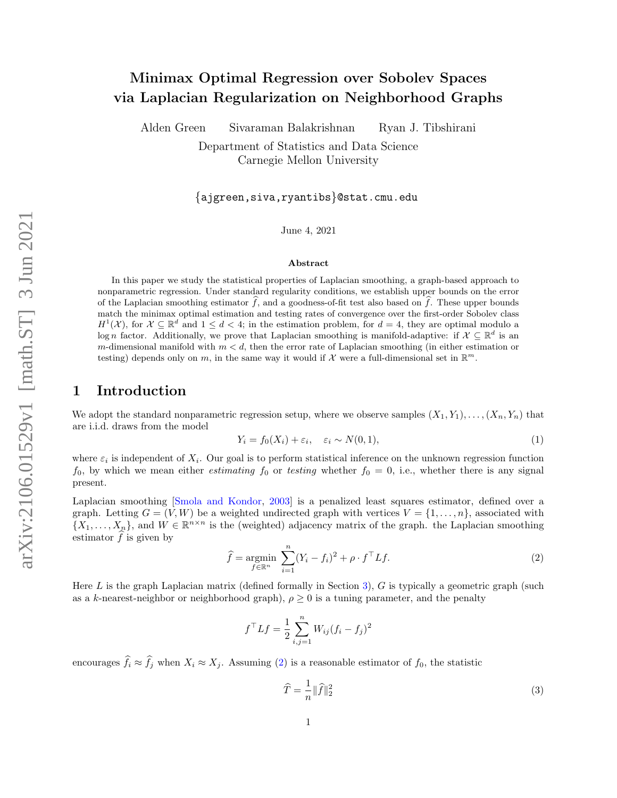# Minimax Optimal Regression over Sobolev Spaces via Laplacian Regularization on Neighborhood Graphs

Alden Green Sivaraman Balakrishnan Ryan J. Tibshirani

Department of Statistics and Data Science Carnegie Mellon University

{ajgreen,siva,ryantibs}@stat.cmu.edu

June 4, 2021

#### Abstract

In this paper we study the statistical properties of Laplacian smoothing, a graph-based approach to nonparametric regression. Under standard regularity conditions, we establish upper bounds on the error of the Laplacian smoothing estimator  $\hat{f}$ , and a goodness-of-fit test also based on  $\hat{f}$ . These upper bounds match the minimax optimal estimation and testing rates of convergence over the first-order Sobolev class  $H^1(\mathcal{X})$ , for  $\mathcal{X} \subseteq \mathbb{R}^d$  and  $1 \leq d < 4$ ; in the estimation problem, for  $d = 4$ , they are optimal modulo a log n factor. Additionally, we prove that Laplacian smoothing is manifold-adaptive: if  $\mathcal{X} \subseteq \mathbb{R}^d$  is an m-dimensional manifold with  $m < d$ , then the error rate of Laplacian smoothing (in either estimation or testing) depends only on m, in the same way it would if X were a full-dimensional set in  $\mathbb{R}^m$ .

## 1 Introduction

We adopt the standard nonparametric regression setup, where we observe samples  $(X_1, Y_1), \ldots, (X_n, Y_n)$  that are i.i.d. draws from the model

<span id="page-0-1"></span>
$$
Y_i = f_0(X_i) + \varepsilon_i, \quad \varepsilon_i \sim N(0, 1), \tag{1}
$$

where  $\varepsilon_i$  is independent of  $X_i$ . Our goal is to perform statistical inference on the unknown regression function  $f_0$ , by which we mean either *estimating*  $f_0$  or testing whether  $f_0 = 0$ , i.e., whether there is any signal present.

Laplacian smoothing [\[Smola and Kondor,](#page-15-0) [2003\]](#page-15-0) is a penalized least squares estimator, defined over a graph. Letting  $G = (V, W)$  be a weighted undirected graph with vertices  $V = \{1, \ldots, n\}$ , associated with  $\{X_1,\ldots,X_n\}$ , and  $W \in \mathbb{R}^{n \times n}$  is the (weighted) adjacency matrix of the graph. the Laplacian smoothing estimator  $\widehat{f}$  is given by

<span id="page-0-0"></span>
$$
\widehat{f} = \underset{f \in \mathbb{R}^n}{\text{argmin}} \sum_{i=1}^n (Y_i - f_i)^2 + \rho \cdot f^\top L f. \tag{2}
$$

Here  $L$  is the graph Laplacian matrix (defined formally in Section [3\)](#page-4-0),  $G$  is typically a geometric graph (such as a k-nearest-neighbor or neighborhood graph),  $\rho \geq 0$  is a tuning parameter, and the penalty

$$
f^{\top}Lf = \frac{1}{2} \sum_{i,j=1}^{n} W_{ij} (f_i - f_j)^2
$$

encourages  $\hat{f}_i \approx \hat{f}_j$  when  $X_i \approx X_j$ . Assuming [\(2\)](#page-0-0) is a reasonable estimator of  $f_0$ , the statistic

<span id="page-0-2"></span>
$$
\widehat{T} = \frac{1}{n} \|\widehat{f}\|_2^2 \tag{3}
$$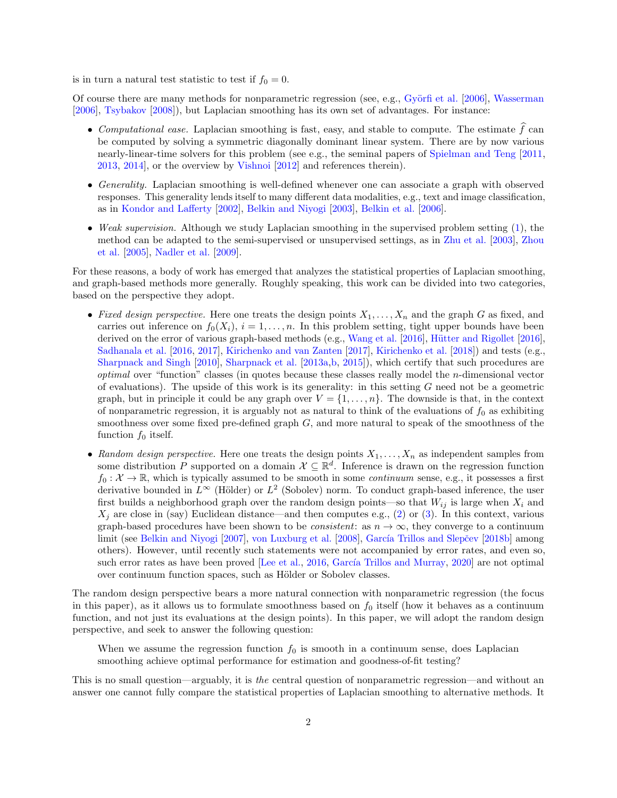is in turn a natural test statistic to test if  $f_0 = 0$ .

Of course there are many methods for nonparametric regression (see, e.g., Györfi et al. [\[2006\]](#page-14-0), [Wasserman](#page-15-1) [\[2006\]](#page-15-1), [Tsybakov](#page-15-2) [\[2008\]](#page-15-2)), but Laplacian smoothing has its own set of advantages. For instance:

- Computational ease. Laplacian smoothing is fast, easy, and stable to compute. The estimate  $\hat{f}$  can be computed by solving a symmetric diagonally dominant linear system. There are by now various nearly-linear-time solvers for this problem (see e.g., the seminal papers of [Spielman and Teng](#page-15-3) [\[2011,](#page-15-3) [2013,](#page-15-4) [2014\]](#page-15-5), or the overview by [Vishnoi](#page-15-6) [\[2012\]](#page-15-6) and references therein).
- Generality. Laplacian smoothing is well-defined whenever one can associate a graph with observed responses. This generality lends itself to many different data modalities, e.g., text and image classification, as in [Kondor and Lafferty](#page-14-1) [\[2002\]](#page-14-1), [Belkin and Niyogi](#page-12-0) [\[2003\]](#page-12-0), [Belkin et al.](#page-12-1) [\[2006\]](#page-12-1).
- Weak supervision. Although we study Laplacian smoothing in the supervised problem setting [\(1\)](#page-0-1), the method can be adapted to the semi-supervised or unsupervised settings, as in [Zhu et al.](#page-15-7) [\[2003\]](#page-15-7), [Zhou](#page-15-8) [et al.](#page-15-8) [\[2005\]](#page-15-8), [Nadler et al.](#page-14-2) [\[2009\]](#page-14-2).

For these reasons, a body of work has emerged that analyzes the statistical properties of Laplacian smoothing, and graph-based methods more generally. Roughly speaking, this work can be divided into two categories, based on the perspective they adopt.

- Fixed design perspective. Here one treats the design points  $X_1, \ldots, X_n$  and the graph G as fixed, and carries out inference on  $f_0(X_i)$ ,  $i = 1, \ldots, n$ . In this problem setting, tight upper bounds have been derived on the error of various graph-based methods (e.g., [Wang et al.](#page-15-9) [\[2016\]](#page-14-3), Hütter and Rigollet [2016], [Sadhanala et al.](#page-14-4) [\[2016,](#page-14-4) [2017\]](#page-15-10), [Kirichenko and van Zanten](#page-14-5) [\[2017\]](#page-14-5), [Kirichenko et al.](#page-14-6) [\[2018\]](#page-14-6)) and tests (e.g., [Sharpnack and Singh](#page-15-11) [\[2010\]](#page-15-11), [Sharpnack et al.](#page-15-12) [\[2013a,](#page-15-12)[b,](#page-15-13) [2015\]](#page-15-14)), which certify that such procedures are optimal over "function" classes (in quotes because these classes really model the n-dimensional vector of evaluations). The upside of this work is its generality: in this setting  $G$  need not be a geometric graph, but in principle it could be any graph over  $V = \{1, \ldots, n\}$ . The downside is that, in the context of nonparametric regression, it is arguably not as natural to think of the evaluations of  $f_0$  as exhibiting smoothness over some fixed pre-defined graph  $G$ , and more natural to speak of the smoothness of the function  $f_0$  itself.
- Random design perspective. Here one treats the design points  $X_1, \ldots, X_n$  as independent samples from some distribution P supported on a domain  $\mathcal{X} \subseteq \mathbb{R}^d$ . Inference is drawn on the regression function  $f_0: \mathcal{X} \to \mathbb{R}$ , which is typically assumed to be smooth in some *continuum* sense, e.g., it possesses a first derivative bounded in  $L^{\infty}$  (Hölder) or  $L^2$  (Sobolev) norm. To conduct graph-based inference, the user first builds a neighborhood graph over the random design points—so that  $W_{ij}$  is large when  $X_i$  and  $X_j$  are close in (say) Euclidean distance—and then computes e.g., [\(2\)](#page-0-0) or [\(3\)](#page-0-2). In this context, various graph-based procedures have been shown to be *consistent*: as  $n \to \infty$ , they converge to a continuum limit (see [Belkin and Niyogi](#page-12-2) [\[2007\]](#page-12-2), [von Luxburg et al.](#page-15-15) [\[2008\]](#page-15-15), García Trillos and Slepčev [\[2018b\]](#page-13-0) among others). However, until recently such statements were not accompanied by error rates, and even so, such error rates as have been proved [\[Lee et al.,](#page-14-7)  $2016$ , García Trillos and Murray,  $2020$ ] are not optimal over continuum function spaces, such as Hölder or Sobolev classes.

The random design perspective bears a more natural connection with nonparametric regression (the focus in this paper), as it allows us to formulate smoothness based on  $f_0$  itself (how it behaves as a continuum function, and not just its evaluations at the design points). In this paper, we will adopt the random design perspective, and seek to answer the following question:

When we assume the regression function  $f_0$  is smooth in a continuum sense, does Laplacian smoothing achieve optimal performance for estimation and goodness-of-fit testing?

This is no small question—arguably, it is the central question of nonparametric regression—and without an answer one cannot fully compare the statistical properties of Laplacian smoothing to alternative methods. It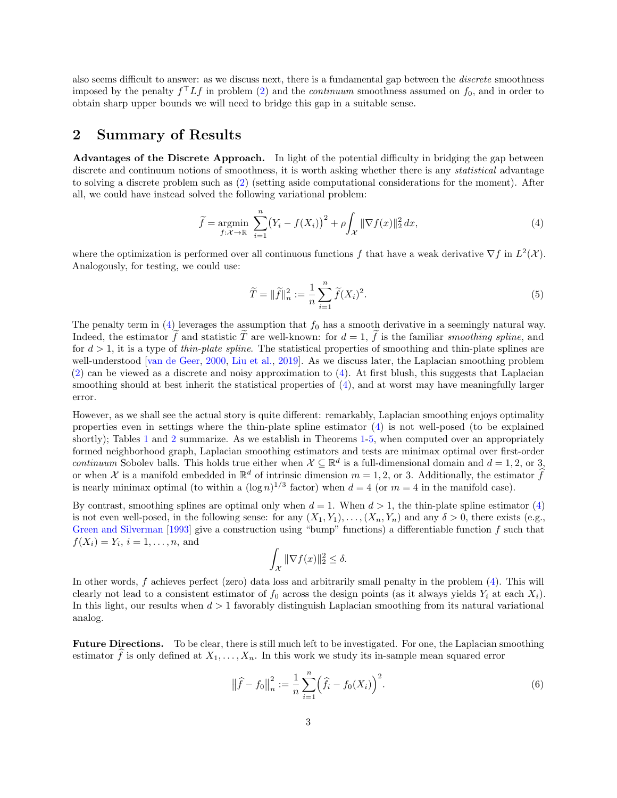also seems difficult to answer: as we discuss next, there is a fundamental gap between the discrete smoothness imposed by the penalty  $f^{\top} L f$  in problem [\(2\)](#page-0-0) and the *continuum* smoothness assumed on  $f_0$ , and in order to obtain sharp upper bounds we will need to bridge this gap in a suitable sense.

## <span id="page-2-1"></span>2 Summary of Results

Advantages of the Discrete Approach. In light of the potential difficulty in bridging the gap between discrete and continuum notions of smoothness, it is worth asking whether there is any *statistical* advantage to solving a discrete problem such as [\(2\)](#page-0-0) (setting aside computational considerations for the moment). After all, we could have instead solved the following variational problem:

<span id="page-2-0"></span>
$$
\widetilde{f} = \underset{f:\mathcal{X}\to\mathbb{R}}{\operatorname{argmin}} \sum_{i=1}^{n} \left(Y_i - f(X_i)\right)^2 + \rho \int_{\mathcal{X}} \|\nabla f(x)\|_2^2 dx, \tag{4}
$$

where the optimization is performed over all continuous functions f that have a weak derivative  $\nabla f$  in  $L^2(\mathcal{X})$ . Analogously, for testing, we could use:

<span id="page-2-2"></span>
$$
\widetilde{T} = \|\widetilde{f}\|_{n}^{2} := \frac{1}{n} \sum_{i=1}^{n} \widetilde{f}(X_{i})^{2}.
$$
\n(5)

The penalty term in  $(4)$  leverages the assumption that  $f_0$  has a smooth derivative in a seemingly natural way. Indeed, the estimator f and statistic T are well-known: for  $d = 1$ , f is the familiar smoothing spline, and for  $d > 1$ , it is a type of *thin-plate spline*. The statistical properties of smoothing and thin-plate splines are well-understood [\[van de Geer,](#page-15-16) [2000,](#page-15-16) [Liu et al.,](#page-14-8) [2019\]](#page-14-8). As we discuss later, the Laplacian smoothing problem [\(2\)](#page-0-0) can be viewed as a discrete and noisy approximation to [\(4\)](#page-2-0). At first blush, this suggests that Laplacian smoothing should at best inherit the statistical properties of [\(4\)](#page-2-0), and at worst may have meaningfully larger error.

However, as we shall see the actual story is quite different: remarkably, Laplacian smoothing enjoys optimality properties even in settings where the thin-plate spline estimator  $(4)$  is not well-posed (to be explained shortly); Tables [1](#page-3-0) and [2](#page-3-1) summarize. As we establish in Theorems [1-](#page-6-0)[5,](#page-11-0) when computed over an appropriately formed neighborhood graph, Laplacian smoothing estimators and tests are minimax optimal over first-order continuum Sobolev balls. This holds true either when  $\mathcal{X} \subseteq \mathbb{R}^d$  is a full-dimensional domain and  $d = 1, 2$ , or 3, or when X is a manifold embedded in  $\mathbb{R}^d$  of intrinsic dimension  $m = 1, 2$ , or 3. Additionally, the estimator  $\widehat{f}$ is nearly minimax optimal (to within a  $(\log n)^{1/3}$  factor) when  $d = 4$  (or  $m = 4$  in the manifold case).

By contrast, smoothing splines are optimal only when  $d = 1$ . When  $d > 1$ , the thin-plate spline estimator [\(4\)](#page-2-0) is not even well-posed, in the following sense: for any  $(X_1, Y_1), \ldots, (X_n, Y_n)$  and any  $\delta > 0$ , there exists (e.g., [Green and Silverman](#page-13-2) [\[1993\]](#page-13-2) give a construction using "bump" functions) a differentiable function  $f$  such that  $f(X_i) = Y_i, i = 1, ..., n$ , and

$$
\int_{\mathcal{X}} \|\nabla f(x)\|_2^2 \le \delta.
$$

In other words, f achieves perfect (zero) data loss and arbitrarily small penalty in the problem [\(4\)](#page-2-0). This will clearly not lead to a consistent estimator of  $f_0$  across the design points (as it always yields  $Y_i$  at each  $X_i$ ). In this light, our results when  $d > 1$  favorably distinguish Laplacian smoothing from its natural variational analog.

Future Directions. To be clear, there is still much left to be investigated. For one, the Laplacian smoothing estimator f is only defined at  $X_1, \ldots, X_n$ . In this work we study its in-sample mean squared error

$$
\|\hat{f} - f_0\|_n^2 := \frac{1}{n} \sum_{i=1}^n \left(\hat{f}_i - f_0(X_i)\right)^2.
$$
 (6)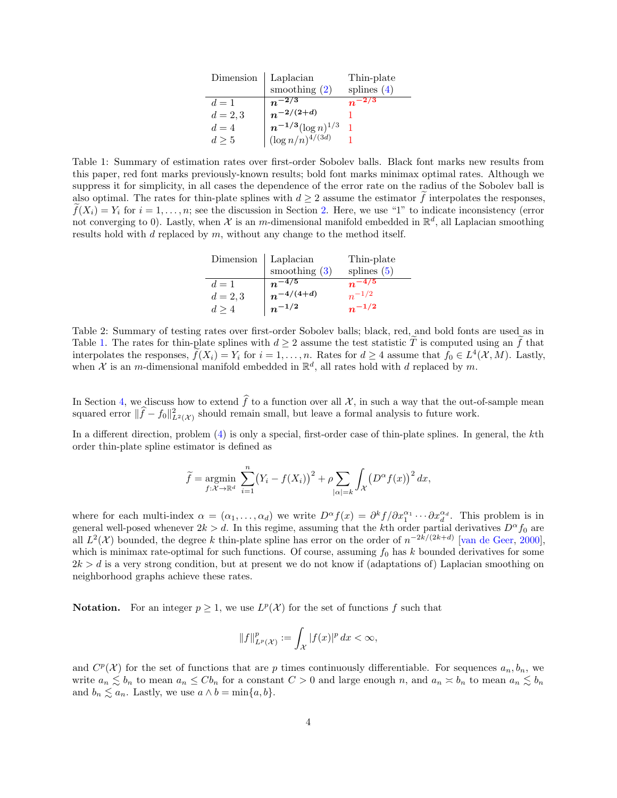| Dimension  | Laplacian                                         | Thin-plate    |
|------------|---------------------------------------------------|---------------|
|            | smoothing $(2)$                                   | splines $(4)$ |
| $d=1$      | $n^{-2/3}$                                        |               |
| $d = 2, 3$ | $n^{-2/(2+d)}$                                    |               |
| $d=4$      |                                                   |               |
| $d \geq 5$ | $n^{-1/3}(\log n)^{1/3}$<br>$(\log n/n)^{4/(3d)}$ |               |

<span id="page-3-0"></span>Table 1: Summary of estimation rates over first-order Sobolev balls. Black font marks new results from this paper, red font marks previously-known results; bold font marks minimax optimal rates. Although we suppress it for simplicity, in all cases the dependence of the error rate on the radius of the Sobolev ball is also optimal. The rates for thin-plate splines with  $d \geq 2$  assume the estimator f interpolates the responses.  $\tilde{f}(X_i) = Y_i$  for  $i = 1, \ldots, n$ ; see the discussion in Section [2.](#page-2-1) Here, we use "1" to indicate inconsistency (error not converging to 0). Lastly, when X is an m-dimensional manifold embedded in  $\mathbb{R}^d$ , all Laplacian smoothing results hold with  $d$  replaced by  $m$ , without any change to the method itself.

| Dimension  | Laplacian       | Thin-plate    |
|------------|-----------------|---------------|
|            | smoothing $(3)$ | splines $(5)$ |
| $d=1$      | $n^{-4/5}$      | $n^{-4/5}$    |
| $d = 2, 3$ | $n^{-4/(4+d)}$  | $n^{-1/2}$    |
| d > 4      | $n^{-1/2}$      | $n^{-1/2}$    |

<span id="page-3-1"></span>Table 2: Summary of testing rates over first-order Sobolev balls; black, red, and bold fonts are used as in Table [1.](#page-3-0) The rates for thin-plate splines with  $d \geq 2$  assume the test statistic T is computed using an f that interpolates the responses,  $\tilde{f}(X_i) = Y_i$  for  $i = 1, ..., n$ . Rates for  $d \ge 4$  assume that  $f_0 \in L^4(\mathcal{X}, M)$ . Lastly, when X is an m-dimensional manifold embedded in  $\mathbb{R}^d$ , all rates hold with d replaced by m.

In Section [4,](#page-5-0) we discuss how to extend  $\widehat{f}$  to a function over all X, in such a way that the out-of-sample mean squared error  $\|\hat{f} - f_0\|_{L^2(\mathcal{X})}^2$  should remain small, but leave a formal analysis to future work.

In a different direction, problem [\(4\)](#page-2-0) is only a special, first-order case of thin-plate splines. In general, the kth order thin-plate spline estimator is defined as

$$
\widetilde{f} = \underset{f: \mathcal{X} \to \mathbb{R}^d}{\text{argmin}} \sum_{i=1}^n (Y_i - f(X_i))^2 + \rho \sum_{|\alpha| = k} \int_{\mathcal{X}} (D^{\alpha} f(x))^2 dx,
$$

where for each multi-index  $\alpha = (\alpha_1, \ldots, \alpha_d)$  we write  $D^{\alpha} f(x) = \partial^k f / \partial x_1^{\alpha_1} \cdots \partial x_d^{\alpha_d}$ . This problem is in general well-posed whenever  $2k > d$ . In this regime, assuming that the kth order partial derivatives  $D^{\alpha} f_0$  are all  $L^2(\mathcal{X})$  bounded, the degree k thin-plate spline has error on the order of  $n^{-2k/(2k+d)}$  [\[van de Geer,](#page-15-16) [2000\]](#page-15-16), which is minimax rate-optimal for such functions. Of course, assuming  $f_0$  has k bounded derivatives for some  $2k > d$  is a very strong condition, but at present we do not know if (adaptations of) Laplacian smoothing on neighborhood graphs achieve these rates.

**Notation.** For an integer  $p \geq 1$ , we use  $L^p(\mathcal{X})$  for the set of functions f such that

$$
||f||_{L^p(\mathcal{X})}^p := \int_{\mathcal{X}} |f(x)|^p dx < \infty,
$$

and  $C^p(\mathcal{X})$  for the set of functions that are p times continuously differentiable. For sequences  $a_n, b_n$ , we write  $a_n \lesssim b_n$  to mean  $a_n \leq Cb_n$  for a constant  $C > 0$  and large enough n, and  $a_n \lesssim b_n$  to mean  $a_n \lesssim b_n$ and  $b_n \lesssim a_n$ . Lastly, we use  $a \wedge b = \min\{a, b\}.$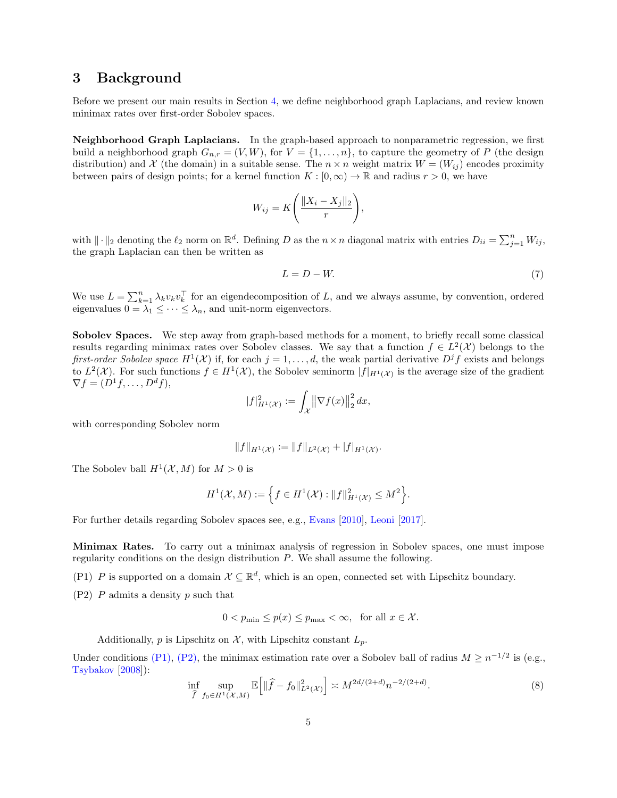### <span id="page-4-0"></span>3 Background

Before we present our main results in Section [4,](#page-5-0) we define neighborhood graph Laplacians, and review known minimax rates over first-order Sobolev spaces.

Neighborhood Graph Laplacians. In the graph-based approach to nonparametric regression, we first build a neighborhood graph  $G_{n,r} = (V, W)$ , for  $V = \{1, \ldots, n\}$ , to capture the geometry of P (the design distribution) and X (the domain) in a suitable sense. The  $n \times n$  weight matrix  $W = (W_{ij})$  encodes proximity between pairs of design points; for a kernel function  $K : [0, \infty) \to \mathbb{R}$  and radius  $r > 0$ , we have

$$
W_{ij} = K\left(\frac{\|X_i - X_j\|_2}{r}\right),\,
$$

with  $\|\cdot\|_2$  denoting the  $\ell_2$  norm on  $\mathbb{R}^d$ . Defining D as the  $n \times n$  diagonal matrix with entries  $D_{ii} = \sum_{j=1}^n W_{ij}$ , the graph Laplacian can then be written as

$$
L = D - W.\t\t(7)
$$

We use  $L = \sum_{k=1}^{n} \lambda_k v_k v_k^{\top}$  for an eigendecomposition of L, and we always assume, by convention, ordered eigenvalues  $0 = \lambda_1 \leq \cdots \leq \lambda_n$ , and unit-norm eigenvectors.

Sobolev Spaces. We step away from graph-based methods for a moment, to briefly recall some classical results regarding minimax rates over Sobolev classes. We say that a function  $f \in L^2(\mathcal{X})$  belongs to the first-order Sobolev space  $H^1(\mathcal{X})$  if, for each  $j=1,\ldots,d$ , the weak partial derivative  $D^jf$  exists and belongs to  $L^2(\mathcal{X})$ . For such functions  $f \in H^1(\mathcal{X})$ , the Sobolev seminorm  $|f|_{H^1(\mathcal{X})}$  is the average size of the gradient  $\nabla f = (D^1 f, \dots, D^d f),$ 

$$
|f|_{H^1(\mathcal{X})}^2 := \int_{\mathcal{X}} \left\| \nabla f(x) \right\|_2^2 dx,
$$

with corresponding Sobolev norm

$$
||f||_{H^1(\mathcal{X})} := ||f||_{L^2(\mathcal{X})} + |f|_{H^1(\mathcal{X})}.
$$

The Sobolev ball  $H^1(\mathcal{X}, M)$  for  $M > 0$  is

$$
H^{1}(\mathcal{X},M):=\Big\{f\in H^{1}(\mathcal{X}):||f||_{H^{1}(\mathcal{X})}^{2}\leq M^{2}\Big\}.
$$

For further details regarding Sobolev spaces see, e.g., [Evans](#page-13-3) [\[2010\]](#page-13-3), [Leoni](#page-14-9) [\[2017\]](#page-14-9).

Minimax Rates. To carry out a minimax analysis of regression in Sobolev spaces, one must impose regularity conditions on the design distribution P. We shall assume the following.

<span id="page-4-1"></span>(P1) P is supported on a domain  $\mathcal{X} \subseteq \mathbb{R}^d$ , which is an open, connected set with Lipschitz boundary.

<span id="page-4-2"></span> $(P2)$  P admits a density p such that

$$
0 < p_{\min} \le p(x) \le p_{\max} < \infty, \quad \text{for all } x \in \mathcal{X}.
$$

Additionally, p is Lipschitz on  $\mathcal{X}$ , with Lipschitz constant  $L_p$ .

Under conditions [\(P1\),](#page-4-1) [\(P2\),](#page-4-2) the minimax estimation rate over a Sobolev ball of radius  $M \geq n^{-1/2}$  is (e.g., [Tsybakov](#page-15-2) [\[2008\]](#page-15-2)):

$$
\inf_{\hat{f}} \sup_{f_0 \in H^1(\mathcal{X}, M)} \mathbb{E}\Big[ \|\hat{f} - f_0\|_{L^2(\mathcal{X})}^2 \Big] \asymp M^{2d/(2+d)} n^{-2/(2+d)}.
$$
\n(8)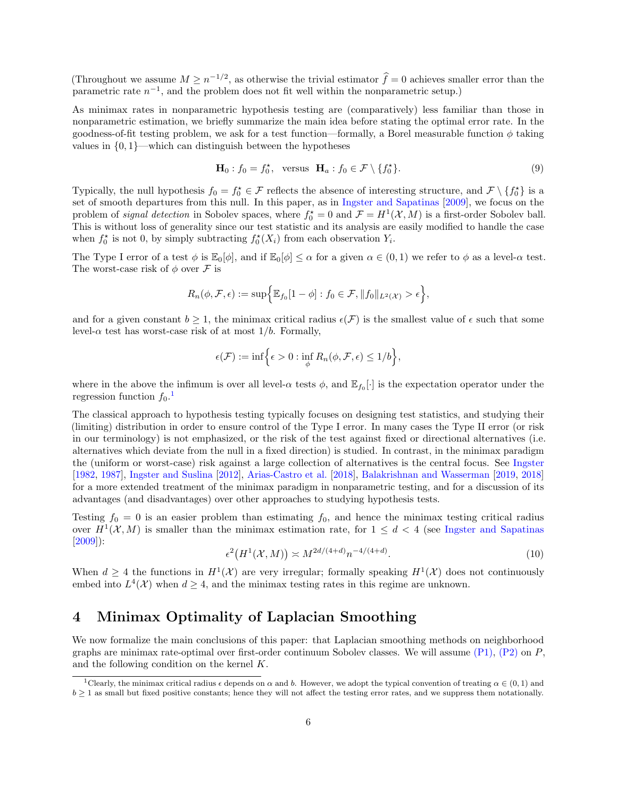(Throughout we assume  $M \geq n^{-1/2}$ , as otherwise the trivial estimator  $\hat{f}=0$  achieves smaller error than the parametric rate  $n^{-1}$ , and the problem does not fit well within the nonparametric setup.)

As minimax rates in nonparametric hypothesis testing are (comparatively) less familiar than those in nonparametric estimation, we briefly summarize the main idea before stating the optimal error rate. In the goodness-of-fit testing problem, we ask for a test function—formally, a Borel measurable function  $\phi$  taking values in  $\{0, 1\}$ —which can distinguish between the hypotheses

$$
\mathbf{H}_0: f_0 = f_0^{\star}, \quad \text{versus} \quad \mathbf{H}_a: f_0 \in \mathcal{F} \setminus \{f_0^{\star}\}. \tag{9}
$$

Typically, the null hypothesis  $f_0 = f_0^* \in \mathcal{F}$  reflects the absence of interesting structure, and  $\mathcal{F} \setminus \{f_0^*\}$  is a set of smooth departures from this null. In this paper, as in [Ingster and Sapatinas](#page-14-10) [\[2009\]](#page-14-10), we focus on the problem of *signal detection* in Sobolev spaces, where  $f_0^* = 0$  and  $\mathcal{F} = H^1(\mathcal{X}, M)$  is a first-order Sobolev ball. This is without loss of generality since our test statistic and its analysis are easily modified to handle the case when  $f_0^*$  is not 0, by simply subtracting  $f_0^*(X_i)$  from each observation  $Y_i$ .

The Type I error of a test  $\phi$  is  $\mathbb{E}_{0}[\phi]$ , and if  $\mathbb{E}_{0}[\phi] \leq \alpha$  for a given  $\alpha \in (0,1)$  we refer to  $\phi$  as a level- $\alpha$  test. The worst-case risk of  $\phi$  over  $\mathcal F$  is

$$
R_n(\phi, \mathcal{F}, \epsilon) := \sup \Big\{ \mathbb{E}_{f_0}[1-\phi] : f_0 \in \mathcal{F}, ||f_0||_{L^2(\mathcal{X})} > \epsilon \Big\},\
$$

and for a given constant  $b \geq 1$ , the minimax critical radius  $\epsilon(\mathcal{F})$  is the smallest value of  $\epsilon$  such that some level- $\alpha$  test has worst-case risk of at most  $1/b$ . Formally,

$$
\epsilon(\mathcal{F}) := \inf \Big\{ \epsilon > 0 : \inf_{\phi} R_n(\phi, \mathcal{F}, \epsilon) \leq 1/b \Big\},\
$$

where in the above the infimum is over all level- $\alpha$  tests  $\phi$ , and  $\mathbb{E}_{f_0}[\cdot]$  is the expectation operator under the regression function  $f_0$ .<sup>[1](#page-5-1)</sup>

The classical approach to hypothesis testing typically focuses on designing test statistics, and studying their (limiting) distribution in order to ensure control of the Type I error. In many cases the Type II error (or risk in our terminology) is not emphasized, or the risk of the test against fixed or directional alternatives (i.e. alternatives which deviate from the null in a fixed direction) is studied. In contrast, in the minimax paradigm the (uniform or worst-case) risk against a large collection of alternatives is the central focus. See [Ingster](#page-14-11) [\[1982,](#page-14-11) [1987\]](#page-14-12), [Ingster and Suslina](#page-14-13) [\[2012\]](#page-14-13), [Arias-Castro et al.](#page-12-3) [\[2018\]](#page-12-3), [Balakrishnan and Wasserman](#page-12-4) [\[2019,](#page-12-4) [2018\]](#page-12-5) for a more extended treatment of the minimax paradigm in nonparametric testing, and for a discussion of its advantages (and disadvantages) over other approaches to studying hypothesis tests.

Testing  $f_0 = 0$  is an easier problem than estimating  $f_0$ , and hence the minimax testing critical radius over  $H^1(\mathcal{X}, M)$  is smaller than the minimax estimation rate, for  $1 \leq d < 4$  (see [Ingster and Sapatinas](#page-14-10) [\[2009\]](#page-14-10)):

<span id="page-5-2"></span>
$$
\epsilon^2(H^1(\mathcal{X}, M)) \asymp M^{2d/(4+d)} n^{-4/(4+d)}.\tag{10}
$$

When  $d \geq 4$  the functions in  $H^1(\mathcal{X})$  are very irregular; formally speaking  $H^1(\mathcal{X})$  does not continuously embed into  $L^4(\mathcal{X})$  when  $d \geq 4$ , and the minimax testing rates in this regime are unknown.

## <span id="page-5-0"></span>4 Minimax Optimality of Laplacian Smoothing

We now formalize the main conclusions of this paper: that Laplacian smoothing methods on neighborhood graphs are minimax rate-optimal over first-order continuum Sobolev classes. We will assume  $(P1)$ ,  $(P2)$  on P, and the following condition on the kernel K.

<span id="page-5-1"></span><sup>&</sup>lt;sup>1</sup>Clearly, the minimax critical radius  $\epsilon$  depends on  $\alpha$  and b. However, we adopt the typical convention of treating  $\alpha \in (0,1)$  and  $b \geq 1$  as small but fixed positive constants; hence they will not affect the testing error rates, and we suppress them notationally.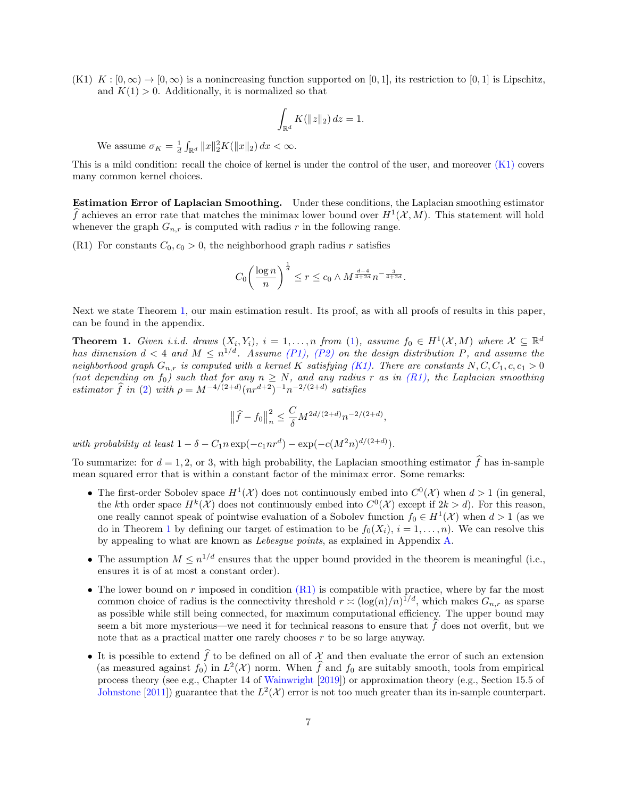<span id="page-6-1"></span> $(K1)$   $K : [0, \infty) \to [0, \infty)$  is a nonincreasing function supported on [0, 1], its restriction to [0, 1] is Lipschitz, and  $K(1) > 0$ . Additionally, it is normalized so that

$$
\int_{\mathbb{R}^d} K(\|z\|_2) dz = 1.
$$

We assume  $\sigma_K = \frac{1}{d} \int_{\mathbb{R}^d} ||x||_2^2 K(||x||_2) dx < \infty$ .

This is a mild condition: recall the choice of kernel is under the control of the user, and moreover [\(K1\)](#page-6-1) covers many common kernel choices.

Estimation Error of Laplacian Smoothing. Under these conditions, the Laplacian smoothing estimator  $\widehat{f}$  achieves an error rate that matches the minimax lower bound over  $H^1(\mathcal{X}, M)$ . This statement will hold whenever the graph  $G_{n,r}$  is computed with radius r in the following range.

<span id="page-6-2"></span>(R1) For constants  $C_0$ ,  $c_0 > 0$ , the neighborhood graph radius r satisfies

$$
C_0 \left(\frac{\log n}{n}\right)^{\frac{1}{d}} \le r \le c_0 \wedge M^{\frac{d-4}{4+2d}} n^{-\frac{3}{4+2d}}.
$$

Next we state Theorem [1,](#page-6-0) our main estimation result. Its proof, as with all proofs of results in this paper, can be found in the appendix.

<span id="page-6-0"></span>**Theorem 1.** Given i.i.d. draws  $(X_i, Y_i)$ ,  $i = 1, ..., n$  from [\(1\)](#page-0-1), assume  $f_0 \in H^1(\mathcal{X}, M)$  where  $\mathcal{X} \subseteq \mathbb{R}^d$ has dimension  $d < 4$  and  $M \leq n^{1/d}$ . Assume [\(P1\),](#page-4-1) [\(P2\)](#page-4-2) on the design distribution P, and assume the neighborhood graph  $G_{n,r}$  is computed with a kernel K satisfying [\(K1\).](#page-6-1) There are constants  $N, C, C_1, c, c_1 > 0$ (not depending on  $f_0$ ) such that for any  $n \geq N$ , and any radius r as in [\(R1\),](#page-6-2) the Laplacian smoothing estimator  $\hat{f}$  in [\(2\)](#page-0-0) with  $\rho = M^{-4/(2+d)} (nr^{d+2})^{-1} n^{-2/(2+d)}$  satisfies

$$
\left\|\widehat{f}-f_0\right\|_n^2 \le \frac{C}{\delta}M^{2d/(2+d)}n^{-2/(2+d)},
$$

with probability at least  $1 - \delta - C_1 n \exp(-c_1 n r^d) - \exp(-c(M^2 n)^{d/(2+d)})$ .

To summarize: for  $d = 1, 2$ , or 3, with high probability, the Laplacian smoothing estimator  $\hat{f}$  has in-sample mean squared error that is within a constant factor of the minimax error. Some remarks:

- The first-order Sobolev space  $H^1(\mathcal{X})$  does not continuously embed into  $C^0(\mathcal{X})$  when  $d > 1$  (in general, the kth order space  $H^k(\mathcal{X})$  does not continuously embed into  $C^0(\mathcal{X})$  except if  $2k > d$ ). For this reason, one really cannot speak of pointwise evaluation of a Sobolev function  $f_0 \in H^1(\mathcal{X})$  when  $d > 1$  (as we do in Theorem [1](#page-6-0) by defining our target of estimation to be  $f_0(X_i)$ ,  $i = 1, \ldots, n$ ). We can resolve this by appealing to what are known as Lebesgue points, as explained in Appendix [A.](#page-15-17)
- The assumption  $M \leq n^{1/d}$  ensures that the upper bound provided in the theorem is meaningful (i.e., ensures it is of at most a constant order).
- The lower bound on r imposed in condition  $(R1)$  is compatible with practice, where by far the most common choice of radius is the connectivity threshold  $r \asymp (\log(n)/n)^{1/d}$ , which makes  $G_{n,r}$  as sparse as possible while still being connected, for maximum computational efficiency. The upper bound may seem a bit more mysterious—we need it for technical reasons to ensure that  $\hat{f}$  does not overfit, but we note that as a practical matter one rarely chooses  $r$  to be so large anyway.
- It is possible to extend  $\hat{f}$  to be defined on all of X and then evaluate the error of such an extension (as measured against  $f_0$ ) in  $L^2(\mathcal{X})$  norm. When  $\hat{f}$  and  $f_0$  are suitably smooth, tools from empirical process theory (see e.g., Chapter 14 of [Wainwright](#page-15-18) [\[2019\]](#page-15-18)) or approximation theory (e.g., Section 15.5 of [Johnstone](#page-14-14) [\[2011\]](#page-14-14)) guarantee that the  $L^2(\mathcal{X})$  error is not too much greater than its in-sample counterpart.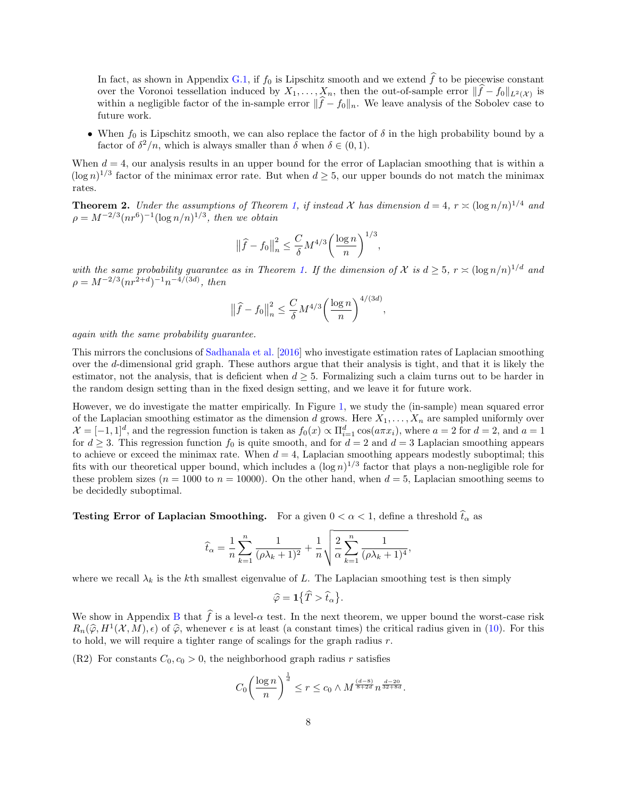In fact, as shown in Appendix [G.1,](#page-40-0) if  $f_0$  is Lipschitz smooth and we extend  $\hat{f}$  to be piecewise constant over the Voronoi tessellation induced by  $X_1, \ldots, X_n$ , then the out-of-sample error  $||f - f_0||_{L^2(\mathcal{X})}$  is within a negligible factor of the in-sample error  $\|\hat{f} - f_0\|_n$ . We leave analysis of the Sobolev case to future work.

• When  $f_0$  is Lipschitz smooth, we can also replace the factor of  $\delta$  in the high probability bound by a factor of  $\delta^2/n$ , which is always smaller than  $\delta$  when  $\delta \in (0,1)$ .

When  $d = 4$ , our analysis results in an upper bound for the error of Laplacian smoothing that is within a  $(\log n)^{1/3}$  factor of the minimax error rate. But when  $d \geq 5$ , our upper bounds do not match the minimax rates.

<span id="page-7-1"></span>**Theorem 2.** Under the assumptions of Theorem [1,](#page-6-0) if instead X has dimension  $d = 4$ ,  $r \approx (\log n/n)^{1/4}$  and  $\rho = M^{-2/3} (nr^6)^{-1} (\log n/n)^{1/3}$ , then we obtain

$$
\left\|\widehat{f} - f_0\right\|_n^2 \le \frac{C}{\delta} M^{4/3} \left(\frac{\log n}{n}\right)^{1/3},
$$

with the same probability guarantee as in Theorem [1.](#page-6-0) If the dimension of X is  $d \geq 5$ ,  $r \asymp (\log n/n)^{1/d}$  and  $\rho = M^{-2/3} (nr^{2+d})^{-1} n^{-4/(3d)}$ , then

$$
\left\|\widehat{f} - f_0\right\|_n^2 \le \frac{C}{\delta} M^{4/3} \left(\frac{\log n}{n}\right)^{4/(3d)}
$$

,

again with the same probability guarantee.

This mirrors the conclusions of [Sadhanala et al.](#page-14-4) [\[2016\]](#page-14-4) who investigate estimation rates of Laplacian smoothing over the d-dimensional grid graph. These authors argue that their analysis is tight, and that it is likely the estimator, not the analysis, that is deficient when  $d \geq 5$ . Formalizing such a claim turns out to be harder in the random design setting than in the fixed design setting, and we leave it for future work.

However, we do investigate the matter empirically. In Figure [1,](#page-8-0) we study the (in-sample) mean squared error of the Laplacian smoothing estimator as the dimension d grows. Here  $X_1, \ldots, X_n$  are sampled uniformly over  $\mathcal{X} = [-1,1]^d$ , and the regression function is taken as  $f_0(x) \propto \prod_{i=1}^d \cos(a\pi x_i)$ , where  $a = 2$  for  $d = 2$ , and  $a = 1$ for  $d \geq 3$ . This regression function  $f_0$  is quite smooth, and for  $d = 2$  and  $d = 3$  Laplacian smoothing appears to achieve or exceed the minimax rate. When  $d = 4$ , Laplacian smoothing appears modestly suboptimal; this fits with our theoretical upper bound, which includes a  $(\log n)^{1/3}$  factor that plays a non-negligible role for these problem sizes ( $n = 1000$  to  $n = 10000$ ). On the other hand, when  $d = 5$ , Laplacian smoothing seems to be decidedly suboptimal.

**Testing Error of Laplacian Smoothing.** For a given  $0 < \alpha < 1$ , define a threshold  $\hat{t}_{\alpha}$  as

$$
\widehat{t}_{\alpha} = \frac{1}{n} \sum_{k=1}^{n} \frac{1}{(\rho \lambda_k + 1)^2} + \frac{1}{n} \sqrt{\frac{2}{\alpha} \sum_{k=1}^{n} \frac{1}{(\rho \lambda_k + 1)^4}},
$$

where we recall  $\lambda_k$  is the kth smallest eigenvalue of L. The Laplacian smoothing test is then simply

$$
\widehat{\varphi} = \mathbf{1}\big\{\widehat{T} > \widehat{t}_{\alpha}\big\}.
$$

We show in Appendix [B](#page-16-0) that  $\hat{f}$  is a level- $\alpha$  test. In the next theorem, we upper bound the worst-case risk  $R_n(\hat{\varphi}, H^1(\mathcal{X}, M), \epsilon)$  of  $\hat{\varphi}$ , whenever  $\epsilon$  is at least (a constant times) the critical radius given in [\(10\)](#page-5-2). For this to hold, we will require a tighter range of scalings for the graph radius  $r$ .

<span id="page-7-0"></span>(R2) For constants  $C_0$ ,  $c_0 > 0$ , the neighborhood graph radius r satisfies

$$
C_0 \left(\frac{\log n}{n}\right)^{\frac{1}{d}} \le r \le c_0 \wedge M^{\frac{(d-8)}{8+2d}} n^{\frac{d-20}{32+8d}}.
$$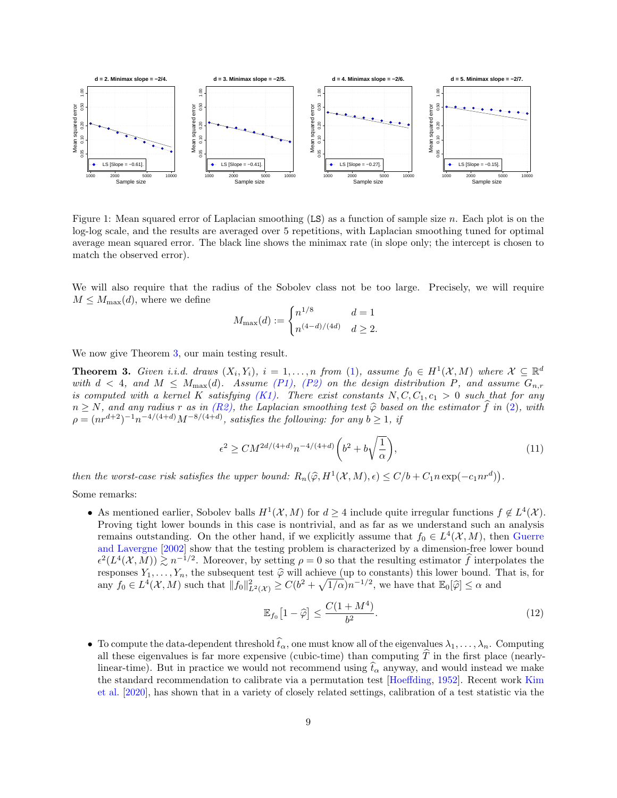

<span id="page-8-0"></span>Figure 1: Mean squared error of Laplacian smoothing  $(LS)$  as a function of sample size n. Each plot is on the log-log scale, and the results are averaged over 5 repetitions, with Laplacian smoothing tuned for optimal average mean squared error. The black line shows the minimax rate (in slope only; the intercept is chosen to match the observed error).

We will also require that the radius of the Sobolev class not be too large. Precisely, we will require  $M \leq M_{\text{max}}(d)$ , where we define

$$
M_{\max}(d) := \begin{cases} n^{1/8} & d = 1\\ n^{(4-d)/(4d)} & d \ge 2. \end{cases}
$$

We now give Theorem [3,](#page-8-1) our main testing result.

<span id="page-8-1"></span>**Theorem 3.** Given i.i.d. draws  $(X_i, Y_i)$ ,  $i = 1, ..., n$  from [\(1\)](#page-0-1), assume  $f_0 \in H^1(\mathcal{X}, M)$  where  $\mathcal{X} \subseteq \mathbb{R}^d$ with  $d < 4$ , and  $M \leq M_{\text{max}}(d)$ . Assume [\(P1\),](#page-4-1) [\(P2\)](#page-4-2) on the design distribution P, and assume  $G_{n,r}$ is computed with a kernel K satisfying  $(K1)$ . There exist constants  $N, C, C_1, c_1 > 0$  such that for any  $n \geq N$ , and any radius r as in [\(R2\),](#page-7-0) the Laplacian smoothing test  $\hat{\varphi}$  based on the estimator  $\hat{f}$  in [\(2\)](#page-0-0), with  $\rho = (nr^{d+2})^{-1}n^{-4/(4+d)}M^{-8/(4+d)}$ , satisfies the following: for any  $b \ge 1$ , if

<span id="page-8-2"></span>
$$
\epsilon^2 \ge CM^{2d/(4+d)}n^{-4/(4+d)}\left(b^2 + b\sqrt{\frac{1}{\alpha}}\right),\tag{11}
$$

then the worst-case risk satisfies the upper bound:  $R_n(\hat{\varphi}, H^1(\mathcal{X}, M), \epsilon) \le C/b + C_1 n \exp(-c_1 n r^d)$ .

Some remarks:

• As mentioned earlier, Sobolev balls  $H^1(\mathcal{X}, M)$  for  $d \geq 4$  include quite irregular functions  $f \notin L^4(\mathcal{X})$ . Proving tight lower bounds in this case is nontrivial, and as far as we understand such an analysis remains outstanding. On the other hand, if we explicitly assume that  $f_0 \in L^4(\mathcal{X}, M)$ , then [Guerre](#page-14-15) [and Lavergne](#page-14-15) [\[2002\]](#page-14-15) show that the testing problem is characterized by a dimension-free lower bound  $\epsilon^2(L^4(\mathcal{X}, M)) \gtrsim n^{-1/2}$ . Moreover, by setting  $\rho = 0$  so that the resulting estimator  $\hat{f}$  interpolates the responses  $Y_1, \ldots, Y_n$ , the subsequent test  $\hat{\varphi}$  will achieve (up to constants) this lower bound. That is, for any  $f_0 \in L^4(\mathcal{X}, M)$  such that  $||f_0||^2_{L^2(\mathcal{X})} \geq C(b^2 + \sqrt{1/\alpha})n^{-1/2}$ , we have that  $\mathbb{E}_0[\hat{\varphi}] \leq \alpha$  and

<span id="page-8-3"></span>
$$
\mathbb{E}_{f_0}\left[1-\widehat{\varphi}\right] \le \frac{C(1+M^4)}{b^2}.\tag{12}
$$

• To compute the data-dependent threshold  $\hat{t}_\alpha$ , one must know all of the eigenvalues  $\lambda_1, \ldots, \lambda_n$ . Computing all these eigenvalues is far more expensive (cubic-time) than computing  $\hat{T}$  in the first place (nearlylinear-time). But in practice we would not recommend using  $\hat{t}_{\alpha}$  anyway, and would instead we make the standard recommendation to calibrate via a permutation test [\[Hoeffding,](#page-14-16) [1952\]](#page-14-16). Recent work [Kim](#page-14-17) [et al.](#page-14-17) [\[2020\]](#page-14-17), has shown that in a variety of closely related settings, calibration of a test statistic via the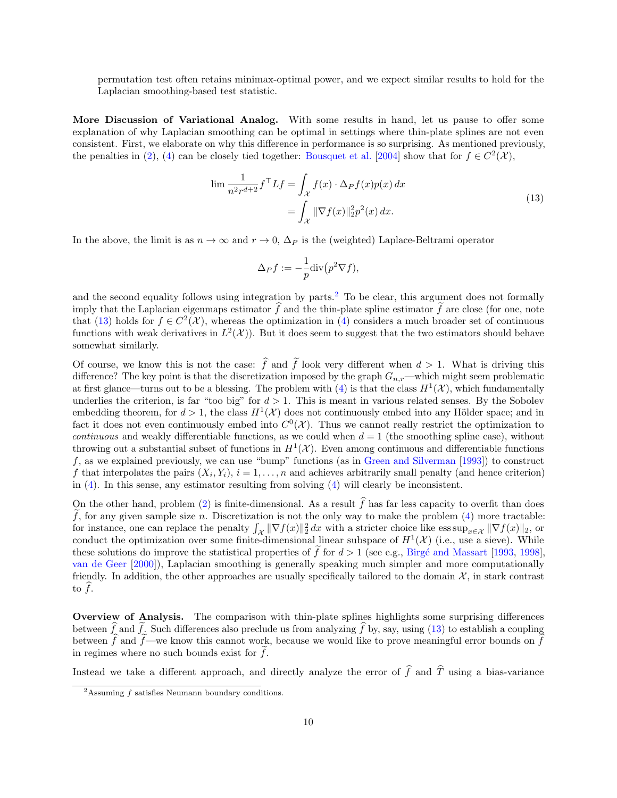permutation test often retains minimax-optimal power, and we expect similar results to hold for the Laplacian smoothing-based test statistic.

More Discussion of Variational Analog. With some results in hand, let us pause to offer some explanation of why Laplacian smoothing can be optimal in settings where thin-plate splines are not even consistent. First, we elaborate on why this difference in performance is so surprising. As mentioned previously, the penalties in [\(2\)](#page-0-0), [\(4\)](#page-2-0) can be closely tied together: [Bousquet et al.](#page-13-4) [\[2004\]](#page-13-4) show that for  $f \in C^2(\mathcal{X})$ ,

<span id="page-9-1"></span>
$$
\lim \frac{1}{n^2 r^{d+2}} f^\top L f = \int_{\mathcal{X}} f(x) \cdot \Delta_P f(x) p(x) dx
$$

$$
= \int_{\mathcal{X}} ||\nabla f(x)||_2^2 p^2(x) dx.
$$
 (13)

In the above, the limit is as  $n \to \infty$  and  $r \to 0$ ,  $\Delta_P$  is the (weighted) Laplace-Beltrami operator

$$
\Delta_P f := -\frac{1}{p} \text{div} (p^2 \nabla f),
$$

and the second equality follows using integration by parts.<sup>[2](#page-9-0)</sup> To be clear, this argument does not formally imply that the Laplacian eigenmaps estimator  $\hat{f}$  and the thin-plate spline estimator  $\tilde{f}$  are close (for one, note that [\(13\)](#page-9-1) holds for  $f \in C^2(\mathcal{X})$ , whereas the optimization in [\(4\)](#page-2-0) considers a much broader set of continuous functions with weak derivatives in  $L^2(\mathcal{X})$ . But it does seem to suggest that the two estimators should behave somewhat similarly.

Of course, we know this is not the case:  $\hat{f}$  and  $\tilde{f}$  look very different when  $d > 1$ . What is driving this difference? The key point is that the discretization imposed by the graph  $G_{n,r}$ —which might seem problematic at first glance—turns out to be a blessing. The problem with [\(4\)](#page-2-0) is that the class  $H^1(\mathcal{X})$ , which fundamentally underlies the criterion, is far "too big" for  $d > 1$ . This is meant in various related senses. By the Sobolev embedding theorem, for  $d > 1$ , the class  $H^1(\mathcal{X})$  does not continuously embed into any Hölder space; and in fact it does not even continuously embed into  $C^0(\mathcal{X})$ . Thus we cannot really restrict the optimization to *continuous* and weakly differentiable functions, as we could when  $d = 1$  (the smoothing spline case), without throwing out a substantial subset of functions in  $H^1(\mathcal{X})$ . Even among continuous and differentiable functions  $f$ , as we explained previously, we can use "bump" functions (as in [Green and Silverman](#page-13-2) [\[1993\]](#page-13-2)) to construct f that interpolates the pairs  $(X_i, Y_i)$ ,  $i = 1, ..., n$  and achieves arbitrarily small penalty (and hence criterion) in [\(4\)](#page-2-0). In this sense, any estimator resulting from solving [\(4\)](#page-2-0) will clearly be inconsistent.

On the other hand, problem [\(2\)](#page-0-0) is finite-dimensional. As a result  $\hat{f}$  has far less capacity to overfit than does  $\tilde{f}$ , for any given sample size n. Discretization is not the only way to make the problem [\(4\)](#page-2-0) more tractable: for instance, one can replace the penalty  $\int_{\mathcal{X}} \|\nabla f(x)\|_2^2 dx$  with a stricter choice like  $\operatorname{ess \, sup}_{x \in \mathcal{X}} \|\nabla f(x)\|_2$ , or conduct the optimization over some finite-dimensional linear subspace of  $H^1(\mathcal{X})$  (i.e., use a sieve). While these solutions do improve the statistical properties of f for  $d > 1$  (see e.g., Birgé and Massart [\[1993,](#page-13-5) [1998\]](#page-13-6), [van de Geer](#page-15-16) [\[2000\]](#page-15-16)), Laplacian smoothing is generally speaking much simpler and more computationally friendly. In addition, the other approaches are usually specifically tailored to the domain  $\mathcal{X}$ , in stark contrast to  $f$ .

Overview of Analysis. The comparison with thin-plate splines highlights some surprising differences between f and f. Such differences also preclude us from analyzing f by, say, using [\(13\)](#page-9-1) to establish a coupling between f and f—we know this cannot work, because we would like to prove meaningful error bounds on f in regimes where no such bounds exist for  $f$ .

Instead we take a different approach, and directly analyze the error of  $\hat{f}$  and  $\hat{T}$  using a bias-variance

<span id="page-9-0"></span><sup>2</sup>Assuming f satisfies Neumann boundary conditions.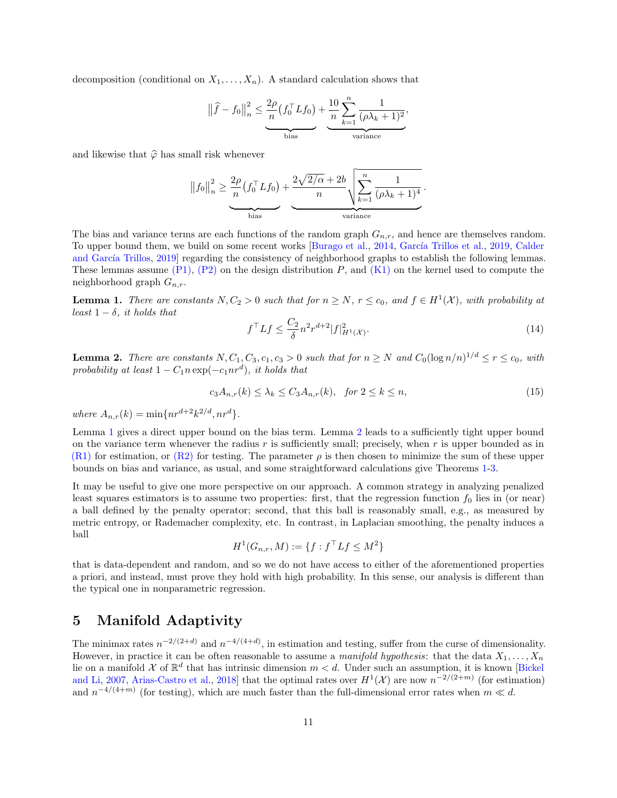decomposition (conditional on  $X_1, \ldots, X_n$ ). A standard calculation shows that

$$
\left\|\widehat{f} - f_0\right\|_n^2 \le \underbrace{\frac{2\rho}{n} (f_0^{\top} L f_0)}_{\text{bias}} + \underbrace{\frac{10}{n} \sum_{k=1}^n \frac{1}{(\rho \lambda_k + 1)^2}}_{\text{variance}},
$$

and likewise that  $\hat{\varphi}$  has small risk whenever

$$
||f_0||_n^2 \ge \frac{2\rho}{n} \left(f_0^\top L f_0\right) + \frac{2\sqrt{2/\alpha} + 2b}{n} \sqrt{\sum_{k=1}^n \frac{1}{(\rho \lambda_k + 1)^4}}.
$$

The bias and variance terms are each functions of the random graph  $G_{n,r}$ , and hence are themselves random. To upper bound them, we build on some recent works [\[Burago et al.,](#page-13-7) [2014,](#page-13-7) García Trillos et al., [2019,](#page-13-8) [Calder](#page-13-9) and García Trillos, [2019\]](#page-13-9) regarding the consistency of neighborhood graphs to establish the following lemmas. These lemmas assume  $(P1)$ ,  $(P2)$  on the design distribution P, and  $(K1)$  on the kernel used to compute the neighborhood graph  $G_{n,r}$ .

<span id="page-10-0"></span>**Lemma 1.** There are constants  $N, C_2 > 0$  such that for  $n \ge N$ ,  $r \le c_0$ , and  $f \in H^1(\mathcal{X})$ , with probability at least  $1 - \delta$ , it holds that

<span id="page-10-2"></span>
$$
f^{\top}Lf \le \frac{C_2}{\delta} n^2 r^{d+2} |f|_{H^1(\mathcal{X})}^2. \tag{14}
$$

<span id="page-10-1"></span>**Lemma 2.** There are constants  $N, C_1, C_3, c_1, c_3 > 0$  such that for  $n \ge N$  and  $C_0(\log n/n)^{1/d} \le r \le c_0$ , with probability at least  $1 - C_1 n \exp(-c_1 nr^d)$ , it holds that

<span id="page-10-3"></span>
$$
c_3 A_{n,r}(k) \le \lambda_k \le C_3 A_{n,r}(k), \quad \text{for } 2 \le k \le n,
$$
\n
$$
(15)
$$

where  $A_{n,r}(k) = \min\{nr^{d+2}k^{2/d}, nr^d\}.$ 

Lemma [1](#page-10-0) gives a direct upper bound on the bias term. Lemma [2](#page-10-1) leads to a sufficiently tight upper bound on the variance term whenever the radius  $r$  is sufficiently small; precisely, when  $r$  is upper bounded as in  $(R1)$  for estimation, or  $(R2)$  for testing. The parameter  $\rho$  is then chosen to minimize the sum of these upper bounds on bias and variance, as usual, and some straightforward calculations give Theorems [1-](#page-6-0)[3.](#page-8-1)

It may be useful to give one more perspective on our approach. A common strategy in analyzing penalized least squares estimators is to assume two properties: first, that the regression function  $f_0$  lies in (or near) a ball defined by the penalty operator; second, that this ball is reasonably small, e.g., as measured by metric entropy, or Rademacher complexity, etc. In contrast, in Laplacian smoothing, the penalty induces a ball

$$
H^1(G_{n,r}, M) := \{ f : f^\top L f \le M^2 \}
$$

that is data-dependent and random, and so we do not have access to either of the aforementioned properties a priori, and instead, must prove they hold with high probability. In this sense, our analysis is different than the typical one in nonparametric regression.

## 5 Manifold Adaptivity

The minimax rates  $n^{-2/(2+d)}$  and  $n^{-4/(4+d)}$ , in estimation and testing, suffer from the curse of dimensionality. However, in practice it can be often reasonable to assume a manifold hypothesis: that the data  $X_1, \ldots, X_n$ lie on a manifold X of  $\mathbb{R}^d$  that has intrinsic dimension  $m < d$ . Under such an assumption, it is known [\[Bickel](#page-13-10) [and Li,](#page-13-10) [2007,](#page-13-10) [Arias-Castro et al.,](#page-12-3) [2018\]](#page-12-3) that the optimal rates over  $H^1(\mathcal{X})$  are now  $n^{-2/(2+m)}$  (for estimation) and  $n^{-4/(4+m)}$  (for testing), which are much faster than the full-dimensional error rates when  $m \ll d$ .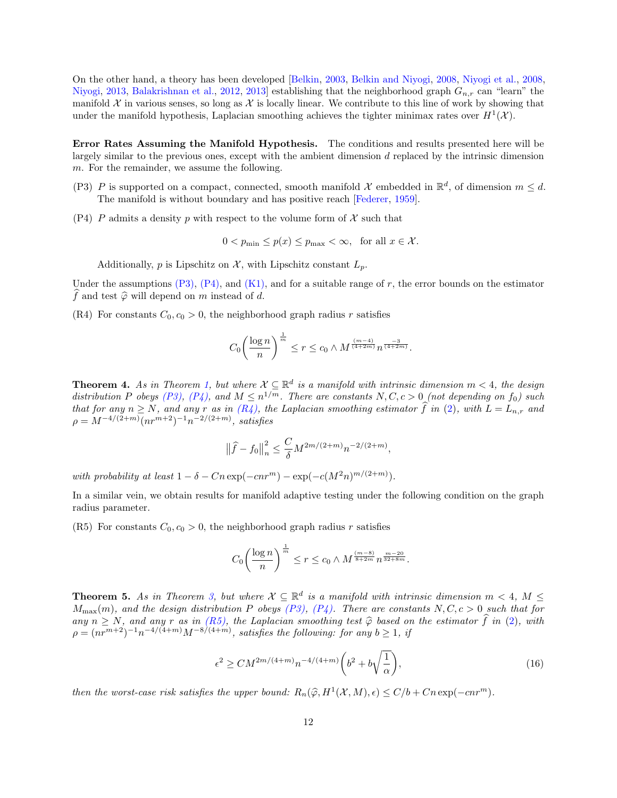On the other hand, a theory has been developed [\[Belkin,](#page-12-6) [2003,](#page-12-6) [Belkin and Niyogi,](#page-12-7) [2008,](#page-12-7) [Niyogi et al.,](#page-14-18) [2008,](#page-14-18) [Niyogi,](#page-14-19) [2013,](#page-14-19) [Balakrishnan et al.,](#page-12-8) [2012,](#page-12-8) [2013\]](#page-12-9) establishing that the neighborhood graph  $G_{n,r}$  can "learn" the manifold X in various senses, so long as X is locally linear. We contribute to this line of work by showing that under the manifold hypothesis, Laplacian smoothing achieves the tighter minimax rates over  $H^1(\mathcal{X})$ .

Error Rates Assuming the Manifold Hypothesis. The conditions and results presented here will be largely similar to the previous ones, except with the ambient dimension d replaced by the intrinsic dimension m. For the remainder, we assume the following.

- <span id="page-11-1"></span>(P3) P is supported on a compact, connected, smooth manifold X embedded in  $\mathbb{R}^d$ , of dimension  $m \leq d$ . The manifold is without boundary and has positive reach [\[Federer,](#page-13-11) [1959\]](#page-13-11).
- <span id="page-11-2"></span>(P4) P admits a density p with respect to the volume form of  $\mathcal X$  such that

$$
0 < p_{\min} \le p(x) \le p_{\max} < \infty, \quad \text{for all } x \in \mathcal{X}.
$$

Additionally, p is Lipschitz on  $\mathcal{X}$ , with Lipschitz constant  $L_p$ .

Under the assumptions  $(P3)$ ,  $(P4)$ , and  $(K1)$ , and for a suitable range of r, the error bounds on the estimator f and test  $\hat{\varphi}$  will depend on m instead of d.

<span id="page-11-3"></span>(R4) For constants  $C_0$ ,  $c_0 > 0$ , the neighborhood graph radius r satisfies

$$
C_0 \left(\frac{\log n}{n}\right)^{\frac{1}{m}} \le r \le c_0 \wedge M^{\frac{(m-4)}{(4+2m)}} n^{\frac{-3}{(4+2m)}}.
$$

<span id="page-11-5"></span>**Theorem 4.** As in Theorem [1,](#page-6-0) but where  $\mathcal{X} \subseteq \mathbb{R}^d$  is a manifold with intrinsic dimension  $m < 4$ , the design distribution P obeys [\(P3\),](#page-11-1) [\(P4\),](#page-11-2) and  $M \leq n^{1/m}$ . There are constants N, C, c > 0 (not depending on  $f_0$ ) such that for any  $n \ge N$ , and any r as in  $(R_4)$ , the Laplacian smoothing estimator f in [\(2\)](#page-0-0), with  $L = L_{n,r}$  and  $\rho = M^{-4/(2+m)}(nr^{m+2})^{-1}n^{-2/(2+m)}$ , satisfies

$$
\left\|\widehat{f}-f_0\right\|_n^2 \le \frac{C}{\delta}M^{2m/(2+m)}n^{-2/(2+m)},
$$

with probability at least  $1 - \delta - Cn \exp(-cnr^m) - \exp(-c(M^2n)^{m/(2+m)})$ .

In a similar vein, we obtain results for manifold adaptive testing under the following condition on the graph radius parameter.

<span id="page-11-4"></span>(R5) For constants  $C_0$ ,  $c_0 > 0$ , the neighborhood graph radius r satisfies

$$
C_0 \left(\frac{\log n}{n}\right)^{\frac{1}{m}} \le r \le c_0 \wedge M^{\frac{(m-8)}{8+2m}} n^{\frac{m-20}{32+8m}}.
$$

<span id="page-11-0"></span>**Theorem 5.** As in Theorem [3,](#page-8-1) but where  $\mathcal{X} \subseteq \mathbb{R}^d$  is a manifold with intrinsic dimension  $m < 4$ ,  $M \leq$  $M_{\text{max}}(m)$ , and the design distribution P obeys [\(P3\),](#page-11-1) [\(P4\).](#page-11-2) There are constants  $N, C, c > 0$  such that for any  $n \geq N$ , and any r as in [\(R5\),](#page-11-4) the Laplacian smoothing test  $\hat{\varphi}$  based on the estimator  $\hat{f}$  in [\(2\)](#page-0-0), with  $\rho = (nr^{m+2})^{-1}n^{-4/(4+m)}M^{-8/(4+m)}$ , satisfies the following: for any  $b \ge 1$ , if

$$
\epsilon^2 \ge CM^{2m/(4+m)} n^{-4/(4+m)} \left(b^2 + b\sqrt{\frac{1}{\alpha}}\right),\tag{16}
$$

then the worst-case risk satisfies the upper bound:  $R_n(\hat{\varphi}, H^1(\mathcal{X}, M), \epsilon) \leq C/b + Cn \exp(-cnr^m)$ .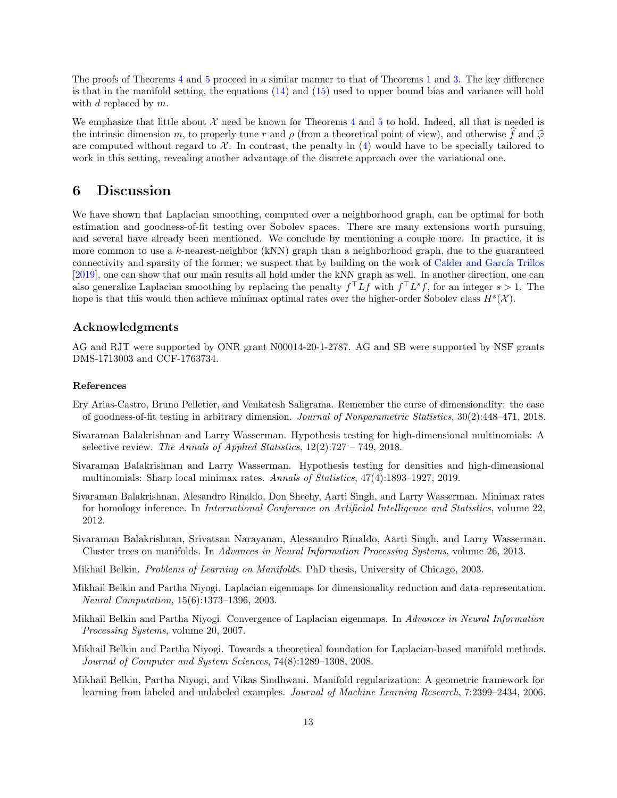The proofs of Theorems [4](#page-11-5) and [5](#page-11-0) proceed in a similar manner to that of Theorems [1](#page-6-0) and [3.](#page-8-1) The key difference is that in the manifold setting, the equations  $(14)$  and  $(15)$  used to upper bound bias and variance will hold with  $d$  replaced by  $m$ .

We emphasize that little about  $\mathcal X$  need be known for Theorems [4](#page-11-5) and [5](#page-11-0) to hold. Indeed, all that is needed is the intrinsic dimension m, to properly tune r and  $\rho$  (from a theoretical point of view), and otherwise f and  $\hat{\varphi}$ are computed without regard to  $\mathcal{X}$ . In contrast, the penalty in [\(4\)](#page-2-0) would have to be specially tailored to work in this setting, revealing another advantage of the discrete approach over the variational one.

### 6 Discussion

We have shown that Laplacian smoothing, computed over a neighborhood graph, can be optimal for both estimation and goodness-of-fit testing over Sobolev spaces. There are many extensions worth pursuing, and several have already been mentioned. We conclude by mentioning a couple more. In practice, it is more common to use a k-nearest-neighbor (kNN) graph than a neighborhood graph, due to the guaranteed connectivity and sparsity of the former; we suspect that by building on the work of Calder and García Trillos [\[2019\]](#page-13-9), one can show that our main results all hold under the kNN graph as well. In another direction, one can also generalize Laplacian smoothing by replacing the penalty  $f<sup>T</sup> L f$  with  $f<sup>T</sup> L<sup>s</sup> f$ , for an integer  $s > 1$ . The hope is that this would then achieve minimax optimal rates over the higher-order Sobolev class  $H^s(\mathcal{X})$ .

#### Acknowledgments

AG and RJT were supported by ONR grant N00014-20-1-2787. AG and SB were supported by NSF grants DMS-1713003 and CCF-1763734.

#### References

- <span id="page-12-3"></span>Ery Arias-Castro, Bruno Pelletier, and Venkatesh Saligrama. Remember the curse of dimensionality: the case of goodness-of-fit testing in arbitrary dimension. Journal of Nonparametric Statistics, 30(2):448–471, 2018.
- <span id="page-12-5"></span>Sivaraman Balakrishnan and Larry Wasserman. Hypothesis testing for high-dimensional multinomials: A selective review. The Annals of Applied Statistics,  $12(2)$ :727 – 749, 2018.
- <span id="page-12-4"></span>Sivaraman Balakrishnan and Larry Wasserman. Hypothesis testing for densities and high-dimensional multinomials: Sharp local minimax rates. Annals of Statistics, 47(4):1893–1927, 2019.
- <span id="page-12-8"></span>Sivaraman Balakrishnan, Alesandro Rinaldo, Don Sheehy, Aarti Singh, and Larry Wasserman. Minimax rates for homology inference. In *International Conference on Artificial Intelligence and Statistics*, volume 22, 2012.
- <span id="page-12-9"></span>Sivaraman Balakrishnan, Srivatsan Narayanan, Alessandro Rinaldo, Aarti Singh, and Larry Wasserman. Cluster trees on manifolds. In Advances in Neural Information Processing Systems, volume 26, 2013.
- <span id="page-12-6"></span>Mikhail Belkin. Problems of Learning on Manifolds. PhD thesis, University of Chicago, 2003.
- <span id="page-12-0"></span>Mikhail Belkin and Partha Niyogi. Laplacian eigenmaps for dimensionality reduction and data representation. Neural Computation, 15(6):1373–1396, 2003.
- <span id="page-12-2"></span>Mikhail Belkin and Partha Niyogi. Convergence of Laplacian eigenmaps. In Advances in Neural Information Processing Systems, volume 20, 2007.
- <span id="page-12-7"></span>Mikhail Belkin and Partha Niyogi. Towards a theoretical foundation for Laplacian-based manifold methods. Journal of Computer and System Sciences, 74(8):1289–1308, 2008.
- <span id="page-12-1"></span>Mikhail Belkin, Partha Niyogi, and Vikas Sindhwani. Manifold regularization: A geometric framework for learning from labeled and unlabeled examples. Journal of Machine Learning Research, 7:2399–2434, 2006.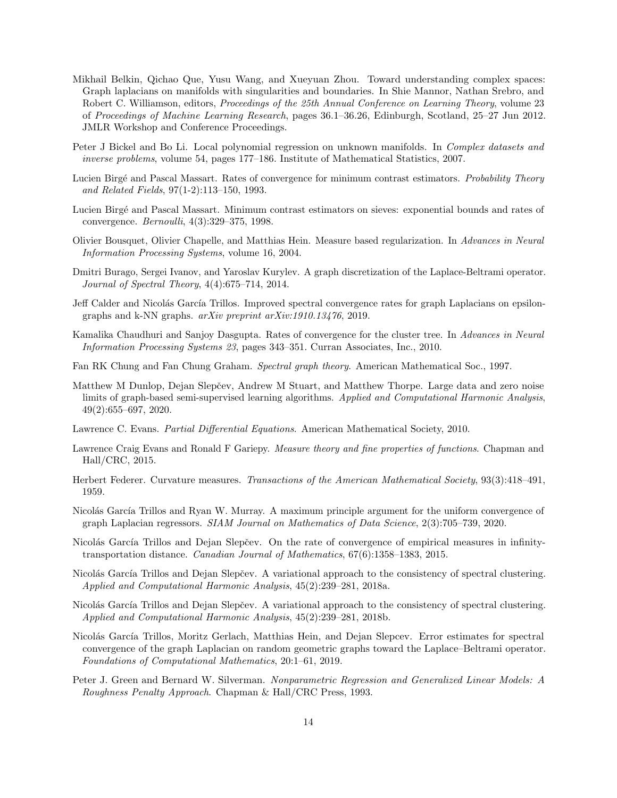- <span id="page-13-14"></span>Mikhail Belkin, Qichao Que, Yusu Wang, and Xueyuan Zhou. Toward understanding complex spaces: Graph laplacians on manifolds with singularities and boundaries. In Shie Mannor, Nathan Srebro, and Robert C. Williamson, editors, *Proceedings of the 25th Annual Conference on Learning Theory*, volume 23 of Proceedings of Machine Learning Research, pages 36.1–36.26, Edinburgh, Scotland, 25–27 Jun 2012. JMLR Workshop and Conference Proceedings.
- <span id="page-13-10"></span>Peter J Bickel and Bo Li. Local polynomial regression on unknown manifolds. In *Complex datasets and* inverse problems, volume 54, pages 177–186. Institute of Mathematical Statistics, 2007.
- <span id="page-13-5"></span>Lucien Birgé and Pascal Massart. Rates of convergence for minimum contrast estimators. Probability Theory and Related Fields, 97(1-2):113–150, 1993.
- <span id="page-13-6"></span>Lucien Birg´e and Pascal Massart. Minimum contrast estimators on sieves: exponential bounds and rates of convergence. Bernoulli, 4(3):329–375, 1998.
- <span id="page-13-4"></span>Olivier Bousquet, Olivier Chapelle, and Matthias Hein. Measure based regularization. In Advances in Neural Information Processing Systems, volume 16, 2004.
- <span id="page-13-7"></span>Dmitri Burago, Sergei Ivanov, and Yaroslav Kurylev. A graph discretization of the Laplace-Beltrami operator. Journal of Spectral Theory, 4(4):675–714, 2014.
- <span id="page-13-9"></span>Jeff Calder and Nicolás García Trillos. Improved spectral convergence rates for graph Laplacians on epsilongraphs and k-NN graphs. arXiv preprint arXiv:1910.13476, 2019.
- <span id="page-13-18"></span>Kamalika Chaudhuri and Sanjoy Dasgupta. Rates of convergence for the cluster tree. In Advances in Neural Information Processing Systems 23, pages 343–351. Curran Associates, Inc., 2010.
- <span id="page-13-16"></span>Fan RK Chung and Fan Chung Graham. Spectral graph theory. American Mathematical Soc., 1997.
- <span id="page-13-15"></span>Matthew M Dunlop, Dejan Slepčev, Andrew M Stuart, and Matthew Thorpe. Large data and zero noise limits of graph-based semi-supervised learning algorithms. Applied and Computational Harmonic Analysis, 49(2):655–697, 2020.
- <span id="page-13-3"></span>Lawrence C. Evans. Partial Differential Equations. American Mathematical Society, 2010.
- <span id="page-13-12"></span>Lawrence Craig Evans and Ronald F Gariepy. Measure theory and fine properties of functions. Chapman and Hall/CRC, 2015.
- <span id="page-13-11"></span>Herbert Federer. Curvature measures. Transactions of the American Mathematical Society, 93(3):418–491, 1959.
- <span id="page-13-1"></span>Nicolás García Trillos and Ryan W. Murray. A maximum principle argument for the uniform convergence of graph Laplacian regressors. SIAM Journal on Mathematics of Data Science, 2(3):705–739, 2020.
- <span id="page-13-17"></span>Nicolás García Trillos and Dejan Slepčev. On the rate of convergence of empirical measures in infinitytransportation distance. Canadian Journal of Mathematics, 67(6):1358–1383, 2015.
- <span id="page-13-13"></span>Nicolás García Trillos and Dejan Slepčev. A variational approach to the consistency of spectral clustering. Applied and Computational Harmonic Analysis, 45(2):239–281, 2018a.
- <span id="page-13-0"></span>Nicolás García Trillos and Dejan Slepčev. A variational approach to the consistency of spectral clustering. Applied and Computational Harmonic Analysis, 45(2):239–281, 2018b.
- <span id="page-13-8"></span>Nicolás García Trillos, Moritz Gerlach, Matthias Hein, and Dejan Slepcev. Error estimates for spectral convergence of the graph Laplacian on random geometric graphs toward the Laplace–Beltrami operator. Foundations of Computational Mathematics, 20:1–61, 2019.
- <span id="page-13-2"></span>Peter J. Green and Bernard W. Silverman. Nonparametric Regression and Generalized Linear Models: A Roughness Penalty Approach. Chapman & Hall/CRC Press, 1993.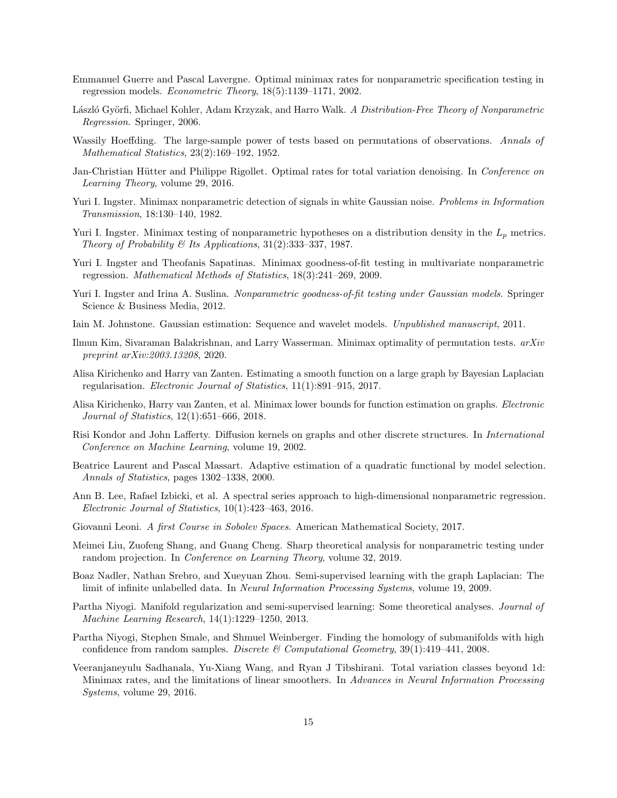- <span id="page-14-15"></span>Emmanuel Guerre and Pascal Lavergne. Optimal minimax rates for nonparametric specification testing in regression models. Econometric Theory, 18(5):1139–1171, 2002.
- <span id="page-14-0"></span>László Györfi, Michael Kohler, Adam Krzyzak, and Harro Walk. A Distribution-Free Theory of Nonparametric Regression. Springer, 2006.
- <span id="page-14-16"></span>Wassily Hoeffding. The large-sample power of tests based on permutations of observations. Annals of Mathematical Statistics, 23(2):169–192, 1952.
- <span id="page-14-3"></span>Jan-Christian Hütter and Philippe Rigollet. Optimal rates for total variation denoising. In Conference on Learning Theory, volume 29, 2016.
- <span id="page-14-11"></span>Yuri I. Ingster. Minimax nonparametric detection of signals in white Gaussian noise. Problems in Information Transmission, 18:130–140, 1982.
- <span id="page-14-12"></span>Yuri I. Ingster. Minimax testing of nonparametric hypotheses on a distribution density in the  $L_p$  metrics. Theory of Probability  $\mathcal B$  Its Applications, 31(2):333-337, 1987.
- <span id="page-14-10"></span>Yuri I. Ingster and Theofanis Sapatinas. Minimax goodness-of-fit testing in multivariate nonparametric regression. Mathematical Methods of Statistics, 18(3):241–269, 2009.
- <span id="page-14-13"></span>Yuri I. Ingster and Irina A. Suslina. Nonparametric goodness-of-fit testing under Gaussian models. Springer Science & Business Media, 2012.
- <span id="page-14-14"></span>Iain M. Johnstone. Gaussian estimation: Sequence and wavelet models. Unpublished manuscript, 2011.
- <span id="page-14-17"></span>Ilmun Kim, Sivaraman Balakrishnan, and Larry Wasserman. Minimax optimality of permutation tests. arXiv preprint arXiv:2003.13208, 2020.
- <span id="page-14-5"></span>Alisa Kirichenko and Harry van Zanten. Estimating a smooth function on a large graph by Bayesian Laplacian regularisation. Electronic Journal of Statistics, 11(1):891–915, 2017.
- <span id="page-14-6"></span>Alisa Kirichenko, Harry van Zanten, et al. Minimax lower bounds for function estimation on graphs. Electronic Journal of Statistics, 12(1):651–666, 2018.
- <span id="page-14-1"></span>Risi Kondor and John Lafferty. Diffusion kernels on graphs and other discrete structures. In International Conference on Machine Learning, volume 19, 2002.
- <span id="page-14-20"></span>Beatrice Laurent and Pascal Massart. Adaptive estimation of a quadratic functional by model selection. Annals of Statistics, pages 1302–1338, 2000.
- <span id="page-14-7"></span>Ann B. Lee, Rafael Izbicki, et al. A spectral series approach to high-dimensional nonparametric regression. Electronic Journal of Statistics, 10(1):423–463, 2016.
- <span id="page-14-9"></span>Giovanni Leoni. A first Course in Sobolev Spaces. American Mathematical Society, 2017.
- <span id="page-14-8"></span>Meimei Liu, Zuofeng Shang, and Guang Cheng. Sharp theoretical analysis for nonparametric testing under random projection. In *Conference on Learning Theory*, volume 32, 2019.
- <span id="page-14-2"></span>Boaz Nadler, Nathan Srebro, and Xueyuan Zhou. Semi-supervised learning with the graph Laplacian: The limit of infinite unlabelled data. In Neural Information Processing Systems, volume 19, 2009.
- <span id="page-14-19"></span>Partha Niyogi. Manifold regularization and semi-supervised learning: Some theoretical analyses. Journal of Machine Learning Research, 14(1):1229–1250, 2013.
- <span id="page-14-18"></span>Partha Niyogi, Stephen Smale, and Shmuel Weinberger. Finding the homology of submanifolds with high confidence from random samples. Discrete & Computational Geometry,  $39(1):419-441$ ,  $2008$ .
- <span id="page-14-4"></span>Veeranjaneyulu Sadhanala, Yu-Xiang Wang, and Ryan J Tibshirani. Total variation classes beyond 1d: Minimax rates, and the limitations of linear smoothers. In Advances in Neural Information Processing Systems, volume 29, 2016.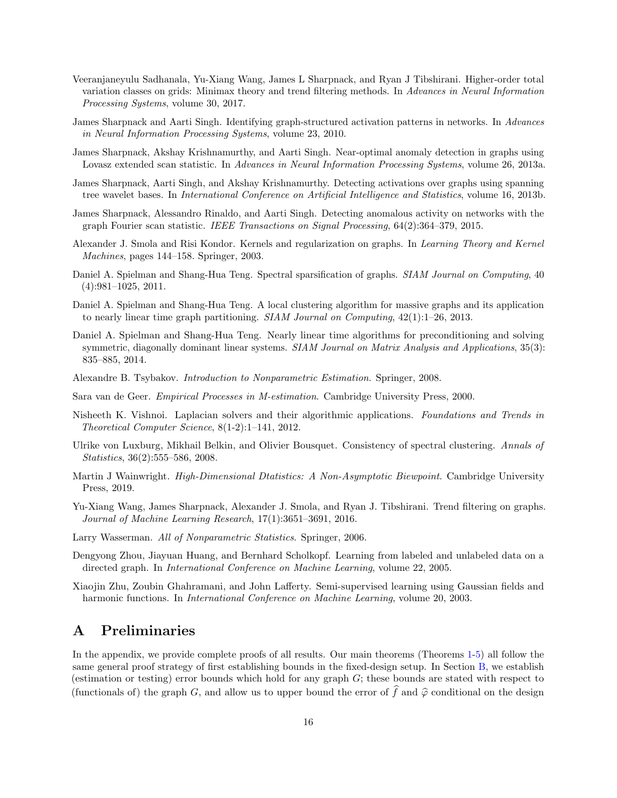- <span id="page-15-10"></span>Veeranjaneyulu Sadhanala, Yu-Xiang Wang, James L Sharpnack, and Ryan J Tibshirani. Higher-order total variation classes on grids: Minimax theory and trend filtering methods. In Advances in Neural Information Processing Systems, volume 30, 2017.
- <span id="page-15-11"></span>James Sharpnack and Aarti Singh. Identifying graph-structured activation patterns in networks. In Advances in Neural Information Processing Systems, volume 23, 2010.
- <span id="page-15-12"></span>James Sharpnack, Akshay Krishnamurthy, and Aarti Singh. Near-optimal anomaly detection in graphs using Lovasz extended scan statistic. In Advances in Neural Information Processing Systems, volume 26, 2013a.
- <span id="page-15-13"></span>James Sharpnack, Aarti Singh, and Akshay Krishnamurthy. Detecting activations over graphs using spanning tree wavelet bases. In International Conference on Artificial Intelligence and Statistics, volume 16, 2013b.
- <span id="page-15-14"></span>James Sharpnack, Alessandro Rinaldo, and Aarti Singh. Detecting anomalous activity on networks with the graph Fourier scan statistic. IEEE Transactions on Signal Processing, 64(2):364–379, 2015.
- <span id="page-15-0"></span>Alexander J. Smola and Risi Kondor. Kernels and regularization on graphs. In Learning Theory and Kernel Machines, pages 144–158. Springer, 2003.
- <span id="page-15-3"></span>Daniel A. Spielman and Shang-Hua Teng. Spectral sparsification of graphs. SIAM Journal on Computing, 40 (4):981–1025, 2011.
- <span id="page-15-4"></span>Daniel A. Spielman and Shang-Hua Teng. A local clustering algorithm for massive graphs and its application to nearly linear time graph partitioning.  $SIAM\ Journal\ on\ Computing\ 42(1):1-26, 2013.$
- <span id="page-15-5"></span>Daniel A. Spielman and Shang-Hua Teng. Nearly linear time algorithms for preconditioning and solving symmetric, diagonally dominant linear systems. *SIAM Journal on Matrix Analysis and Applications*, 35(3): 835–885, 2014.
- <span id="page-15-2"></span>Alexandre B. Tsybakov. Introduction to Nonparametric Estimation. Springer, 2008.
- <span id="page-15-16"></span>Sara van de Geer. Empirical Processes in M-estimation. Cambridge University Press, 2000.
- <span id="page-15-6"></span>Nisheeth K. Vishnoi. Laplacian solvers and their algorithmic applications. Foundations and Trends in Theoretical Computer Science, 8(1-2):1–141, 2012.
- <span id="page-15-15"></span>Ulrike von Luxburg, Mikhail Belkin, and Olivier Bousquet. Consistency of spectral clustering. Annals of Statistics, 36(2):555–586, 2008.
- <span id="page-15-18"></span>Martin J Wainwright. *High-Dimensional Dtatistics: A Non-Asymptotic Biewpoint*. Cambridge University Press, 2019.
- <span id="page-15-9"></span>Yu-Xiang Wang, James Sharpnack, Alexander J. Smola, and Ryan J. Tibshirani. Trend filtering on graphs. Journal of Machine Learning Research, 17(1):3651–3691, 2016.
- <span id="page-15-1"></span>Larry Wasserman. All of Nonparametric Statistics. Springer, 2006.
- <span id="page-15-8"></span>Dengyong Zhou, Jiayuan Huang, and Bernhard Scholkopf. Learning from labeled and unlabeled data on a directed graph. In International Conference on Machine Learning, volume 22, 2005.
- <span id="page-15-7"></span>Xiaojin Zhu, Zoubin Ghahramani, and John Lafferty. Semi-supervised learning using Gaussian fields and harmonic functions. In *International Conference on Machine Learning*, volume 20, 2003.

## <span id="page-15-17"></span>A Preliminaries

In the appendix, we provide complete proofs of all results. Our main theorems (Theorems [1-](#page-6-0)[5\)](#page-11-0) all follow the same general proof strategy of first establishing bounds in the fixed-design setup. In Section [B,](#page-16-0) we establish (estimation or testing) error bounds which hold for any graph G; these bounds are stated with respect to (functionals of) the graph G, and allow us to upper bound the error of f and  $\hat{\varphi}$  conditional on the design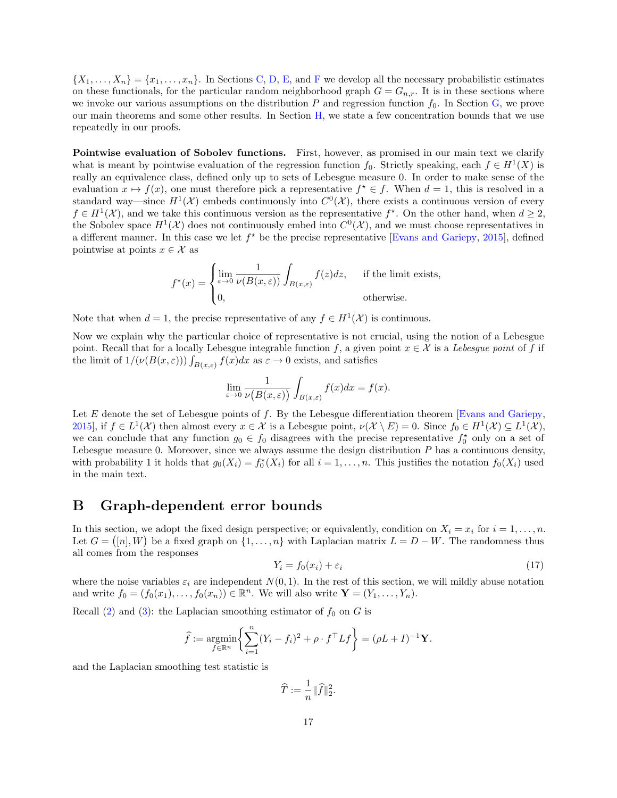$\{X_1,\ldots,X_n\} = \{x_1,\ldots,x_n\}.$  In Sections [C,](#page-20-0) [D,](#page-23-0) [E,](#page-38-0) and [F](#page-39-0) we develop all the necessary probabilistic estimates on these functionals, for the particular random neighborhood graph  $G = G_{n,r}$ . It is in these sections where we invoke our various assumptions on the distribution  $P$  and regression function  $f_0$ . In Section [G,](#page-40-1) we prove our main theorems and some other results. In Section [H,](#page-45-0) we state a few concentration bounds that we use repeatedly in our proofs.

Pointwise evaluation of Sobolev functions. First, however, as promised in our main text we clarify what is meant by pointwise evaluation of the regression function  $f_0$ . Strictly speaking, each  $f \in H^1(X)$  is really an equivalence class, defined only up to sets of Lebesgue measure 0. In order to make sense of the evaluation  $x \mapsto f(x)$ , one must therefore pick a representative  $f^* \in f$ . When  $d = 1$ , this is resolved in a standard way—since  $H^1(\mathcal{X})$  embeds continuously into  $C^0(\mathcal{X})$ , there exists a continuous version of every  $f \in H^1(\mathcal{X})$ , and we take this continuous version as the representative  $f^*$ . On the other hand, when  $d \geq 2$ , the Sobolev space  $H^1(\mathcal{X})$  does not continuously embed into  $C^0(\mathcal{X})$ , and we must choose representatives in a different manner. In this case we let  $f^*$  be the precise representative [\[Evans and Gariepy,](#page-13-12) [2015\]](#page-13-12), defined pointwise at points  $x \in \mathcal{X}$  as

$$
f^{\star}(x) = \begin{cases} \lim_{\varepsilon \to 0} \frac{1}{\nu(B(x,\varepsilon))} \int_{B(x,\varepsilon)} f(z) dz, & \text{if the limit exists,} \\ 0, & \text{otherwise.} \end{cases}
$$

Note that when  $d = 1$ , the precise representative of any  $f \in H^1(\mathcal{X})$  is continuous.

Now we explain why the particular choice of representative is not crucial, using the notion of a Lebesgue point. Recall that for a locally Lebesgue integrable function f, a given point  $x \in \mathcal{X}$  is a Lebesgue point of f if the limit of  $1/(\nu(B(x, \varepsilon))) \int_{B(x, \varepsilon)} f(x) dx$  as  $\varepsilon \to 0$  exists, and satisfies

$$
\lim_{\varepsilon \to 0} \frac{1}{\nu(B(x,\varepsilon))} \int_{B(x,\varepsilon)} f(x) dx = f(x).
$$

Let  $E$  denote the set of Lebesgue points of  $f$ . By the Lebesgue differentiation theorem [\[Evans and Gariepy,](#page-13-12) [2015\]](#page-13-12), if  $f \in L^1(\mathcal{X})$  then almost every  $x \in \mathcal{X}$  is a Lebesgue point,  $\nu(\mathcal{X} \setminus E) = 0$ . Since  $f_0 \in H^1(\mathcal{X}) \subseteq L^1(\mathcal{X})$ , we can conclude that any function  $g_0 \in f_0$  disagrees with the precise representative  $f_0^*$  only on a set of Lebesgue measure 0. Moreover, since we always assume the design distribution  $P$  has a continuous density, with probability 1 it holds that  $g_0(X_i) = f_0^*(X_i)$  for all  $i = 1, \ldots, n$ . This justifies the notation  $f_0(X_i)$  used in the main text.

## <span id="page-16-0"></span>B Graph-dependent error bounds

In this section, we adopt the fixed design perspective; or equivalently, condition on  $X_i = x_i$  for  $i = 1, ..., n$ . Let  $G = ([n], W)$  be a fixed graph on  $\{1, \ldots, n\}$  with Laplacian matrix  $L = D - W$ . The randomness thus all comes from the responses

$$
Y_i = f_0(x_i) + \varepsilon_i \tag{17}
$$

where the noise variables  $\varepsilon_i$  are independent  $N(0, 1)$ . In the rest of this section, we will mildly abuse notation and write  $f_0 = (f_0(x_1), \ldots, f_0(x_n)) \in \mathbb{R}^n$ . We will also write  $\mathbf{Y} = (Y_1, \ldots, Y_n)$ .

Recall [\(2\)](#page-0-0) and [\(3\)](#page-0-2): the Laplacian smoothing estimator of  $f_0$  on G is

$$
\widehat{f} := \underset{f \in \mathbb{R}^n}{\text{argmin}} \left\{ \sum_{i=1}^n (Y_i - f_i)^2 + \rho \cdot f^\top L f \right\} = (\rho L + I)^{-1} \mathbf{Y}.
$$

and the Laplacian smoothing test statistic is

 $\widehat{T} := \frac{1}{n}$  $\frac{1}{n}$  $\|\widehat{f}\|_2^2$ .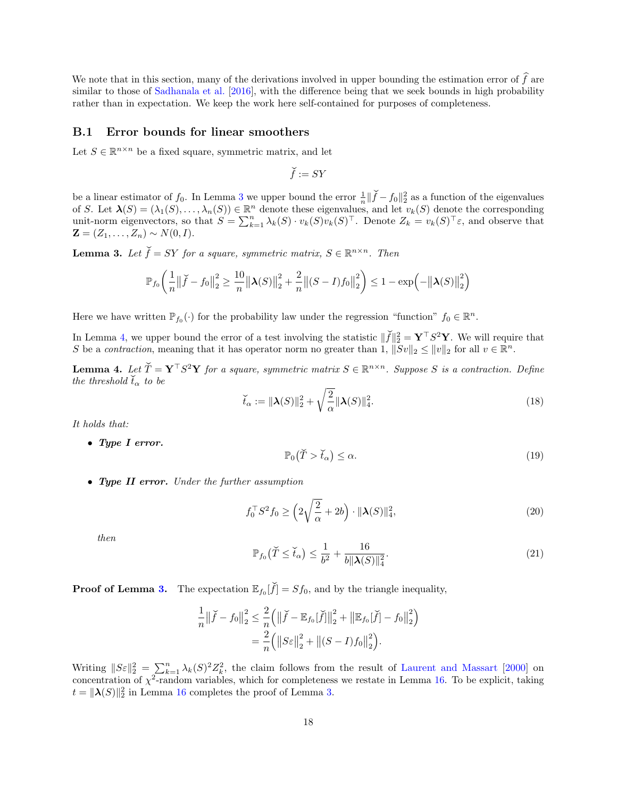We note that in this section, many of the derivations involved in upper bounding the estimation error of  $\hat{f}$  are similar to those of [Sadhanala et al.](#page-14-4) [\[2016\]](#page-14-4), with the difference being that we seek bounds in high probability rather than in expectation. We keep the work here self-contained for purposes of completeness.

#### B.1 Error bounds for linear smoothers

Let  $S \in \mathbb{R}^{n \times n}$  be a fixed square, symmetric matrix, and let

$$
\widecheck{f}:= SY
$$

be a linear estimator of  $f_0$ . In Lemma [3](#page-17-0) we upper bound the error  $\frac{1}{n} \|\check{f} - f_0\|_2^2$  as a function of the eigenvalues of S. Let  $\lambda(S) = (\lambda_1(S), \ldots, \lambda_n(S)) \in \mathbb{R}^n$  denote these eigenvalues, and let  $v_k(S)$  denote the corresponding unit-norm eigenvectors, so that  $S = \sum_{k=1}^{n} \lambda_k(S) \cdot v_k(S)v_k(S)^\top$ . Denote  $Z_k = v_k(S)^\top \varepsilon$ , and observe that  $\mathbf{Z} = (Z_1, \ldots, Z_n) \sim N(0, I).$ 

<span id="page-17-0"></span>**Lemma 3.** Let  $\check{f} = SY$  for a square, symmetric matrix,  $S \in \mathbb{R}^{n \times n}$ . Then

$$
\mathbb{P}_{f_0}\left(\frac{1}{n}\left\|\check{f}-f_0\right\|_2^2 \ge \frac{10}{n}\left\|\boldsymbol{\lambda}(S)\right\|_2^2 + \frac{2}{n}\left\|(S-I)f_0\right\|_2^2\right) \le 1 - \exp\left(-\left\|\boldsymbol{\lambda}(S)\right\|_2^2\right)
$$

Here we have written  $\mathbb{P}_{f_0}(\cdot)$  for the probability law under the regression "function"  $f_0 \in \mathbb{R}^n$ .

In Lemma [4,](#page-17-1) we upper bound the error of a test involving the statistic  $\|\check{f}\|_2^2 = \mathbf{Y}^\top S^2 \mathbf{Y}$ . We will require that S be a contraction, meaning that it has operator norm no greater than 1,  $||Sv||_2 \le ||v||_2$  for all  $v \in \mathbb{R}^n$ .

<span id="page-17-1"></span>**Lemma 4.** Let  $\check{T} = \mathbf{Y}^\top S^2 \mathbf{Y}$  for a square, symmetric matrix  $S \in \mathbb{R}^{n \times n}$ . Suppose S is a contraction. Define the threshold  $\check{t}_{\alpha}$  to be

<span id="page-17-5"></span>
$$
\check{t}_{\alpha} := \|\boldsymbol{\lambda}(S)\|_{2}^{2} + \sqrt{\frac{2}{\alpha}} \|\boldsymbol{\lambda}(S)\|_{4}^{2}.
$$
\n(18)

It holds that:

• Type I error.

<span id="page-17-2"></span>
$$
\mathbb{P}_0(\check{T} > \check{t}_\alpha) \le \alpha. \tag{19}
$$

• Type II error. Under the further assumption

<span id="page-17-4"></span>
$$
f_0^{\top} S^2 f_0 \ge \left( 2\sqrt{\frac{2}{\alpha}} + 2b \right) \cdot \|\lambda(S)\|_4^2, \tag{20}
$$

then

<span id="page-17-3"></span>
$$
\mathbb{P}_{f_0}(\check{T}\leq \check{t}_\alpha) \leq \frac{1}{b^2} + \frac{16}{b\|\lambda(S)\|_4^2}.\tag{21}
$$

**Proof of Lemma [3.](#page-17-0)** The expectation  $\mathbb{E}_{f_0}[\check{f}] = Sf_0$ , and by the triangle inequality,

$$
\frac{1}{n} \left\| \check{f} - f_0 \right\|_2^2 \le \frac{2}{n} \left( \left\| \check{f} - \mathbb{E}_{f_0}[\check{f}] \right\|_2^2 + \left\| \mathbb{E}_{f_0}[\check{f}] - f_0 \right\|_2^2 \right) \n= \frac{2}{n} \left( \left\| S \varepsilon \right\|_2^2 + \left\| (S - I) f_0 \right\|_2^2 \right).
$$

Writing  $||S_{\varepsilon}||_2^2 = \sum_{k=1}^n \lambda_k(S)^2 Z_k^2$ , the claim follows from the result of [Laurent and Massart](#page-14-20) [\[2000\]](#page-14-20) on concentration of  $\chi^2$ -random variables, which for completeness we restate in Lemma [16.](#page-45-1) To be explicit, taking  $t = \|\lambda(S)\|_2^2$  in Lemma [16](#page-45-1) completes the proof of Lemma [3.](#page-17-0)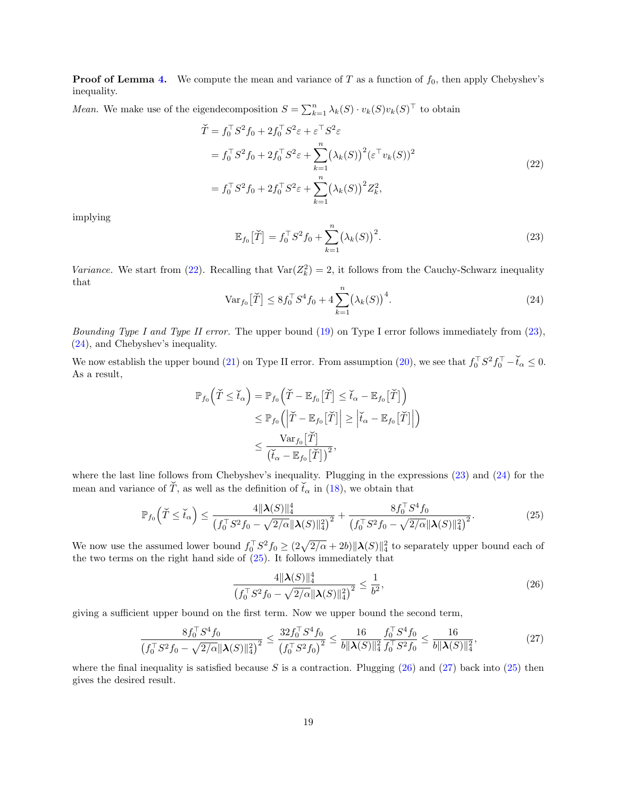**Proof of Lemma [4.](#page-17-1)** We compute the mean and variance of T as a function of  $f_0$ , then apply Chebyshev's inequality.

*Mean.* We make use of the eigendecomposition  $S = \sum_{k=1}^{n} \lambda_k(S) \cdot v_k(S) v_k(S)^\top$  to obtain

<span id="page-18-0"></span>
$$
\check{T} = f_0^{\top} S^2 f_0 + 2f_0^{\top} S^2 \varepsilon + \varepsilon^{\top} S^2 \varepsilon \n= f_0^{\top} S^2 f_0 + 2f_0^{\top} S^2 \varepsilon + \sum_{k=1}^n (\lambda_k(S))^2 (\varepsilon^{\top} v_k(S))^2 \n= f_0^{\top} S^2 f_0 + 2f_0^{\top} S^2 \varepsilon + \sum_{k=1}^n (\lambda_k(S))^2 Z_k^2,
$$
\n(22)

implying

<span id="page-18-1"></span>
$$
\mathbb{E}_{f_0}\left[\check{T}\right] = f_0^\top S^2 f_0 + \sum_{k=1}^n \left(\lambda_k(S)\right)^2. \tag{23}
$$

Variance. We start from [\(22\)](#page-18-0). Recalling that  $\text{Var}(Z_k^2) = 2$ , it follows from the Cauchy-Schwarz inequality that

<span id="page-18-2"></span>
$$
\text{Var}_{f_0}[\tilde{T}] \le 8f_0^{\top}S^4f_0 + 4\sum_{k=1}^n (\lambda_k(S))^4.
$$
 (24)

*Bounding Type I and Type II error.* The upper bound  $(19)$  on Type I error follows immediately from  $(23)$ , [\(24\)](#page-18-2), and Chebyshev's inequality.

We now establish the upper bound [\(21\)](#page-17-3) on Type II error. From assumption [\(20\)](#page-17-4), we see that  $f_0^{\top}S^2f_0^{\top}-\breve{t}_{\alpha}\leq 0$ . As a result,

$$
\mathbb{P}_{f_0}(\widetilde{T} \leq \widetilde{t}_\alpha) = \mathbb{P}_{f_0}(\widetilde{T} - \mathbb{E}_{f_0}[\widetilde{T}] \leq \widetilde{t}_\alpha - \mathbb{E}_{f_0}[\widetilde{T}])
$$
  
\n
$$
\leq \mathbb{P}_{f_0}(|\widetilde{T} - \mathbb{E}_{f_0}[\widetilde{T}]| \geq |\widetilde{t}_\alpha - \mathbb{E}_{f_0}[\widetilde{T}]|)
$$
  
\n
$$
\leq \frac{\text{Var}_{f_0}[\widetilde{T}]}{(\widetilde{t}_\alpha - \mathbb{E}_{f_0}[\widetilde{T}])^2},
$$

where the last line follows from Chebyshev's inequality. Plugging in the expressions [\(23\)](#page-18-1) and [\(24\)](#page-18-2) for the mean and variance of  $\check{T}$ , as well as the definition of  $\check{t}_{\alpha}$  in [\(18\)](#page-17-5), we obtain that

<span id="page-18-3"></span>
$$
\mathbb{P}_{f_0}\left(\tilde{T}\leq \check{t}_\alpha\right) \leq \frac{4\|\boldsymbol{\lambda}(S)\|_4^4}{\left(f_0^\top S^2 f_0 - \sqrt{2/\alpha} \|\boldsymbol{\lambda}(S)\|_4^2\right)^2} + \frac{8f_0^\top S^4 f_0}{\left(f_0^\top S^2 f_0 - \sqrt{2/\alpha} \|\boldsymbol{\lambda}(S)\|_4^2\right)^2}.
$$
\n(25)

We now use the assumed lower bound  $f_0^{\top}S^2 f_0 \geq (2\sqrt{2/\alpha} + 2b) \|\lambda(S)\|_4^2$  to separately upper bound each of the two terms on the right hand side of  $(25)$ . It follows immediately that

<span id="page-18-4"></span>
$$
\frac{4\|\lambda(S)\|_4^4}{\left(f_0^\top S^2 f_0 - \sqrt{2/\alpha} \|\lambda(S)\|_4^2\right)^2} \le \frac{1}{b^2},\tag{26}
$$

giving a sufficient upper bound on the first term. Now we upper bound the second term,

<span id="page-18-5"></span>
$$
\frac{8f_0^{\top}S^4f_0}{\left(f_0^{\top}S^2f_0 - \sqrt{2/\alpha} \|\lambda(S)\|_4^2\right)^2} \le \frac{32f_0^{\top}S^4f_0}{\left(f_0^{\top}S^2f_0\right)^2} \le \frac{16}{b\|\lambda(S)\|_4^2} \frac{f_0^{\top}S^4f_0}{f_0^{\top}S^2f_0} \le \frac{16}{b\|\lambda(S)\|_4^2},\tag{27}
$$

where the final inequality is satisfied because S is a contraction. Plugging  $(26)$  and  $(27)$  back into  $(25)$  then gives the desired result.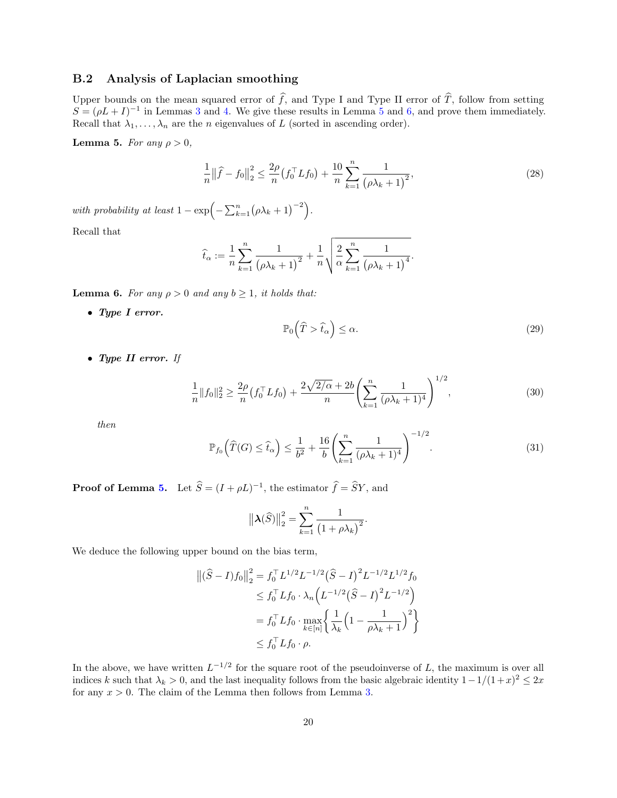#### B.2 Analysis of Laplacian smoothing

Upper bounds on the mean squared error of  $\hat{f}$ , and Type I and Type II error of  $\hat{T}$ , follow from setting  $S = (\rho L + I)^{-1}$  in Lemmas [3](#page-17-0) and [4.](#page-17-1) We give these results in Lemma [5](#page-19-0) and [6,](#page-19-1) and prove them immediately. Recall that  $\lambda_1, \ldots, \lambda_n$  are the *n* eigenvalues of L (sorted in ascending order).

<span id="page-19-0"></span>Lemma 5. For any  $\rho > 0$ ,

$$
\frac{1}{n} \left\| \widehat{f} - f_0 \right\|_2^2 \le \frac{2\rho}{n} \left( f_0^\top L f_0 \right) + \frac{10}{n} \sum_{k=1}^n \frac{1}{\left( \rho \lambda_k + 1 \right)^2},\tag{28}
$$

with probability at least  $1 - \exp(-\sum_{k=1}^{n} (\rho \lambda_k + 1)^{-2}).$ 

Recall that

$$
\widehat{t}_{\alpha} := \frac{1}{n} \sum_{k=1}^{n} \frac{1}{(\rho \lambda_k + 1)^2} + \frac{1}{n} \sqrt{\frac{2}{\alpha} \sum_{k=1}^{n} \frac{1}{(\rho \lambda_k + 1)^4}}.
$$

<span id="page-19-1"></span>**Lemma 6.** For any  $\rho > 0$  and any  $b \ge 1$ , it holds that:

• Type I error.

<span id="page-19-2"></span>
$$
\mathbb{P}_0(\widehat{T} > \widehat{t}_\alpha) \le \alpha. \tag{29}
$$

• Type II error. If

<span id="page-19-3"></span>
$$
\frac{1}{n}||f_0||_2^2 \ge \frac{2\rho}{n} \left(f_0^\top L f_0\right) + \frac{2\sqrt{2/\alpha} + 2b}{n} \left(\sum_{k=1}^n \frac{1}{(\rho \lambda_k + 1)^4}\right)^{1/2},\tag{30}
$$

then

<span id="page-19-4"></span>
$$
\mathbb{P}_{f_0}\left(\widehat{T}(G) \le \widehat{t}_\alpha\right) \le \frac{1}{b^2} + \frac{16}{b} \left(\sum_{k=1}^n \frac{1}{(\rho \lambda_k + 1)^4}\right)^{-1/2}.\tag{31}
$$

.

**Proof of Lemma [5.](#page-19-0)** Let  $\widehat{S} = (I + \rho L)^{-1}$ , the estimator  $\widehat{f} = \widehat{S}Y$ , and

$$
\left\|\lambda(\widehat{S})\right\|_2^2 = \sum_{k=1}^n \frac{1}{\left(1 + \rho \lambda_k\right)^2}
$$

We deduce the following upper bound on the bias term,

$$
\begin{aligned} \left\| (\widehat{S} - I)f_0 \right\|_2^2 &= f_0^\top L^{1/2} L^{-1/2} (\widehat{S} - I)^2 L^{-1/2} L^{1/2} f_0 \\ &\le f_0^\top L f_0 \cdot \lambda_n \left( L^{-1/2} (\widehat{S} - I)^2 L^{-1/2} \right) \\ &= f_0^\top L f_0 \cdot \max_{k \in [n]} \left\{ \frac{1}{\lambda_k} \left( 1 - \frac{1}{\rho \lambda_k + 1} \right)^2 \right\} \\ &\le f_0^\top L f_0 \cdot \rho. \end{aligned}
$$

In the above, we have written  $L^{-1/2}$  for the square root of the pseudoinverse of L, the maximum is over all indices k such that  $\lambda_k > 0$ , and the last inequality follows from the basic algebraic identity  $1 - 1/(1 + x)^2 \leq 2x$ for any  $x > 0$ . The claim of the Lemma then follows from Lemma [3.](#page-17-0)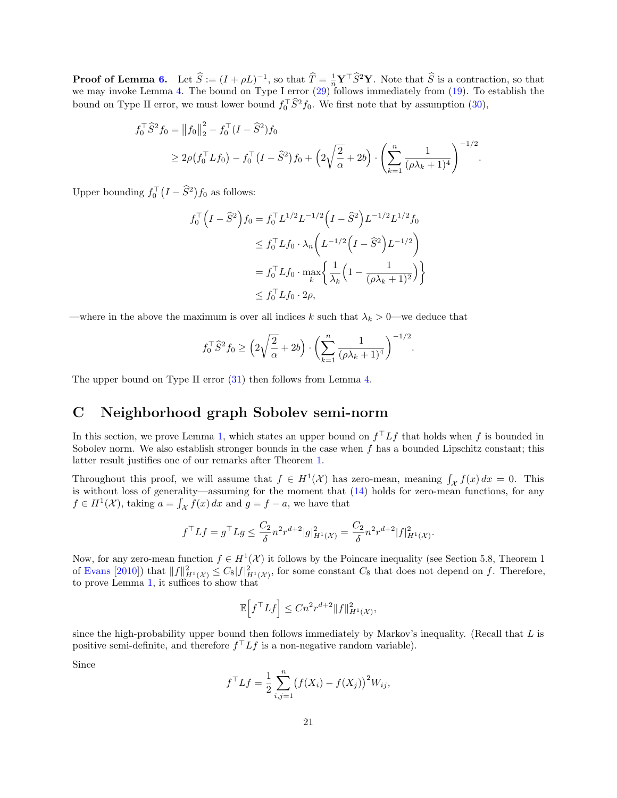**Proof of Lemma [6.](#page-19-1)** Let  $\widehat{S} := (I + \rho L)^{-1}$ , so that  $\widehat{T} = \frac{1}{n} \mathbf{Y}^{\top} \widehat{S}^2 \mathbf{Y}$ . Note that  $\widehat{S}$  is a contraction, so that we may invoke Lemma [4.](#page-17-1) The bound on Type I error [\(29\)](#page-19-2) follows immediately from (19 bound on Type II error, we must lower bound  $f_0^T \hat{S}^2 f_0$ . We first note that by assumption [\(30\)](#page-19-3),

$$
f_0^{\top} \hat{S}^2 f_0 = ||f_0||_2^2 - f_0^{\top} (I - \hat{S}^2) f_0
$$
  
\n
$$
\geq 2\rho (f_0^{\top} L f_0) - f_0^{\top} (I - \hat{S}^2) f_0 + \left(2\sqrt{\frac{2}{\alpha}} + 2b\right) \cdot \left(\sum_{k=1}^n \frac{1}{(\rho \lambda_k + 1)^4}\right)^{-1/2}.
$$

Upper bounding  $f_0^{\top} (I - \hat{S}^2) f_0$  as follows:

$$
f_0^{\top} (I - \hat{S}^2) f_0 = f_0^{\top} L^{1/2} L^{-1/2} (I - \hat{S}^2) L^{-1/2} L^{1/2} f_0
$$
  
\n
$$
\leq f_0^{\top} L f_0 \cdot \lambda_n (L^{-1/2} (I - \hat{S}^2) L^{-1/2})
$$
  
\n
$$
= f_0^{\top} L f_0 \cdot \max_k \left\{ \frac{1}{\lambda_k} \left( 1 - \frac{1}{(\rho \lambda_k + 1)^2} \right) \right\}
$$
  
\n
$$
\leq f_0^{\top} L f_0 \cdot 2\rho,
$$

—where in the above the maximum is over all indices k such that  $\lambda_k > 0$ —we deduce that

$$
f_0^{\top} \hat{S}^2 f_0 \ge \left(2\sqrt{\frac{2}{\alpha}} + 2b\right) \cdot \left(\sum_{k=1}^n \frac{1}{(\rho \lambda_k + 1)^4}\right)^{-1/2}.
$$

The upper bound on Type II error [\(31\)](#page-19-4) then follows from Lemma [4.](#page-17-1)

## <span id="page-20-0"></span>C Neighborhood graph Sobolev semi-norm

In this section, we prove Lemma [1,](#page-10-0) which states an upper bound on  $f<sup>T</sup>Lf$  that holds when f is bounded in Sobolev norm. We also establish stronger bounds in the case when  $f$  has a bounded Lipschitz constant; this latter result justifies one of our remarks after Theorem [1.](#page-6-0)

Throughout this proof, we will assume that  $f \in H^1(\mathcal{X})$  has zero-mean, meaning  $\int_{\mathcal{X}} f(x) dx = 0$ . This is without loss of generality—assuming for the moment that [\(14\)](#page-10-2) holds for zero-mean functions, for any  $f \in H^1(\mathcal{X})$ , taking  $a = \int_{\mathcal{X}} f(x) dx$  and  $g = f - a$ , we have that

$$
f^{\top}Lf = g^{\top}Lg \le \frac{C_2}{\delta} n^2 r^{d+2} |g|_{H^1(\mathcal{X})}^2 = \frac{C_2}{\delta} n^2 r^{d+2} |f|_{H^1(\mathcal{X})}^2
$$

.

Now, for any zero-mean function  $f \in H^1(\mathcal{X})$  it follows by the Poincare inequality (see Section 5.8, Theorem 1 of [Evans](#page-13-3) [\[2010\]](#page-13-3)) that  $||f||_{H^1(\mathcal{X})}^2 \leq C_8 |f|_{H^1(\mathcal{X})}^2$ , for some constant  $C_8$  that does not depend on f. Therefore, to prove Lemma [1,](#page-10-0) it suffices to show that

$$
\mathbb{E}\Big[f^\top Lf\Big] \leq Cn^2r^{d+2} \|f\|_{H^1(\mathcal{X})}^2,
$$

since the high-probability upper bound then follows immediately by Markov's inequality. (Recall that  $L$  is positive semi-definite, and therefore  $f^{\top} L f$  is a non-negative random variable).

Since

$$
f^{\top} L f = \frac{1}{2} \sum_{i,j=1}^{n} (f(X_i) - f(X_j))^{2} W_{ij},
$$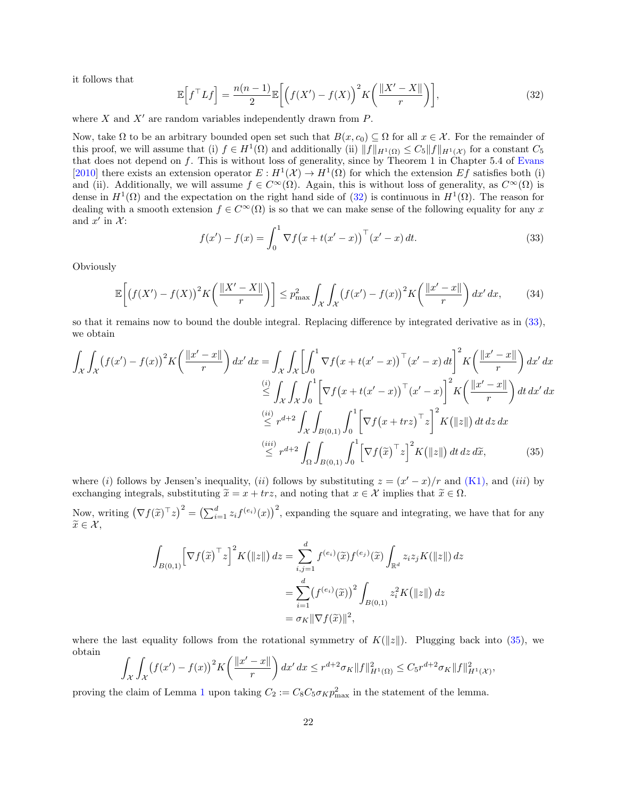it follows that

<span id="page-21-0"></span>
$$
\mathbb{E}\left[f^{\top}Lf\right] = \frac{n(n-1)}{2} \mathbb{E}\left[\left(f(X') - f(X)\right)^2 K\left(\frac{\|X' - X\|}{r}\right)\right],\tag{32}
$$

where X and  $X'$  are random variables independently drawn from  $P$ .

Now, take  $\Omega$  to be an arbitrary bounded open set such that  $B(x, c_0) \subseteq \Omega$  for all  $x \in \mathcal{X}$ . For the remainder of this proof, we will assume that (i)  $f \in H^1(\Omega)$  and additionally (ii)  $||f||_{H^1(\Omega)} \leq C_5 ||f||_{H^1(\mathcal{X})}$  for a constant  $C_5$ that does not depend on  $f$ . This is without loss of generality, since by Theorem 1 in Chapter 5.4 of [Evans](#page-13-3) [\[2010\]](#page-13-3) there exists an extension operator  $E: H^1(\mathcal{X}) \to H^1(\Omega)$  for which the extension  $Ef$  satisfies both (i) and (ii). Additionally, we will assume  $f \in C^{\infty}(\Omega)$ . Again, this is without loss of generality, as  $C^{\infty}(\Omega)$  is dense in  $H^1(\Omega)$  and the expectation on the right hand side of  $(32)$  is continuous in  $H^1(\Omega)$ . The reason for dealing with a smooth extension  $f \in C^{\infty}(\Omega)$  is so that we can make sense of the following equality for any x and  $x'$  in  $\mathcal{X}$ :

<span id="page-21-1"></span>
$$
f(x') - f(x) = \int_0^1 \nabla f(x + t(x' - x))^{\top} (x' - x) dt.
$$
 (33)

**Obviously** 

$$
\mathbb{E}\left[\left(f(X') - f(X)\right)^2 K\left(\frac{\|X' - X\|}{r}\right)\right] \le p_{\text{max}}^2 \int_{\mathcal{X}} \int_{\mathcal{X}} \left(f(x') - f(x)\right)^2 K\left(\frac{\|x' - x\|}{r}\right) dx' dx,\tag{34}
$$

so that it remains now to bound the double integral. Replacing difference by integrated derivative as in [\(33\)](#page-21-1), we obtain

$$
\int_{\mathcal{X}} \int_{\mathcal{X}} (f(x') - f(x))^2 K \left( \frac{\|x' - x\|}{r} \right) dx' dx = \int_{\mathcal{X}} \int_{\mathcal{X}} \left[ \int_0^1 \nabla f(x + t(x' - x))^{\top} (x' - x) dt \right]^2 K \left( \frac{\|x' - x\|}{r} \right) dx' dx
$$
  
\n
$$
\stackrel{(i)}{\leq} \int_{\mathcal{X}} \int_{\mathcal{X}} \int_0^1 \left[ \nabla f(x + t(x' - x))^{\top} (x' - x) \right]^2 K \left( \frac{\|x' - x\|}{r} \right) dt dx' dx
$$
  
\n
$$
\stackrel{(ii)}{\leq} r^{d+2} \int_{\mathcal{X}} \int_{B(0,1)} \int_0^1 \left[ \nabla f(x + trz)^{\top} z \right]^2 K (\|z\|) dt dz dx
$$
  
\n
$$
\stackrel{(iii)}{\leq} r^{d+2} \int_{\Omega} \int_{B(0,1)} \int_0^1 \left[ \nabla f(\tilde{x})^{\top} z \right]^2 K (\|z\|) dt dz d\tilde{x}, \tag{35}
$$

where (i) follows by Jensen's inequality, (ii) follows by substituting  $z = (x'-x)/r$  and [\(K1\),](#page-6-1) and (iii) by exchanging integrals, substituting  $\tilde{x} = x + trz$ , and noting that  $x \in \mathcal{X}$  implies that  $\tilde{x} \in \Omega$ .

Now, writing  $(\nabla f(\widetilde{x})^{\top} z)^2 = (\sum_{i=1}^d z_i f^{(e_i)}(x))^2$ , expanding the square and integrating, we have that for any  $\widetilde{x} \in \mathcal{X},$ 

<span id="page-21-2"></span>
$$
\int_{B(0,1)} \left[\nabla f(\widetilde{x})^\top z\right]^2 K\big(\|z\|\big) dz = \sum_{i,j=1}^d f^{(e_i)}(\widetilde{x}) f^{(e_j)}(\widetilde{x}) \int_{\mathbb{R}^d} z_i z_j K(\|z\|) dz
$$

$$
= \sum_{i=1}^d \left(f^{(e_i)}(\widetilde{x})\right)^2 \int_{B(0,1)} z_i^2 K\big(\|z\|\big) dz
$$

$$
= \sigma_K \|\nabla f(\widetilde{x})\|^2,
$$

where the last equality follows from the rotational symmetry of  $K(\|z\|)$ . Plugging back into [\(35\)](#page-21-2), we obtain

$$
\int_{\mathcal{X}} \int_{\mathcal{X}} (f(x') - f(x))^2 K\left(\frac{\|x' - x\|}{r}\right) dx' dx \leq r^{d+2} \sigma_K \|f\|_{H^1(\Omega)}^2 \leq C_5 r^{d+2} \sigma_K \|f\|_{H^1(\mathcal{X})}^2,
$$

proving the claim of Lemma [1](#page-10-0) upon taking  $C_2 := C_8 C_5 \sigma_K p_{\text{max}}^2$  in the statement of the lemma.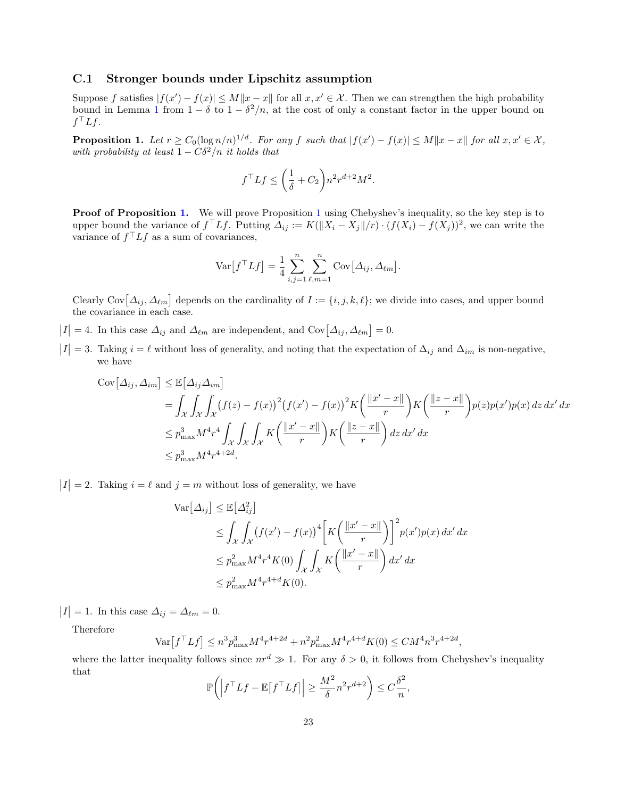#### C.1 Stronger bounds under Lipschitz assumption

Suppose f satisfies  $|f(x') - f(x)| \le M ||x - x||$  for all  $x, x' \in \mathcal{X}$ . Then we can strengthen the high probability bound in Lemma [1](#page-10-0) from  $1 - \delta$  to  $1 - \delta^2/n$ , at the cost of only a constant factor in the upper bound on  $f^\top L f$ .

<span id="page-22-0"></span>**Proposition 1.** Let  $r \geq C_0(\log n/n)^{1/d}$ . For any f such that  $|f(x') - f(x)| \leq M ||x - x||$  for all  $x, x' \in \mathcal{X}$ , with probability at least  $1 - C\delta^2/n$  it holds that

$$
f^{\top}Lf \le \left(\frac{1}{\delta} + C_2\right) n^2 r^{d+2} M^2.
$$

**Proof of Proposition [1.](#page-22-0)** We will prove Proposition [1](#page-22-0) using Chebyshev's inequality, so the key step is to upper bound the variance of  $f^\top L f$ . Putting  $\Delta_{ij} := K(||X_i - X_j||/r) \cdot (f(X_i) - f(X_j))^2$ , we can write the variance of  $f^{\top} L f$  as a sum of covariances,

$$
\text{Var}\big[f^\top Lf\big] = \frac{1}{4} \sum_{i,j=1}^n \sum_{\ell,m=1}^n \text{Cov}\big[\Delta_{ij}, \Delta_{\ell m}\big].
$$

Clearly Cov $[\Delta_{ij}, \Delta_{\ell m}]$  depends on the cardinality of  $I := \{i, j, k, \ell\}$ ; we divide into cases, and upper bound the covariance in each case.

- $|I| = 4$ . In this case  $\Delta_{ij}$  and  $\Delta_{\ell m}$  are independent, and Cov $[\Delta_{ij}, \Delta_{\ell m}] = 0$ .
- $|I|=3$ . Taking  $i=\ell$  without loss of generality, and noting that the expectation of  $\Delta_{ij}$  and  $\Delta_{im}$  is non-negative, we have

$$
\begin{split} \text{Cov}\big[\Delta_{ij}, \Delta_{im}\big] &\leq \mathbb{E}\big[\Delta_{ij}\Delta_{im}\big] \\ &= \int_{\mathcal{X}} \int_{\mathcal{X}} \int_{\mathcal{X}} \left(f(z) - f(x)\right)^2 \left(f(x') - f(x)\right)^2 K\left(\frac{\|x' - x\|}{r}\right) K\left(\frac{\|z - x\|}{r}\right) p(z) p(x') p(x) \, dz \, dx' \, dx \\ &\leq p_{\text{max}}^3 M^4 r^4 \int_{\mathcal{X}} \int_{\mathcal{X}} K\left(\frac{\|x' - x\|}{r}\right) K\left(\frac{\|z - x\|}{r}\right) dz \, dx' \, dx \\ &\leq p_{\text{max}}^3 M^4 r^{4+2d} .\end{split}
$$

 $|I| = 2$ . Taking  $i = \ell$  and  $j = m$  without loss of generality, we have

$$
\operatorname{Var}[\Delta_{ij}] \leq \mathbb{E}[\Delta_{ij}^2]
$$
  
\n
$$
\leq \int_{\mathcal{X}} \int_{\mathcal{X}} (f(x') - f(x))^4 \left[ K \left( \frac{\|x' - x\|}{r} \right) \right]^2 p(x') p(x) dx' dx
$$
  
\n
$$
\leq p_{\max}^2 M^4 r^4 K(0) \int_{\mathcal{X}} \int_{\mathcal{X}} K \left( \frac{\|x' - x\|}{r} \right) dx' dx
$$
  
\n
$$
\leq p_{\max}^2 M^4 r^{4+d} K(0).
$$

 $|I| = 1$ . In this case  $\Delta_{ij} = \Delta_{\ell m} = 0$ .

Therefore

$$
\text{Var}\left[f^\top Lf\right] \le n^3 p_{\text{max}}^3 M^4 r^{4+2d} + n^2 p_{\text{max}}^2 M^4 r^{4+d} K(0) \le C M^4 n^3 r^{4+2d},
$$

where the latter inequality follows since  $nr^d \gg 1$ . For any  $\delta > 0$ , it follows from Chebyshev's inequality that

$$
\mathbb{P}\bigg(\Big|f^\top Lf - \mathbb{E}\big[f^\top Lf\big]\Big| \ge \frac{M^2}{\delta}n^2r^{d+2}\bigg) \le C\frac{\delta^2}{n},
$$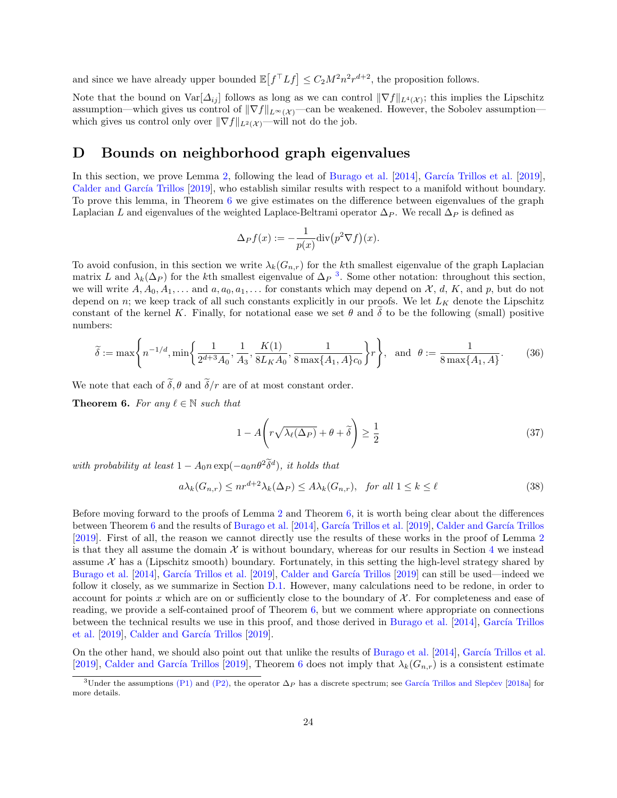and since we have already upper bounded  $\mathbb{E}[f^{\top} Lf] \leq C_2 M^2 n^2 r^{d+2}$ , the proposition follows.

Note that the bound on  $\text{Var}[\Delta_{ij}]$  follows as long as we can control  $\|\nabla f\|_{L^4(\mathcal{X})}$ ; this implies the Lipschitz assumption—which gives us control of  $\|\nabla f\|_{L^\infty(\mathcal{X})}$ —can be weakened. However, the Sobolev assumption which gives us control only over  $\|\nabla f\|_{L^2(\mathcal{X})}$ —will not do the job.

### <span id="page-23-0"></span>D Bounds on neighborhood graph eigenvalues

In this section, we prove Lemma [2,](#page-10-1) following the lead of [Burago et al.](#page-13-7) [\[2014\]](#page-13-7), García Trillos et al. [\[2019\]](#page-13-8), Calder and García Trillos [\[2019\]](#page-13-9), who establish similar results with respect to a manifold without boundary. To prove this lemma, in Theorem [6](#page-23-1) we give estimates on the difference between eigenvalues of the graph Laplacian L and eigenvalues of the weighted Laplace-Beltrami operator  $\Delta_P$ . We recall  $\Delta_P$  is defined as

$$
\Delta_P f(x) := -\frac{1}{p(x)} \text{div} (p^2 \nabla f)(x).
$$

To avoid confusion, in this section we write  $\lambda_k(G_{n,r})$  for the kth smallest eigenvalue of the graph Laplacian matrix L and  $\lambda_k(\Delta_P)$  for the k<sup>th</sup> smallest eigenvalue of  $\Delta_P$ <sup>[3](#page-23-2)</sup>. Some other notation: throughout this section, we will write  $A, A_0, A_1, \ldots$  and  $a, a_0, a_1, \ldots$  for constants which may depend on  $\mathcal{X}, d, K$ , and p, but do not depend on n; we keep track of all such constants explicitly in our proofs. We let  $L_K$  denote the Lipschitz constant of the kernel K. Finally, for notational ease we set  $\theta$  and  $\delta$  to be the following (small) positive numbers:

$$
\widetilde{\delta} := \max\left\{ n^{-1/d}, \min\left\{ \frac{1}{2^{d+3}A_0}, \frac{1}{A_3}, \frac{K(1)}{8L_K A_0}, \frac{1}{8\max\{A_1, A\}c_0} \right\} r \right\}, \text{ and } \theta := \frac{1}{8\max\{A_1, A\}}. \tag{36}
$$

We note that each of  $\tilde{\delta}, \theta$  and  $\tilde{\delta}/r$  are of at most constant order.

<span id="page-23-1"></span>**Theorem 6.** For any  $\ell \in \mathbb{N}$  such that

<span id="page-23-3"></span>
$$
1 - A\left(r\sqrt{\lambda_{\ell}(\Delta_P)} + \theta + \tilde{\delta}\right) \ge \frac{1}{2}
$$
\n(37)

with probability at least  $1 - A_0 n \exp(-a_0 n \theta^2 \tilde{\delta}^d)$ , it holds that

<span id="page-23-4"></span>
$$
a\lambda_k(G_{n,r}) \le nr^{d+2}\lambda_k(\Delta_P) \le A\lambda_k(G_{n,r}), \text{ for all } 1 \le k \le \ell
$$
\n
$$
(38)
$$

Before moving forward to the proofs of Lemma [2](#page-10-1) and Theorem [6,](#page-23-1) it is worth being clear about the differences between Theorem [6](#page-23-1) and the results of [Burago et al.](#page-13-7) [\[2014\]](#page-13-7), García Trillos et al. [\[2019\]](#page-13-8), Calder and García Trillos [\[2019\]](#page-13-9). First of all, the reason we cannot directly use the results of these works in the proof of Lemma [2](#page-10-1) is that they all assume the domain  $\mathcal X$  is without boundary, whereas for our results in Section [4](#page-5-0) we instead assume  $\mathcal X$  has a (Lipschitz smooth) boundary. Fortunately, in this setting the high-level strategy shared by [Burago et al.](#page-13-7) [\[2014\]](#page-13-7), García Trillos et al. [\[2019\]](#page-13-9), Calder and García Trillos [2019] can still be used—indeed we follow it closely, as we summarize in Section [D.1.](#page-25-0) However, many calculations need to be redone, in order to account for points x which are on or sufficiently close to the boundary of  $\mathcal X$ . For completeness and ease of reading, we provide a self-contained proof of Theorem [6,](#page-23-1) but we comment where appropriate on connections between the technical results we use in this proof, and those derived in [Burago et al.](#page-13-7) [\[2014\]](#page-13-7), García Trillos [et al.](#page-13-8)  $[2019]$ , Calder and García Trillos  $[2019]$ .

On the other hand, we should also point out that unlike the results of [Burago et al.](#page-13-7) [\[2014\]](#page-13-7), García Trillos et al. [\[2019\]](#page-13-9), Calder and García Trillos [2019], Theorem [6](#page-23-1) does not imply that  $\lambda_k(G_{n,r})$  is a consistent estimate

<span id="page-23-2"></span><sup>&</sup>lt;sup>3</sup>Under the assumptions [\(P1\)](#page-4-1) and [\(P2\),](#page-4-2) the operator  $\Delta_P$  has a discrete spectrum; see García Trillos and Slepčev [\[2018a\]](#page-13-13) for more details.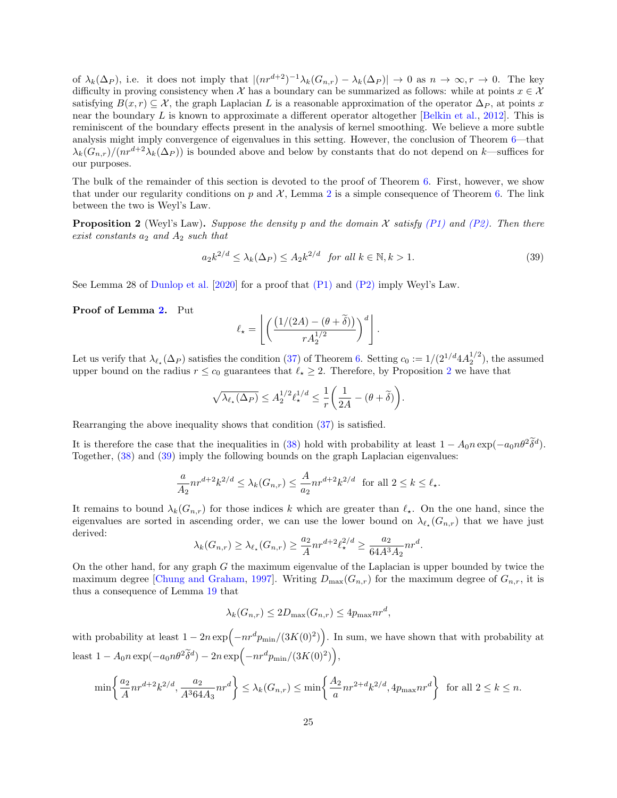of  $\lambda_k(\Delta_P)$ , i.e. it does not imply that  $|(nr^{d+2})^{-1}\lambda_k(G_{n,r}) - \lambda_k(\Delta_P)| \to 0$  as  $n \to \infty, r \to 0$ . The key difficulty in proving consistency when X has a boundary can be summarized as follows: while at points  $x \in \mathcal{X}$ satisfying  $B(x, r) \subset \mathcal{X}$ , the graph Laplacian L is a reasonable approximation of the operator  $\Delta_P$ , at points x near the boundary L is known to approximate a different operator altogether [\[Belkin et al.,](#page-13-14) [2012\]](#page-13-14). This is reminiscent of the boundary effects present in the analysis of kernel smoothing. We believe a more subtle analysis might imply convergence of eigenvalues in this setting. However, the conclusion of Theorem [6—](#page-23-1)that  $\lambda_k(G_{n,r})/(nr^{d+2}\lambda_k(\Delta_P))$  is bounded above and below by constants that do not depend on k—suffices for our purposes.

The bulk of the remainder of this section is devoted to the proof of Theorem [6.](#page-23-1) First, however, we show that under our regularity conditions on p and  $\mathcal{X}$ , Lemma [2](#page-10-1) is a simple consequence of Theorem [6.](#page-23-1) The link between the two is Weyl's Law.

<span id="page-24-0"></span>**Proposition 2** (Weyl's Law). Suppose the density p and the domain X satisfy [\(P1\)](#page-4-1) and [\(P2\).](#page-4-2) Then there exist constants  $a_2$  and  $A_2$  such that

<span id="page-24-1"></span>
$$
a_2 k^{2/d} \le \lambda_k(\Delta_P) \le A_2 k^{2/d} \quad \text{for all } k \in \mathbb{N}, k > 1. \tag{39}
$$

See Lemma 28 of [Dunlop et al.](#page-13-15) [\[2020\]](#page-13-15) for a proof that [\(P1\)](#page-4-1) and [\(P2\)](#page-4-2) imply Weyl's Law.

Proof of Lemma [2.](#page-10-1) Put

$$
\ell_{\star} = \left\lfloor \left( \frac{\left(1/(2A) - (\theta + \widetilde{\delta})\right)}{r A_2^{1/2}} \right)^d \right\rfloor.
$$

Let us verify that  $\lambda_{\ell_{\star}}(\Delta_P)$  satisfies the condition [\(37\)](#page-23-3) of Theorem [6.](#page-23-1) Setting  $c_0 := 1/(2^{1/d} 4A_2^{1/2})$ , the assumed upper bound on the radius  $r \leq c_0$  guarantees that  $\ell_{\star} \geq 2$  $\ell_{\star} \geq 2$ . Therefore, by Proposition 2 we have that

$$
\sqrt{\lambda_{\ell_\star}(\Delta_P)} \le A_2^{1/2} \ell_\star^{1/d} \le \frac{1}{r} \bigg( \frac{1}{2A} - (\theta + \widetilde{\delta}) \bigg).
$$

Rearranging the above inequality shows that condition [\(37\)](#page-23-3) is satisfied.

It is therefore the case that the inequalities in [\(38\)](#page-23-4) hold with probability at least  $1 - A_0 n \exp(-a_0 n \theta^2 \tilde{\delta}^d)$ . Together, [\(38\)](#page-23-4) and [\(39\)](#page-24-1) imply the following bounds on the graph Laplacian eigenvalues:

$$
\frac{a}{A_2}nr^{d+2}k^{2/d} \le \lambda_k(G_{n,r}) \le \frac{A}{a_2}nr^{d+2}k^{2/d} \text{ for all } 2 \le k \le \ell_\star.
$$

It remains to bound  $\lambda_k(G_{n,r})$  for those indices k which are greater than  $\ell_{\star}$ . On the one hand, since the eigenvalues are sorted in ascending order, we can use the lower bound on  $\lambda_{\ell_{\star}}(G_{n,r})$  that we have just derived:

$$
\lambda_k(G_{n,r}) \geq \lambda_{\ell_{\star}}(G_{n,r}) \geq \frac{a_2}{A}nr^{d+2}\ell_{\star}^{2/d} \geq \frac{a_2}{64A^3A_2}nr^d.
$$

On the other hand, for any graph G the maximum eigenvalue of the Laplacian is upper bounded by twice the maximum degree [\[Chung and Graham,](#page-13-16) [1997\]](#page-13-16). Writing  $D_{\text{max}}(G_{n,r})$  for the maximum degree of  $G_{n,r}$ , it is thus a consequence of Lemma [19](#page-46-0) that

$$
\lambda_k(G_{n,r}) \le 2D_{\max}(G_{n,r}) \le 4p_{\max}nr^d,
$$

with probability at least  $1 - 2n \exp(-nr^d p_{\min}/(3K(0)^2))$ . In sum, we have shown that with probability at least  $1 - A_0 n \exp(-a_0 n\theta^2 \widetilde{\delta}^d) - 2n \exp(-n r^d p_{\min}/(3K(0)^2)),$ 

$$
\min\left\{\frac{a_2}{A}nr^{d+2}k^{2/d}, \frac{a_2}{A^364A_3}nr^d\right\} \le \lambda_k(G_{n,r}) \le \min\left\{\frac{A_2}{a}nr^{2+d}k^{2/d}, 4p_{\max}nr^d\right\} \text{ for all } 2 \le k \le n.
$$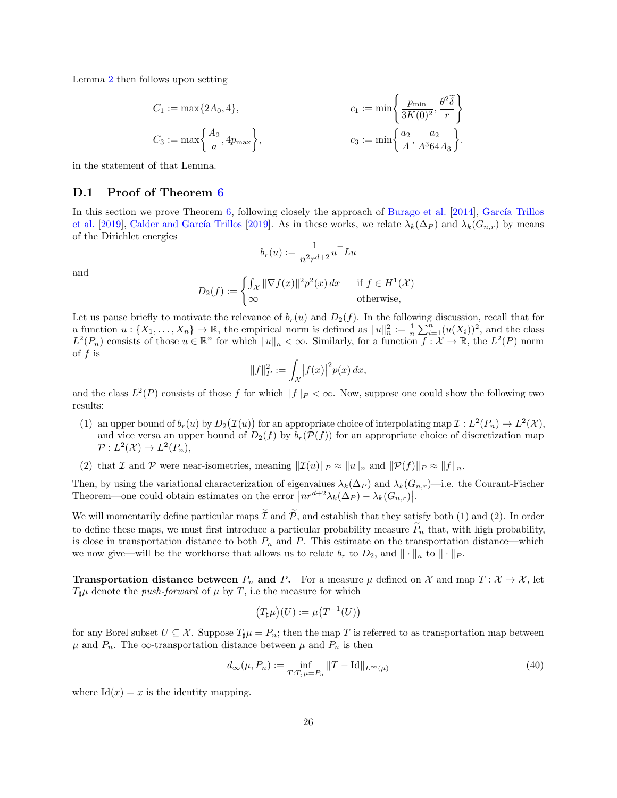Lemma [2](#page-10-1) then follows upon setting

$$
C_1 := \max\{2A_0, 4\}, \qquad c_1 := \min\left\{\frac{p_{\min}}{3K(0)^2}, \frac{\theta^2\tilde{\delta}}{r}\right\}
$$
  

$$
C_3 := \max\left\{\frac{A_2}{a}, 4p_{\max}\right\}, \qquad c_3 := \min\left\{\frac{a_2}{A}, \frac{a_2}{A^364A_3}\right\}.
$$

in the statement of that Lemma.

#### <span id="page-25-0"></span>D.1 Proof of Theorem [6](#page-23-1)

In this section we prove Theorem  $6$ , following closely the approach of [Burago et al.](#page-13-7) [\[2014\]](#page-13-7), García Trillos [et al.](#page-13-8) [\[2019\]](#page-13-9), Calder and García Trillos [2019]. As in these works, we relate  $\lambda_k(\Delta_P)$  and  $\lambda_k(G_{n,r})$  by means of the Dirichlet energies

$$
b_r(u):=\frac{1}{n^2r^{d+2}}u^{\top}Lu
$$

and

$$
D_2(f) := \begin{cases} \int_{\mathcal{X}} ||\nabla f(x)||^2 p^2(x) dx & \text{if } f \in H^1(\mathcal{X})\\ \infty & \text{otherwise,} \end{cases}
$$

Let us pause briefly to motivate the relevance of  $b_r(u)$  and  $D_2(f)$ . In the following discussion, recall that for a function  $u: \{X_1, \ldots, X_n\} \to \mathbb{R}$ , the empirical norm is defined as  $||u||_n^2 := \frac{1}{n} \sum_{i=1}^n (u(X_i))^2$ , and the class  $L^2(P_n)$  consists of those  $u \in \mathbb{R}^n$  for which  $||u||_n < \infty$ . Similarly, for a function  $f: \mathcal{X} \to \mathbb{R}$ , the  $L^2(P)$  norm of  $f$  is

$$
||f||_P^2 := \int_{\mathcal{X}} |f(x)|^2 p(x) \, dx,
$$

and the class  $L^2(P)$  consists of those f for which  $||f||_P < \infty$ . Now, suppose one could show the following two results:

- (1) an upper bound of  $b_r(u)$  by  $D_2(\mathcal{I}(u))$  for an appropriate choice of interpolating map  $\mathcal{I}: L^2(P_n) \to L^2(\mathcal{X}),$ and vice versa an upper bound of  $D_2(f)$  by  $b_r(\mathcal{P}(f))$  for an appropriate choice of discretization map  $\mathcal{P}: L^2(\mathcal{X}) \to L^2(P_n),$
- (2) that I and P were near-isometries, meaning  $||\mathcal{I}(u)||_P \approx ||u||_n$  and  $||\mathcal{P}(f)||_P \approx ||f||_n$ .

Then, by using the variational characterization of eigenvalues  $\lambda_k(\Delta_P)$  and  $\lambda_k(G_{n,r})$ —i.e. the Courant-Fischer Theorem—one could obtain estimates on the error  $\left| nr^{d+2}\lambda_k(\Delta_P) - \lambda_k(G_{n,r}) \right|$ .

We will momentarily define particular maps  $\tilde{\mathcal{I}}$  and  $\tilde{\mathcal{P}}$ , and establish that they satisfy both (1) and (2). In order to define these maps, we must first introduce a particular probability measure  $\tilde{P}_n$  that, with high probability, is close in transportation distance to both  $P_n$  and P. This estimate on the transportation distance—which we now give—will be the workhorse that allows us to relate  $b_r$  to  $D_2$ , and  $\|\cdot\|_p$  to  $\|\cdot\|_P$ .

**Transportation distance between**  $P_n$  and P. For a measure  $\mu$  defined on X and map  $T : X \to X$ , let  $T_{\sharp}\mu$  denote the *push-forward* of  $\mu$  by T, i.e the measure for which

$$
\bigl(T_\sharp\mu\bigr)(U):=\mu\bigl(T^{-1}(U)\bigr)
$$

for any Borel subset  $U \subseteq \mathcal{X}$ . Suppose  $T_{\sharp}\mu = P_n$ ; then the map T is referred to as transportation map between  $\mu$  and  $P_n$ . The  $\infty$ -transportation distance between  $\mu$  and  $P_n$  is then

<span id="page-25-1"></span>
$$
d_{\infty}(\mu, P_n) := \inf_{T: T_{\sharp}\mu = P_n} ||T - \mathrm{Id}||_{L^{\infty}(\mu)}
$$
\n(40)

where  $Id(x) = x$  is the identity mapping.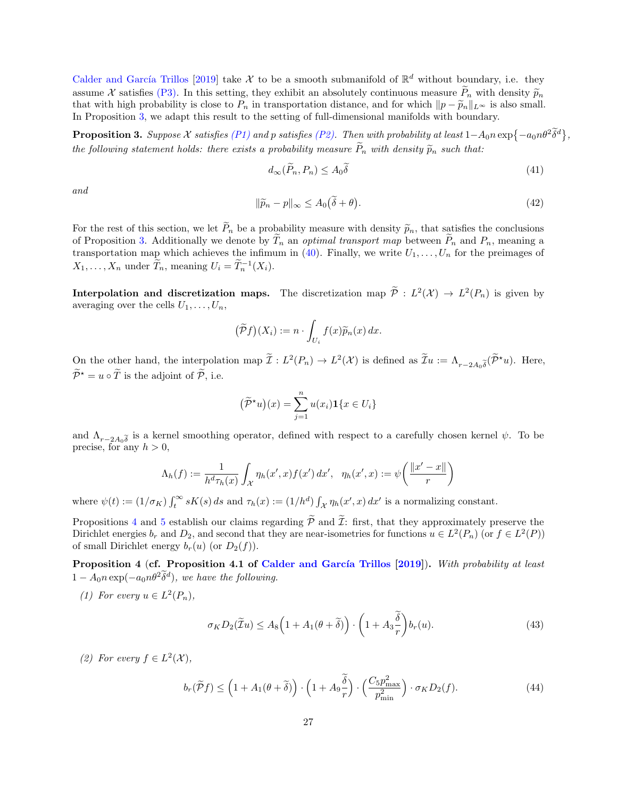Calder and García Trillos [\[2019\]](#page-13-9) take X to be a smooth submanifold of  $\mathbb{R}^d$  without boundary, i.e. they assume X satisfies [\(P3\).](#page-11-1) In this setting, they exhibit an absolutely continuous measure  $\widetilde{P}_n$  with density  $\widetilde{p}_n$ that with high probability is close to  $P_n$  in transportation distance, and for which  $||p - \widetilde{p}_n||_{L^{\infty}}$  is also small. In Proposition [3,](#page-26-0) we adapt this result to the setting of full-dimensional manifolds with boundary.

<span id="page-26-0"></span>**Proposition 3.** Suppose X satisfies [\(P1\)](#page-4-1) and p satisfies [\(P2\).](#page-4-2) Then with probability at least  $1-A_0n \exp\{-a_0n\theta^2\delta^d\}$ , the following statement holds: there exists a probability measure  $\tilde{P}_n$  with density  $\tilde{p}_n$  such that:

$$
d_{\infty}(\widetilde{P}_n, P_n) \le A_0 \widetilde{\delta}
$$
\n<sup>(41)</sup>

and

<span id="page-26-3"></span>
$$
\|\widetilde{p}_n - p\|_{\infty} \le A_0(\widetilde{\delta} + \theta). \tag{42}
$$

For the rest of this section, we let  $\tilde{P}_n$  be a probability measure with density  $\tilde{p}_n$ , that satisfies the conclusions of Proposition [3.](#page-26-0) Additionally we denote by  $\widetilde{T}_n$  an *optimal transport map* between  $\widetilde{P}_n$  and  $P_n$ , meaning a transportation map which achieves the infimum in [\(40\)](#page-25-1). Finally, we write  $U_1, \ldots, U_n$  for the preimages of  $X_1, \ldots, X_n$  under  $\widetilde{T}_n$ , meaning  $U_i = \widetilde{T}_n^{-1}(X_i)$ .

**Interpolation and discretization maps.** The discretization map  $\tilde{\mathcal{P}}$  :  $L^2(\mathcal{X}) \to L^2(P_n)$  is given by averaging over the cells  $U_1, \ldots, U_n$ ,

$$
\big(\widetilde{\mathcal{P}}f\big)(X_i) := n \cdot \int_{U_i} f(x) \widetilde{p}_n(x) \, dx.
$$

On the other hand, the interpolation map  $\tilde{\mathcal{I}}: L^2(P_n) \to L^2(\mathcal{X})$  is defined as  $\tilde{\mathcal{I}}u := \Lambda_{r-2A_0\tilde{\delta}}(\tilde{\mathcal{P}}^*u)$ . Here,  $\widetilde{\mathcal{P}}^{\star} = u \circ \widetilde{T}$  is the adjoint of  $\widetilde{\mathcal{P}}$ , i.e.

$$
(\widetilde{\mathcal{P}}^{\star}u)(x) = \sum_{j=1}^{n} u(x_i) \mathbf{1}\{x \in U_i\}
$$

and  $\Lambda_{r-2A_0\tilde{\delta}}$  is a kernel smoothing operator, defined with respect to a carefully chosen kernel  $\psi$ . To be precise, for any  $h > 0$ ,

$$
\Lambda_h(f) := \frac{1}{h^d \tau_h(x)} \int_{\mathcal{X}} \eta_h(x', x) f(x') dx', \quad \eta_h(x', x) := \psi\left(\frac{\|x' - x\|}{r}\right)
$$

where  $\psi(t) := (1/\sigma_K) \int_t^{\infty} sK(s) ds$  and  $\tau_h(x) := (1/h^d) \int_{\mathcal{X}} \eta_h(x', x) dx'$  is a normalizing constant.

Propositions [4](#page-26-1) and [5](#page-27-0) establish our claims regarding  $\tilde{P}$  and  $\tilde{I}$ : first, that they approximately preserve the Dirichlet energies  $b_r$  and  $D_2$ , and second that they are near-isometries for functions  $u \in L^2(P_n)$  (or  $f \in L^2(P)$ ) of small Dirichlet energy  $b_r(u)$  (or  $D_2(f)$ ).

<span id="page-26-1"></span>Proposition 4 (cf. Proposition 4.1 of Calder and García Trillos [\[2019\]](#page-13-9)). With probability at least  $1 - A_0 n \exp(-a_0 n \theta^2 \tilde{\delta}^d)$ , we have the following.

(1) For every  $u \in L^2(P_n)$ ,

<span id="page-26-2"></span>
$$
\sigma_K D_2(\widetilde{\mathcal{I}}u) \le A_8 \left( 1 + A_1(\theta + \widetilde{\delta}) \right) \cdot \left( 1 + A_3 \frac{\widetilde{\delta}}{r} \right) b_r(u). \tag{43}
$$

(2) For every  $f \in L^2(\mathcal{X}),$ 

$$
b_r(\widetilde{\mathcal{P}}f) \le \left(1 + A_1(\theta + \widetilde{\delta})\right) \cdot \left(1 + A_9 \frac{\widetilde{\delta}}{r}\right) \cdot \left(\frac{C_5 p_{\text{max}}^2}{p_{\text{min}}^2}\right) \cdot \sigma_K D_2(f). \tag{44}
$$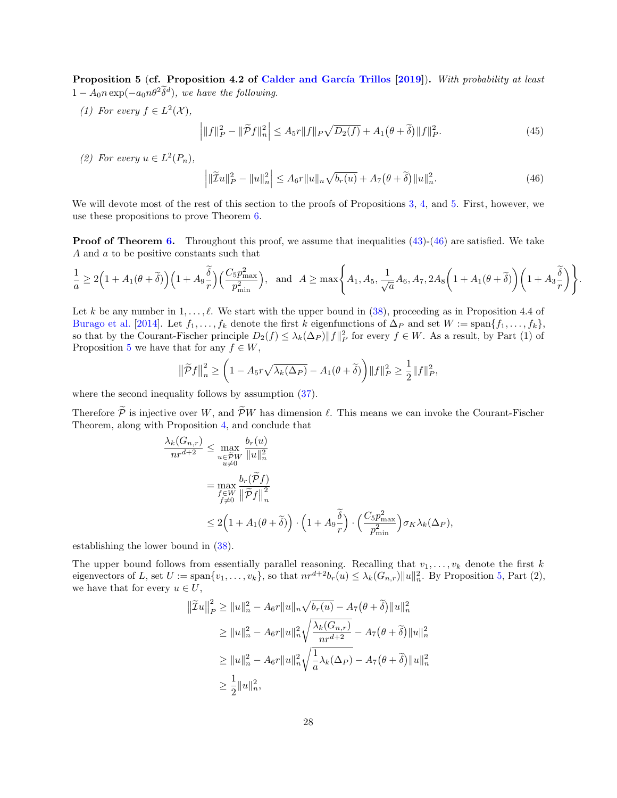<span id="page-27-0"></span>Proposition 5 (cf. Proposition 4.2 of Calder and García Trillos [\[2019\]](#page-13-9)). With probability at least  $1 - A_0 n \exp(-a_0 n \theta^2 \tilde{\delta}^d)$ , we have the following.

(1) For every  $f \in L^2(\mathcal{X}),$ 

$$
\left| \|f\|_{P}^{2} - \|\widetilde{P}f\|_{n}^{2} \right| \leq A_{5}r \|f\|_{P} \sqrt{D_{2}(f)} + A_{1}(\theta + \widetilde{\delta}) \|f\|_{P}^{2}.
$$
\n(45)

(2) For every  $u \in L^2(P_n)$ ,

<span id="page-27-1"></span>
$$
\left| \|\widetilde{I}u\|_{P}^{2} - \|u\|_{n}^{2} \right| \leq A_{6}r\|u\|_{n}\sqrt{b_{r}(u)} + A_{7}\big(\theta + \widetilde{\delta}\big)\|u\|_{n}^{2}.
$$
\n(46)

.

We will devote most of the rest of this section to the proofs of Propositions [3,](#page-26-0) [4,](#page-26-1) and [5.](#page-27-0) First, however, we use these propositions to prove Theorem [6.](#page-23-1)

**Proof of Theorem [6.](#page-23-1)** Throughout this proof, we assume that inequalities  $(43)-(46)$  $(43)-(46)$  $(43)-(46)$  are satisfied. We take A and a to be positive constants such that

$$
\frac{1}{a} \ge 2\Big(1 + A_1(\theta + \widetilde{\delta})\Big)\Big(1 + A_9\frac{\widetilde{\delta}}{r}\Big)\Big(\frac{C_5p_{\text{max}}^2}{p_{\text{min}}^2}\Big), \text{ and } A \ge \max\left\{A_1, A_5, \frac{1}{\sqrt{a}}A_6, A_7, 2A_8\Big(1 + A_1(\theta + \widetilde{\delta})\Big)\Big(1 + A_3\frac{\widetilde{\delta}}{r}\Big)\right\}
$$

Let k be any number in  $1, \ldots, \ell$ . We start with the upper bound in [\(38\)](#page-23-4), proceeding as in Proposition 4.4 of [Burago et al.](#page-13-7) [\[2014\]](#page-13-7). Let  $f_1, \ldots, f_k$  denote the first k eigenfunctions of  $\Delta_P$  and set  $W := \text{span}\{f_1, \ldots, f_k\}$ , so that by the Courant-Fischer principle  $D_2(f) \leq \lambda_k(\Delta_P) ||f||_P^2$  for every  $f \in W$ . As a result, by Part (1) of Proposition [5](#page-27-0) we have that for any  $f \in W$ ,

$$
\left\|\widetilde{\mathcal{P}}f\right\|_{n}^{2} \geq \left(1 - A_{5}r\sqrt{\lambda_{k}(\Delta_{P})} - A_{1}(\theta + \widetilde{\delta})\right) \|f\|_{P}^{2} \geq \frac{1}{2} \|f\|_{P}^{2},
$$

where the second inequality follows by assumption  $(37)$ .

Therefore  $\tilde{\mathcal{P}}$  is injective over W, and  $\tilde{\mathcal{P}}W$  has dimension  $\ell$ . This means we can invoke the Courant-Fischer Theorem, along with Proposition [4,](#page-26-1) and conclude that

$$
\frac{\lambda_k(G_{n,r})}{nr^{d+2}} \le \max_{\substack{u \in \widetilde{\mathcal{P}}W \\ u \neq 0}} \frac{b_r(u)}{\|u\|_n^2}
$$
\n
$$
= \max_{\substack{f \in W \\ f \neq 0}} \frac{b_r(\widetilde{\mathcal{P}}f)}{\|\widetilde{\mathcal{P}}f\|_n^2}
$$
\n
$$
\le 2\left(1 + A_1(\theta + \widetilde{\delta})\right) \cdot \left(1 + A_9 \frac{\widetilde{\delta}}{r}\right) \cdot \left(\frac{C_5 p_{\text{max}}^2}{p_{\text{min}}^2}\right) \sigma_K \lambda_k(\Delta_P),
$$

establishing the lower bound in [\(38\)](#page-23-4).

The upper bound follows from essentially parallel reasoning. Recalling that  $v_1, \ldots, v_k$  denote the first k eigenvectors of L, set  $U := \text{span}\{v_1, \ldots, v_k\}$ , so that  $nr^{d+2}b_r(u) \leq \lambda_k(G_{n,r})||u||_n^2$ . By Proposition [5,](#page-27-0) Part  $(2)$ , we have that for every  $u \in U$ ,

$$
\|\tilde{Z}u\|_{P}^{2} \geq \|u\|_{n}^{2} - A_{6}r\|u\|_{n}\sqrt{b_{r}(u)} - A_{7}(\theta + \tilde{\delta})\|u\|_{n}^{2}
$$
  
\n
$$
\geq \|u\|_{n}^{2} - A_{6}r\|u\|_{n}^{2}\sqrt{\frac{\lambda_{k}(G_{n,r})}{nr^{d+2}}} - A_{7}(\theta + \tilde{\delta})\|u\|_{n}^{2}
$$
  
\n
$$
\geq \|u\|_{n}^{2} - A_{6}r\|u\|_{n}^{2}\sqrt{\frac{1}{a}\lambda_{k}(\Delta_{P})} - A_{7}(\theta + \tilde{\delta})\|u\|_{n}^{2}
$$
  
\n
$$
\geq \frac{1}{2}\|u\|_{n}^{2},
$$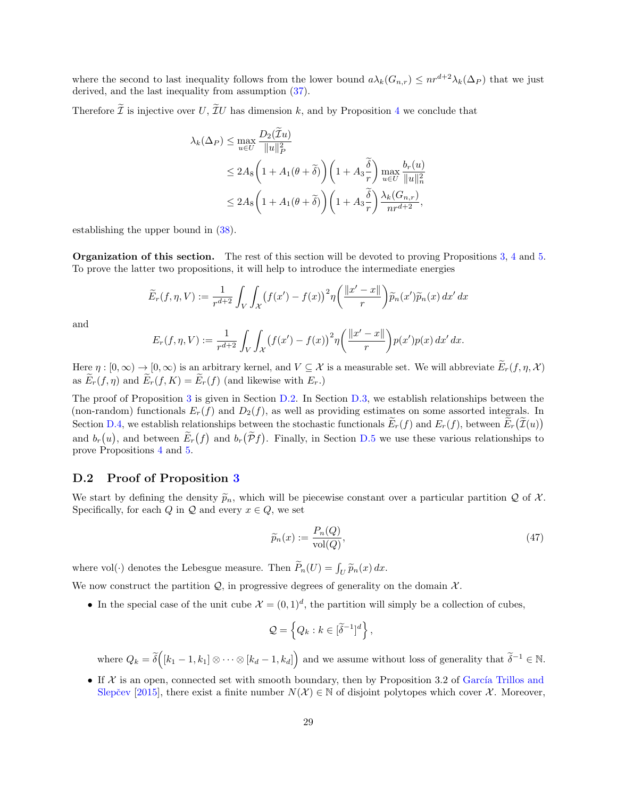where the second to last inequality follows from the lower bound  $a\lambda_k(G_{n,r}) \leq nr^{d+2}\lambda_k(\Delta_P)$  that we just derived, and the last inequality from assumption [\(37\)](#page-23-3).

Therefore  $\tilde{\mathcal{I}}$  is injective over U,  $\tilde{\mathcal{I}}U$  has dimension k, and by Proposition [4](#page-26-1) we conclude that

$$
\lambda_k(\Delta_P) \le \max_{u \in U} \frac{D_2(\tilde{\mathcal{I}}u)}{\|u\|_P^2} \le 2A_8 \left(1 + A_1(\theta + \tilde{\delta})\right) \left(1 + A_3 \frac{\tilde{\delta}}{r}\right) \max_{u \in U} \frac{b_r(u)}{\|u\|_n^2} \le 2A_8 \left(1 + A_1(\theta + \tilde{\delta})\right) \left(1 + A_3 \frac{\tilde{\delta}}{r}\right) \frac{\lambda_k(G_{n,r})}{nr^{d+2}},
$$

establishing the upper bound in [\(38\)](#page-23-4).

Organization of this section. The rest of this section will be devoted to proving Propositions [3,](#page-26-0) [4](#page-26-1) and [5.](#page-27-0) To prove the latter two propositions, it will help to introduce the intermediate energies

$$
\widetilde{E}_r(f,\eta,V) := \frac{1}{r^{d+2}} \int_V \int_{\mathcal{X}} \left( f(x') - f(x) \right)^2 \eta \left( \frac{\|x' - x\|}{r} \right) \widetilde{p}_n(x') \widetilde{p}_n(x) \, dx' \, dx
$$

and

$$
E_r(f, \eta, V) := \frac{1}{r^{d+2}} \int_V \int_{\mathcal{X}} (f(x') - f(x))^2 \eta \left( \frac{\|x' - x\|}{r} \right) p(x') p(x) \, dx' \, dx.
$$

Here  $\eta : [0, \infty) \to [0, \infty)$  is an arbitrary kernel, and  $V \subseteq \mathcal{X}$  is a measurable set. We will abbreviate  $\widetilde{E}_r(f, \eta, \mathcal{X})$ as  $\widetilde{E}_r(f,\eta)$  and  $\widetilde{E}_r(f,K) = \widetilde{E}_r(f)$  (and likewise with  $E_r$ .)

The proof of Proposition [3](#page-26-0) is given in Section [D.2.](#page-28-0) In Section [D.3,](#page-30-0) we establish relationships between the (non-random) functionals  $E_r(f)$  and  $D_2(f)$ , as well as providing estimates on some assorted integrals. In Section [D.4,](#page-33-0) we establish relationships between the stochastic functionals  $E_r(f)$  and  $E_r(f)$ , between  $E_r(\mathcal{I}(u))$ and  $b_r(u)$ , and between  $E_r(f)$  and  $b_r(\mathcal{P}f)$ . Finally, in Section [D.5](#page-36-0) we use these various relationships to prove Propositions [4](#page-26-1) and [5.](#page-27-0)

#### <span id="page-28-0"></span>D.2 Proof of Proposition [3](#page-26-0)

We start by defining the density  $\tilde{p}_n$ , which will be piecewise constant over a particular partition  $Q$  of  $\mathcal{X}$ . Specifically, for each  $Q$  in  $Q$  and every  $x \in Q$ , we set

$$
\widetilde{p}_n(x) := \frac{P_n(Q)}{\text{vol}(Q)},\tag{47}
$$

where vol( $\cdot$ ) denotes the Lebesgue measure. Then  $\tilde{P}_n(U) = \int_U \tilde{p}_n(x) dx$ .

We now construct the partition  $Q$ , in progressive degrees of generality on the domain  $X$ .

• In the special case of the unit cube  $\mathcal{X} = (0,1)^d$ , the partition will simply be a collection of cubes,

$$
\mathcal{Q} = \left\{ Q_k : k \in [\widetilde{\delta}^{-1}]^d \right\},\
$$

where  $Q_k = \tilde{\delta}([k_1 - 1, k_1] \otimes \cdots \otimes [k_d - 1, k_d])$  and we assume without loss of generality that  $\tilde{\delta}^{-1} \in \mathbb{N}$ .

• If  $X$  is an open, connected set with smooth boundary, then by Proposition 3.2 of García Trillos and Slepčev [\[2015\]](#page-13-17), there exist a finite number  $N(\mathcal{X}) \in \mathbb{N}$  of disjoint polytopes which cover X. Moreover,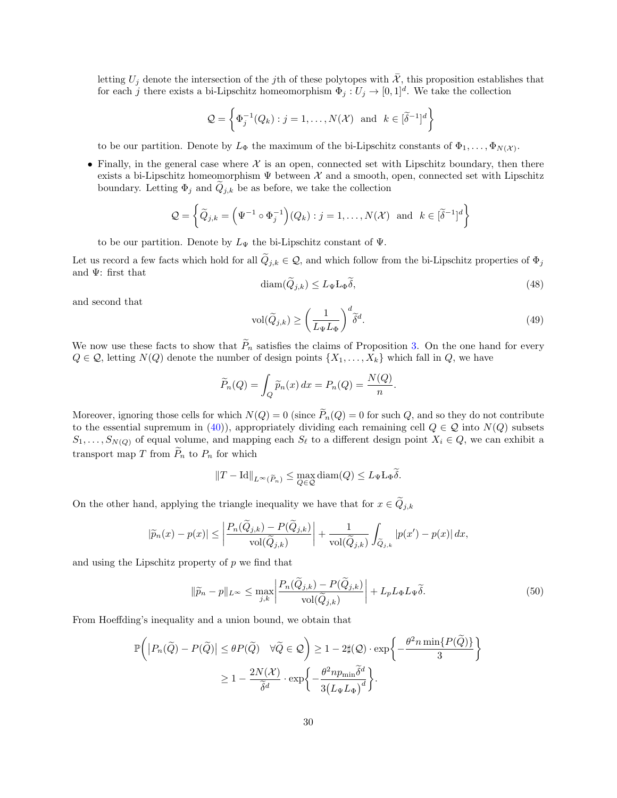letting  $U_j$  denote the intersection of the jth of these polytopes with  $\overline{\mathcal{X}}$ , this proposition establishes that for each j there exists a bi-Lipschitz homeomorphism  $\Phi_j: U_j \to [0,1]^d$ . We take the collection

$$
\mathcal{Q} = \left\{ \Phi_j^{-1}(Q_k) : j = 1, \dots, N(\mathcal{X}) \text{ and } k \in [\widetilde{\delta}^{-1}]^d \right\}
$$

to be our partition. Denote by  $L_{\Phi}$  the maximum of the bi-Lipschitz constants of  $\Phi_1, \ldots, \Phi_{N(\mathcal{X})}$ .

• Finally, in the general case where  $\mathcal X$  is an open, connected set with Lipschitz boundary, then there exists a bi-Lipschitz homeomorphism  $\Psi$  between  $X$  and a smooth, open, connected set with Lipschitz boundary. Letting  $\Phi_j$  and  $Q_{j,k}$  be as before, we take the collection

$$
\mathcal{Q} = \left\{ \widetilde{Q}_{j,k} = \left( \Psi^{-1} \circ \Phi_j^{-1} \right) (Q_k) : j = 1, \dots, N(\mathcal{X}) \text{ and } k \in [\widetilde{\delta}^{-1}]^d \right\}
$$

to be our partition. Denote by  $L_{\Psi}$  the bi-Lipschitz constant of  $\Psi$ .

Let us record a few facts which hold for all  $\tilde{Q}_{j,k} \in \mathcal{Q}$ , and which follow from the bi-Lipschitz properties of  $\Phi_j$ and  $\Psi$ : first that

$$
\text{diam}(\widetilde{Q}_{j,k}) \le L_{\Psi} L_{\Phi}\widetilde{\delta},\tag{48}
$$

and second that

$$
\text{vol}(\widetilde{Q}_{j,k}) \ge \left(\frac{1}{L_{\Psi}L_{\Phi}}\right)^{d} \widetilde{\delta}^{d}.\tag{49}
$$

We now use these facts to show that  $\widetilde{P}_n$  satisfies the claims of Proposition [3.](#page-26-0) On the one hand for every  $Q \in \mathcal{Q}$ , letting  $N(Q)$  denote the number of design points  $\{X_1, \ldots, X_k\}$  which fall in  $Q$ , we have

$$
\widetilde{P}_n(Q) = \int_Q \widetilde{p}_n(x) dx = P_n(Q) = \frac{N(Q)}{n}.
$$

Moreover, ignoring those cells for which  $N(Q) = 0$  (since  $\widetilde{P}_n(Q) = 0$  for such Q, and so they do not contribute to the essential supremum in [\(40\)](#page-25-1)), appropriately dividing each remaining cell  $Q \in \mathcal{Q}$  into  $N(Q)$  subsets  $S_1, \ldots, S_{N(Q)}$  of equal volume, and mapping each  $S_\ell$  to a different design point  $X_i \in Q$ , we can exhibit a transport map T from  $P_n$  to  $P_n$  for which

$$
||T - \mathrm{Id}||_{L^{\infty}(\widetilde{P}_n)} \le \max_{Q \in \mathcal{Q}} \mathrm{diam}(Q) \le L_{\Psi} L_{\Phi} \widetilde{\delta}.
$$

On the other hand, applying the triangle inequality we have that for  $x \in \tilde{Q}_{j,k}$ 

$$
|\widetilde{p}_n(x)-p(x)| \le \left|\frac{P_n(\widetilde{Q}_{j,k})-P(\widetilde{Q}_{j,k})}{\mathrm{vol}(\widetilde{Q}_{j,k})}\right| + \frac{1}{\mathrm{vol}(\widetilde{Q}_{j,k})}\int_{\widetilde{Q}_{j,k}}|p(x')-p(x)|\,dx,
$$

and using the Lipschitz property of  $p$  we find that

<span id="page-29-0"></span>
$$
\|\widetilde{p}_n - p\|_{L^\infty} \le \max_{j,k} \left| \frac{P_n(\widetilde{Q}_{j,k}) - P(\widetilde{Q}_{j,k})}{\text{vol}(\widetilde{Q}_{j,k})} \right| + L_p L_\Phi L_\Psi \widetilde{\delta}.\tag{50}
$$

From Hoeffding's inequality and a union bound, we obtain that

$$
\mathbb{P}\bigg(\big|P_n(\widetilde{Q}) - P(\widetilde{Q})\big| \leq \theta P(\widetilde{Q}) \quad \forall \widetilde{Q} \in \mathcal{Q}\bigg) \geq 1 - 2\sharp(\mathcal{Q}) \cdot \exp\bigg\{-\frac{\theta^2 n \min\{P(\widetilde{Q})\}}{3}\bigg\}
$$

$$
\geq 1 - \frac{2N(\mathcal{X})}{\widetilde{\delta}^d} \cdot \exp\bigg\{-\frac{\theta^2 n p_{\min}\widetilde{\delta}^d}{3(L_{\Psi}L_{\Phi})^d}\bigg\}.
$$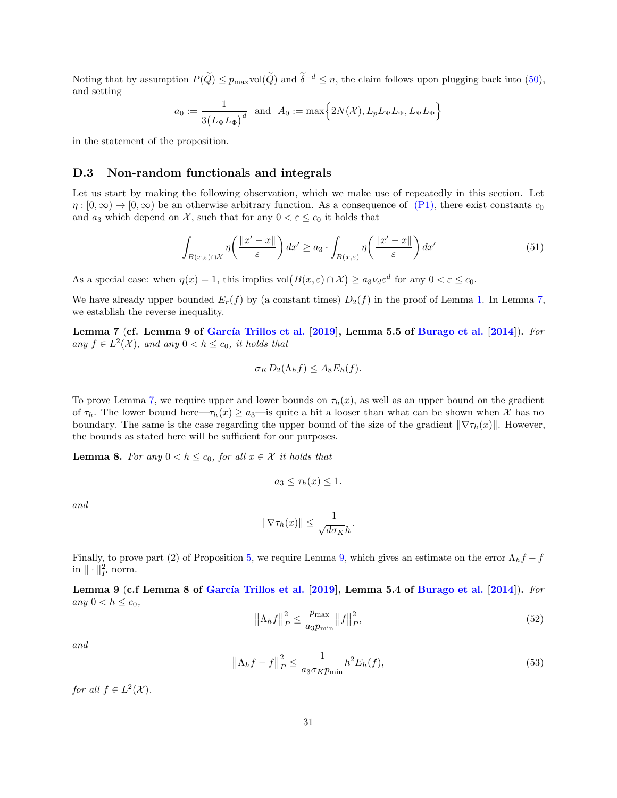Noting that by assumption  $P(\widetilde{Q}) \le p_{\max} \text{vol}(\widetilde{Q})$  and  $\widetilde{\delta}^{-d} \le n$ , the claim follows upon plugging back into [\(50\)](#page-29-0), and setting

$$
a_0 := \frac{1}{3(L_\Psi L_\Phi)^d} \text{ and } A_0 := \max\Big\{2N(\mathcal{X}), L_p L_\Psi L_\Phi, L_\Psi L_\Phi\Big\}
$$

in the statement of the proposition.

#### <span id="page-30-0"></span>D.3 Non-random functionals and integrals

Let us start by making the following observation, which we make use of repeatedly in this section. Let  $\eta : [0, \infty) \to [0, \infty)$  be an otherwise arbitrary function. As a consequence of [\(P1\),](#page-4-1) there exist constants  $c_0$ and  $a_3$  which depend on X, such that for any  $0 < \varepsilon \leq c_0$  it holds that

<span id="page-30-4"></span>
$$
\int_{B(x,\varepsilon)\cap\mathcal{X}} \eta\left(\frac{\|x'-x\|}{\varepsilon}\right) dx' \ge a_3 \cdot \int_{B(x,\varepsilon)} \eta\left(\frac{\|x'-x\|}{\varepsilon}\right) dx'
$$
\n(51)

As a special case: when  $\eta(x) = 1$ , this implies  $\text{vol}(B(x, \varepsilon) \cap \mathcal{X}) \ge a_3 \nu_d \varepsilon^d$  for any  $0 < \varepsilon \le c_0$ .

We have already upper bounded  $E_r(f)$  by (a constant times)  $D_2(f)$  in the proof of Lemma [1.](#page-10-0) In Lemma [7,](#page-30-1) we establish the reverse inequality.

<span id="page-30-1"></span>Lemma 7 (cf. Lemma 9 of García Trillos et al.  $[2019]$ , Lemma 5.5 of [Burago et al.](#page-13-7)  $[2014]$ ). For any  $f \in L^2(\mathcal{X})$ , and any  $0 < h \leq c_0$ , it holds that

$$
\sigma_K D_2(\Lambda_h f) \leq A_8 E_h(f).
$$

To prove Lemma [7,](#page-30-1) we require upper and lower bounds on  $\tau_h(x)$ , as well as an upper bound on the gradient of  $\tau_h$ . The lower bound here— $\tau_h(x) \ge a_3$ —is quite a bit a looser than what can be shown when X has no boundary. The same is the case regarding the upper bound of the size of the gradient  $\|\nabla \tau_h(x)\|$ . However, the bounds as stated here will be sufficient for our purposes.

<span id="page-30-3"></span>**Lemma 8.** For any  $0 < h \leq c_0$ , for all  $x \in \mathcal{X}$  it holds that

$$
a_3 \leq \tau_h(x) \leq 1.
$$

and

$$
\|\nabla \tau_h(x)\| \leq \frac{1}{\sqrt{d\sigma_K}h}.
$$

Finally, to prove part (2) of Proposition [5,](#page-27-0) we require Lemma [9,](#page-30-2) which gives an estimate on the error  $\Lambda_h f - f$ in  $\|\cdot\|_P^2$  norm.

<span id="page-30-2"></span>Lemma 9 (c.f Lemma 8 of García Trillos et al. [\[2019\]](#page-13-8), Lemma 5.4 of [Burago et al.](#page-13-7) [\[2014\]](#page-13-7)). For any  $0 < h \leq c_0$ ,

$$
\left\|\Lambda_h f\right\|_P^2 \le \frac{p_{\text{max}}}{a_3 p_{\text{min}}} \left\|f\right\|_P^2, \tag{52}
$$

and

<span id="page-30-5"></span>
$$
\left\|\Lambda_h f - f\right\|_P^2 \le \frac{1}{a_3 \sigma_K p_{\min}} h^2 E_h(f),\tag{53}
$$

for all  $f \in L^2(\mathcal{X})$ .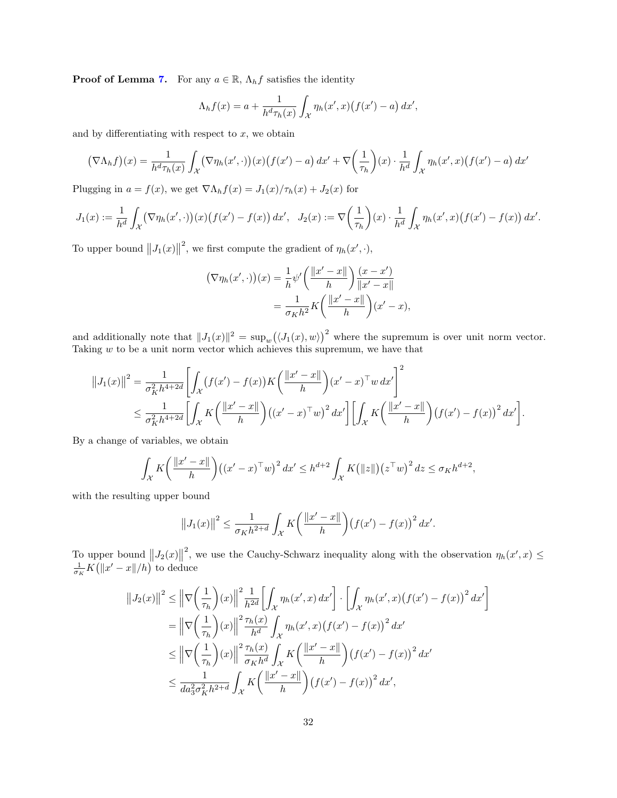**Proof of Lemma [7.](#page-30-1)** For any  $a \in \mathbb{R}$ ,  $\Lambda_h f$  satisfies the identity

$$
\Lambda_h f(x) = a + \frac{1}{h^d \tau_h(x)} \int_{\mathcal{X}} \eta_h(x', x) \big( f(x') - a \big) \, dx',
$$

and by differentiating with respect to  $x$ , we obtain

$$
\left(\nabla\Lambda_h f\right)(x) = \frac{1}{h^d \tau_h(x)} \int_{\mathcal{X}} \left(\nabla\eta_h(x',\cdot)\right)(x) \left(f(x') - a\right) dx' + \nabla\left(\frac{1}{\tau_h}\right)(x) \cdot \frac{1}{h^d} \int_{\mathcal{X}} \eta_h(x',x) \left(f(x') - a\right) dx'
$$

Plugging in  $a = f(x)$ , we get  $\nabla \Lambda_h f(x) = J_1(x)/\tau_h(x) + J_2(x)$  for

$$
J_1(x) := \frac{1}{h^d} \int_{\mathcal{X}} (\nabla \eta_h(x', \cdot))(x) \big( f(x') - f(x) \big) \, dx', \quad J_2(x) := \nabla \left( \frac{1}{\tau_h} \right) (x) \cdot \frac{1}{h^d} \int_{\mathcal{X}} \eta_h(x', x) \big( f(x') - f(x) \big) \, dx'.
$$

To upper bound  $||J_1(x)||$ <sup>2</sup>, we first compute the gradient of  $\eta_h(x', \cdot)$ ,

$$
\left(\nabla \eta_h(x',\cdot)\right)(x) = \frac{1}{h} \psi' \left(\frac{\|x'-x\|}{h}\right) \frac{(x-x')}{\|x'-x\|}
$$

$$
= \frac{1}{\sigma_K h^2} K \left(\frac{\|x'-x\|}{h}\right) (x'-x),
$$

and additionally note that  $||J_1(x)||^2 = \sup_w (\langle J_1(x), w \rangle)^2$  where the supremum is over unit norm vector. Taking  $w$  to be a unit norm vector which achieves this supremum, we have that

$$
||J_1(x)||^2 = \frac{1}{\sigma_K^2 h^{4+2d}} \left[ \int_{\mathcal{X}} (f(x') - f(x)) K\left(\frac{||x' - x||}{h}\right) (x' - x)^{\top} w \, dx' \right]^2
$$
  

$$
\leq \frac{1}{\sigma_K^2 h^{4+2d}} \left[ \int_{\mathcal{X}} K\left(\frac{||x' - x||}{h}\right) ((x' - x)^{\top} w)^2 \, dx' \right] \left[ \int_{\mathcal{X}} K\left(\frac{||x' - x||}{h}\right) (f(x') - f(x))^2 \, dx' \right].
$$

By a change of variables, we obtain

$$
\int_{\mathcal{X}} K\left(\frac{\|x'-x\|}{h}\right) \left((x'-x)^\top w\right)^2 dx' \leq h^{d+2} \int_{\mathcal{X}} K\big(\|z\|\big) \left(z^\top w\right)^2 dz \leq \sigma_K h^{d+2},
$$

with the resulting upper bound

$$
||J_1(x)||^2 \le \frac{1}{\sigma_K h^{2+d}} \int_{\mathcal{X}} K\left(\frac{||x'-x||}{h}\right) (f(x') - f(x))^2 dx'.
$$

To upper bound  $||J_2(x)||$ <sup>2</sup>, we use the Cauchy-Schwarz inequality along with the observation  $\eta_h(x',x) \leq$  $\frac{1}{\sigma_K}K\big(\|x'-x\|/h\big)$  to deduce

$$
\|J_2(x)\|^2 \le \left\|\nabla\left(\frac{1}{\tau_h}\right)(x)\right\|^2 \frac{1}{h^{2d}} \left[\int_{\mathcal{X}} \eta_h(x',x) \, dx'\right] \cdot \left[\int_{\mathcal{X}} \eta_h(x',x) \left(f(x') - f(x)\right)^2 \, dx'\right]
$$

$$
= \left\|\nabla\left(\frac{1}{\tau_h}\right)(x)\right\|^2 \frac{\tau_h(x)}{h^d} \int_{\mathcal{X}} \eta_h(x',x) \left(f(x') - f(x)\right)^2 \, dx'
$$

$$
\le \left\|\nabla\left(\frac{1}{\tau_h}\right)(x)\right\|^2 \frac{\tau_h(x)}{\sigma_K h^d} \int_{\mathcal{X}} K\left(\frac{\|x' - x\|}{h}\right) \left(f(x') - f(x)\right)^2 \, dx'
$$

$$
\le \frac{1}{da_3^2 \sigma_K^2 h^{2+d}} \int_{\mathcal{X}} K\left(\frac{\|x' - x\|}{h}\right) \left(f(x') - f(x)\right)^2 \, dx',
$$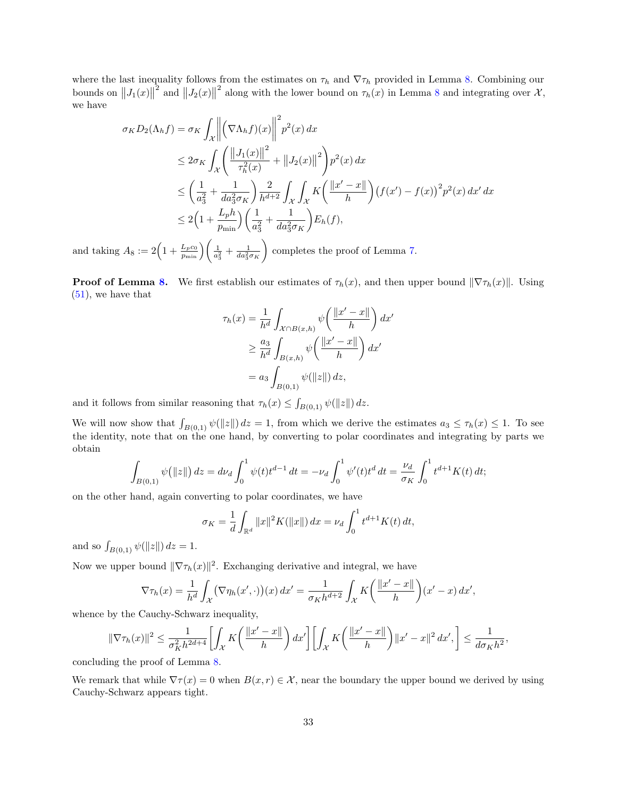where the last inequality follows from the estimates on  $\tau_h$  and  $\nabla \tau_h$  provided in Lemma [8.](#page-30-3) Combining our bounds on  $||J_1(x)||$ <sup>2</sup> and  $||J_2(x)||$ <sup>2</sup> along with the lower bound on  $\tau_h(x)$  in Lemma [8](#page-30-3) and integrating over  $\mathcal{X}$ , we have

$$
\sigma_K D_2(\Lambda_h f) = \sigma_K \int_{\mathcal{X}} \left\| \left( \nabla \Lambda_h f \right)(x) \right\|^2 p^2(x) dx
$$
  
\n
$$
\leq 2 \sigma_K \int_{\mathcal{X}} \left( \frac{\|J_1(x)\|^2}{\tau_h^2(x)} + \|J_2(x)\|^2 \right) p^2(x) dx
$$
  
\n
$$
\leq \left( \frac{1}{a_3^2} + \frac{1}{da_3^2 \sigma_K} \right) \frac{2}{h^{d+2}} \int_{\mathcal{X}} \int_{\mathcal{X}} K \left( \frac{\|x' - x\|}{h} \right) \left( f(x') - f(x) \right)^2 p^2(x) dx' dx
$$
  
\n
$$
\leq 2 \left( 1 + \frac{L_p h}{p_{\min}} \right) \left( \frac{1}{a_3^2} + \frac{1}{da_3^2 \sigma_K} \right) E_h(f),
$$

and taking  $A_8 := 2 \left( 1 + \frac{L_p c_0}{p_{\min}} \right) \left( \frac{1}{a_3^2} + \frac{1}{da_3^2 \sigma_K} \right)$ completes the proof of Lemma [7.](#page-30-1)

**Proof of Lemma [8.](#page-30-3)** We first establish our estimates of  $\tau_h(x)$ , and then upper bound  $\|\nabla \tau_h(x)\|$ . Using  $(51)$ , we have that

$$
\tau_h(x) = \frac{1}{h^d} \int_{\mathcal{X} \cap B(x,h)} \psi\left(\frac{\|x' - x\|}{h}\right) dx'
$$

$$
\geq \frac{a_3}{h^d} \int_{B(x,h)} \psi\left(\frac{\|x' - x\|}{h}\right) dx'
$$

$$
= a_3 \int_{B(0,1)} \psi(\|z\|) dz,
$$

and it follows from similar reasoning that  $\tau_h(x) \leq \int_{B(0,1)} \psi(||z||) dz$ .

We will now show that  $\int_{B(0,1)} \psi(||z||) dz = 1$ , from which we derive the estimates  $a_3 \leq \tau_h(x) \leq 1$ . To see the identity, note that on the one hand, by converting to polar coordinates and integrating by parts we obtain

$$
\int_{B(0,1)} \psi(||z||) dz = d\nu_d \int_0^1 \psi(t) t^{d-1} dt = -\nu_d \int_0^1 \psi'(t) t^d dt = \frac{\nu_d}{\sigma_K} \int_0^1 t^{d+1} K(t) dt;
$$

on the other hand, again converting to polar coordinates, we have

$$
\sigma_K = \frac{1}{d} \int_{\mathbb{R}^d} ||x||^2 K(||x||) dx = \nu_d \int_0^1 t^{d+1} K(t) dt,
$$

and so  $\int_{B(0,1)} \psi(||z||) dz = 1.$ 

Now we upper bound  $\|\nabla \tau_h(x)\|^2$ . Exchanging derivative and integral, we have

$$
\nabla \tau_h(x) = \frac{1}{h^d} \int_{\mathcal{X}} (\nabla \eta_h(x', \cdot))(x) dx' = \frac{1}{\sigma_K h^{d+2}} \int_{\mathcal{X}} K\left(\frac{\|x' - x\|}{h}\right) (x' - x) dx',
$$

whence by the Cauchy-Schwarz inequality,

$$
\|\nabla\tau_h(x)\|^2 \le \frac{1}{\sigma_K^2 h^{2d+4}} \left[ \int_{\mathcal{X}} K\left( \frac{\|x'-x\|}{h} \right) dx' \right] \left[ \int_{\mathcal{X}} K\left( \frac{\|x'-x\|}{h} \right) \|x'-x\|^2 dx', \right] \le \frac{1}{d\sigma_K h^2},
$$
ing the proof of Lemma 8

concluding

We remark that while  $\nabla \tau(x) = 0$  when  $B(x, r) \in \mathcal{X}$ , near the boundary the upper bound we derived by using Cauchy-Schwarz appears tight.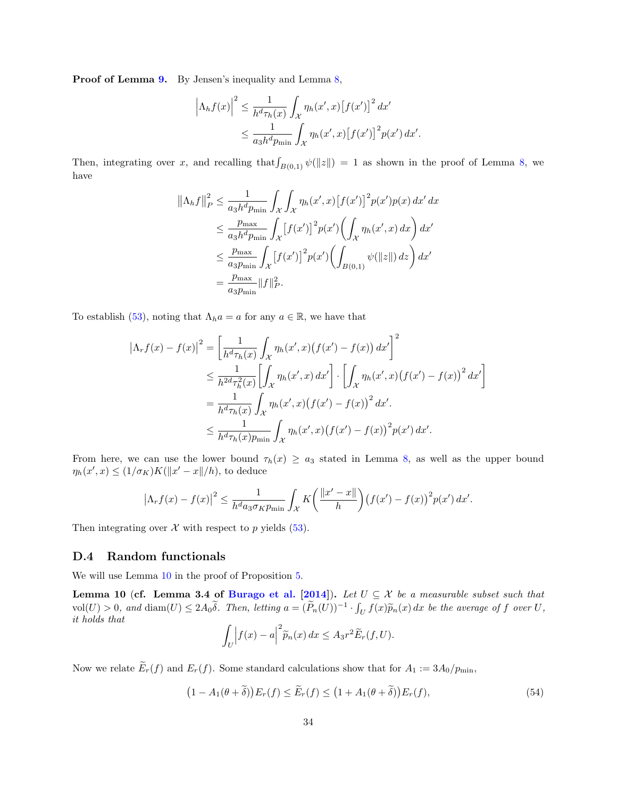Proof of Lemma [9.](#page-30-2) By Jensen's inequality and Lemma [8,](#page-30-3)

$$
\left|\Lambda_h f(x)\right|^2 \leq \frac{1}{h^d \tau_h(x)} \int_{\mathcal{X}} \eta_h(x', x) \left[f(x')\right]^2 dx'
$$
  

$$
\leq \frac{1}{a_3 h^d p_{\min}} \int_{\mathcal{X}} \eta_h(x', x) \left[f(x')\right]^2 p(x') dx'.
$$

Then, integrating over x, and recalling that  $\int_{B(0,1)} \psi(||z||) = 1$  as shown in the proof of Lemma [8,](#page-30-3) we have

$$
\begin{split} \left\| \Lambda_h f \right\|_P^2 &\leq \frac{1}{a_3 h^d p_{\min}} \int_{\mathcal{X}} \int_{\mathcal{X}} \eta_h(x', x) \left[ f(x') \right]^2 p(x') p(x) \, dx' \, dx \\ &\leq \frac{p_{\max}}{a_3 h^d p_{\min}} \int_{\mathcal{X}} \left[ f(x') \right]^2 p(x') \bigg( \int_{\mathcal{X}} \eta_h(x', x) \, dx \bigg) \, dx' \\ &\leq \frac{p_{\max}}{a_3 p_{\min}} \int_{\mathcal{X}} \left[ f(x') \right]^2 p(x') \bigg( \int_{B(0, 1)} \psi(\|z\|) \, dz \bigg) \, dx' \\ &= \frac{p_{\max}}{a_3 p_{\min}} \|f\|_P^2. \end{split}
$$

To establish [\(53\)](#page-30-5), noting that  $\Lambda_h a = a$  for any  $a \in \mathbb{R}$ , we have that

$$
\left|\Lambda_r f(x) - f(x)\right|^2 = \left[\frac{1}{h^d \tau_h(x)} \int_{\mathcal{X}} \eta_h(x', x) \left(f(x') - f(x)\right) dx'\right]^2
$$
  
\n
$$
\leq \frac{1}{h^{2d} \tau_h^2(x)} \left[\int_{\mathcal{X}} \eta_h(x', x) dx'\right] \cdot \left[\int_{\mathcal{X}} \eta_h(x', x) \left(f(x') - f(x)\right)^2 dx'\right]
$$
  
\n
$$
= \frac{1}{h^d \tau_h(x)} \int_{\mathcal{X}} \eta_h(x', x) \left(f(x') - f(x)\right)^2 dx'.
$$
  
\n
$$
\leq \frac{1}{h^d \tau_h(x) p_{\min}} \int_{\mathcal{X}} \eta_h(x', x) \left(f(x') - f(x)\right)^2 p(x') dx'.
$$

From here, we can use the lower bound  $\tau_h(x) \ge a_3$  stated in Lemma [8,](#page-30-3) as well as the upper bound  $\eta_h(x',x) \leq (1/\sigma_K)K(||x'-x||/h)$ , to deduce

$$
\left|\Lambda_r f(x) - f(x)\right|^2 \le \frac{1}{h^d a_3 \sigma_K p_{\min}} \int_{\mathcal{X}} K\left(\frac{\|x' - x\|}{h}\right) \left(f(x') - f(x)\right)^2 p(x') dx'.
$$

Then integrating over  $\mathcal X$  with respect to p yields [\(53\)](#page-30-5).

### <span id="page-33-0"></span>D.4 Random functionals

We will use Lemma [10](#page-33-1) in the proof of Proposition [5.](#page-27-0)

<span id="page-33-1"></span>Lemma 10 (cf. Lemma 3.4 of [Burago et al.](#page-13-7) [\[2014\]](#page-13-7)). Let  $U \subseteq \mathcal{X}$  be a measurable subset such that  $vol(U) > 0$ , and  $\text{diam}(U) \leq 2A_0\tilde{\delta}$ . Then, letting  $a = (\tilde{P}_n(U))^{-1} \cdot \int_U f(x)\tilde{p}_n(x) dx$  be the average of f over U,  $idA$  holds that it holds that

$$
\int_U \left| f(x) - a \right|^2 \widetilde{p}_n(x) \, dx \leq A_3 r^2 \widetilde{E}_r(f, U).
$$

Now we relate  $\widetilde{E}_r(f)$  and  $E_r(f)$ . Some standard calculations show that for  $A_1 := 3A_0/p_{\text{min}}$ ,

<span id="page-33-2"></span>
$$
(1 - A_1(\theta + \delta))E_r(f) \le \tilde{E}_r(f) \le (1 + A_1(\theta + \delta))E_r(f), \tag{54}
$$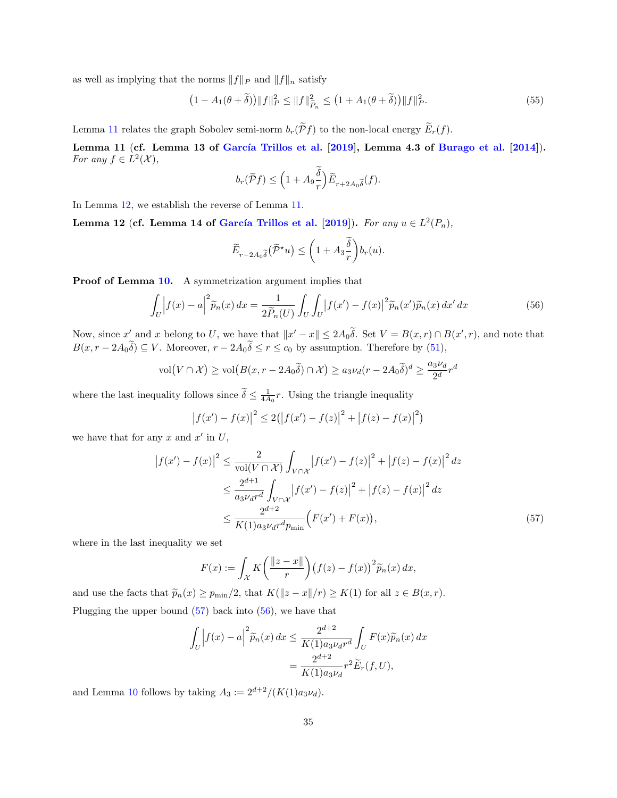as well as implying that the norms  $||f||_P$  and  $||f||_p$  satisfy

<span id="page-34-4"></span>
$$
(1 - A_1(\theta + \tilde{\delta})) \|f\|_P^2 \le \|f\|_{\tilde{P}_n}^2 \le (1 + A_1(\theta + \tilde{\delta})) \|f\|_P^2.
$$
 (55)

Lemma [11](#page-34-0) relates the graph Sobolev semi-norm  $b_r(\widetilde{\mathcal{P}}f)$  to the non-local energy  $\widetilde{E}_r(f)$ .

<span id="page-34-0"></span>Lemma 11 (cf. Lemma 13 of García Trillos et al.  $[2019]$ , Lemma 4.3 of [Burago et al.](#page-13-7)  $[2014]$ ). For any  $f \in L^2(\mathcal{X}),$ 

$$
b_r(\widetilde{\mathcal{P}}f) \le \left(1 + A_9 \frac{\delta}{r}\right) \widetilde{E}_{r+2A_0 \widetilde{\delta}}(f).
$$

In Lemma [12,](#page-34-1) we establish the reverse of Lemma [11.](#page-34-0)

<span id="page-34-1"></span>Lemma 12 (cf. Lemma 14 of García Trillos et al. [\[2019\]](#page-13-8)). For any  $u \in L^2(P_n)$ ,

$$
\widetilde{E}_{r-2A_0\widetilde{\delta}}(\widetilde{\mathcal{P}}^{\star}u)\leq \bigg(1+A_3\frac{\widetilde{\delta}}{r}\bigg)b_r(u).
$$

Proof of Lemma [10.](#page-33-1) A symmetrization argument implies that

<span id="page-34-3"></span>
$$
\int_{U} \left| f(x) - a \right|^2 \widetilde{p}_n(x) dx = \frac{1}{2\widetilde{P}_n(U)} \int_{U} \int_{U} \left| f(x') - f(x) \right|^2 \widetilde{p}_n(x') \widetilde{p}_n(x) dx' dx \tag{56}
$$

Now, since  $x'$  and x belong to U, we have that  $||x' - x|| \le 2A_0\tilde{\delta}$ . Set  $V = B(x, r) \cap B(x', r)$ , and note that  $B(x, r - 2A_0\delta) \subseteq V$ . Moreover,  $r - 2A_0\delta \le r \le c_0$  by assumption. Therefore by [\(51\)](#page-30-4),

$$
\text{vol}(V \cap \mathcal{X}) \ge \text{vol}(B(x, r - 2A_0 \tilde{\delta}) \cap \mathcal{X}) \ge a_3 \nu_d (r - 2A_0 \tilde{\delta})^d \ge \frac{a_3 \nu_d}{2^d} r^d
$$

where the last inequality follows since  $\tilde{\delta} \leq \frac{1}{4A_0}r$ . Using the triangle inequality

$$
|f(x') - f(x)|^{2} \le 2(|f(x') - f(z)|^{2} + |f(z) - f(x)|^{2})
$$

we have that for any x and  $x'$  in U,

$$
\left| f(x') - f(x) \right|^2 \le \frac{2}{\text{vol}(V \cap \mathcal{X})} \int_{V \cap \mathcal{X}} \left| f(x') - f(z) \right|^2 + \left| f(z) - f(x) \right|^2 dz
$$
  

$$
\le \frac{2^{d+1}}{a_3 \nu_d r^d} \int_{V \cap \mathcal{X}} \left| f(x') - f(z) \right|^2 + \left| f(z) - f(x) \right|^2 dz
$$
  

$$
\le \frac{2^{d+2}}{K(1) a_3 \nu_d r^d p_{\text{min}}} \left( F(x') + F(x) \right), \tag{57}
$$

where in the last inequality we set

<span id="page-34-2"></span>
$$
F(x) := \int_{\mathcal{X}} K\left(\frac{\|z-x\|}{r}\right) \left(f(z) - f(x)\right)^2 \widetilde{p}_n(x) \, dx,
$$

and use the facts that  $\widetilde{p}_n(x) \ge p_{\min}/2$ , that  $K(\|z - x\|/r) \ge K(1)$  for all  $z \in B(x, r)$ . Plugging the upper bound  $(57)$  back into  $(56)$ , we have that

$$
\int_{U} \left| f(x) - a \right|^2 \widetilde{p}_n(x) dx \le \frac{2^{d+2}}{K(1)a_3 \nu_d r^d} \int_{U} F(x) \widetilde{p}_n(x) dx
$$

$$
= \frac{2^{d+2}}{K(1)a_3 \nu_d} r^2 \widetilde{E}_r(f, U),
$$

and Lemma [10](#page-33-1) follows by taking  $A_3 := 2^{d+2}/(K(1)a_3\nu_d)$ .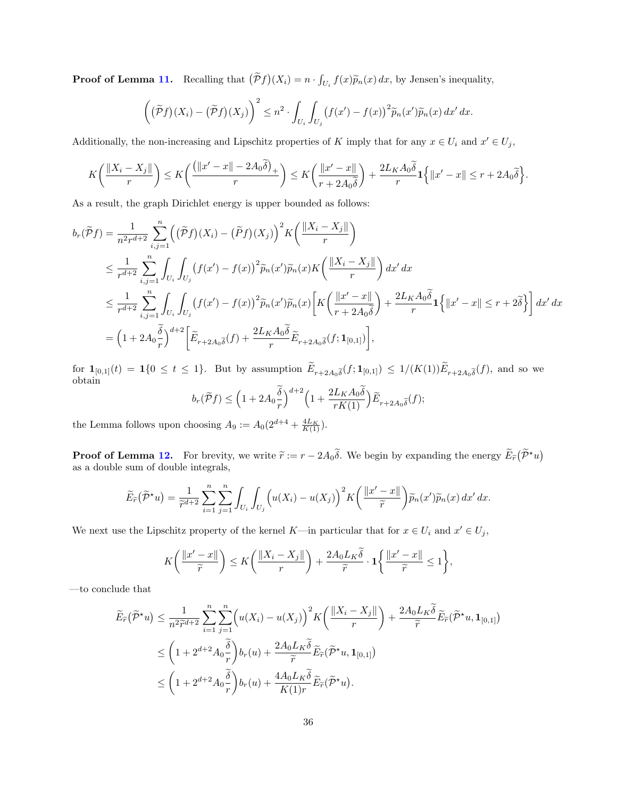**Proof of Lemma [11.](#page-34-0)** Recalling that  $(\tilde{P}f)(X_i) = n \cdot \int_{U_i} f(x) \tilde{p}_n(x) dx$ , by Jensen's inequality,

$$
\left( (\widetilde{\mathcal{P}}f)(X_i) - (\widetilde{\mathcal{P}}f)(X_j) \right)^2 \leq n^2 \cdot \int_{U_i} \int_{U_j} \left( f(x') - f(x) \right)^2 \widetilde{p}_n(x') \widetilde{p}_n(x) \, dx' \, dx.
$$

Additionally, the non-increasing and Lipschitz properties of K imply that for any  $x \in U_i$  and  $x' \in U_j$ ,

$$
K\left(\frac{\|X_i-X_j\|}{r}\right)\leq K\left(\frac{\left(\|x'-x\|-2A_0\widetilde{\delta}\right)_+}{r}\right)\leq K\left(\frac{\|x'-x\|}{r+2A_0\widetilde{\delta}}\right)+\frac{2L_KA_0\widetilde{\delta}}{r}\mathbf{1}\left\{\|x'-x\|\leq r+2A_0\widetilde{\delta}\right\}.
$$

As a result, the graph Dirichlet energy is upper bounded as follows:

$$
b_r(\widetilde{P}f) = \frac{1}{n^2r^{d+2}} \sum_{i,j=1}^n \left( (\widetilde{P}f)(X_i) - (\widetilde{P}f)(X_j) \right)^2 K \left( \frac{\|X_i - X_j\|}{r} \right)
$$
  
\n
$$
\leq \frac{1}{r^{d+2}} \sum_{i,j=1}^n \int_{U_i} \int_{U_j} \left( f(x') - f(x) \right)^2 \widetilde{p}_n(x') \widetilde{p}_n(x) K \left( \frac{\|X_i - X_j\|}{r} \right) dx' dx
$$
  
\n
$$
\leq \frac{1}{r^{d+2}} \sum_{i,j=1}^n \int_{U_i} \int_{U_j} \left( f(x') - f(x) \right)^2 \widetilde{p}_n(x') \widetilde{p}_n(x) \left[ K \left( \frac{\|x' - x\|}{r + 2A_0 \widetilde{\delta}} \right) + \frac{2L_K A_0 \widetilde{\delta}}{r} \mathbf{1} \left\{ \|x' - x\| \leq r + 2\widetilde{\delta} \right\} \right] dx' dx
$$
  
\n
$$
= \left( 1 + 2A_0 \frac{\widetilde{\delta}}{r} \right)^{d+2} \left[ \widetilde{E}_{r+2A_0 \widetilde{\delta}}(f) + \frac{2L_K A_0 \widetilde{\delta}}{r} \widetilde{E}_{r+2A_0 \widetilde{\delta}}(f; \mathbf{1}_{[0,1]}) \right],
$$

for  $\mathbf{1}_{[0,1]}(t) = \mathbf{1}\{0 \le t \le 1\}$ . But by assumption  $E_{r+2A_0\tilde{\delta}}(f; \mathbf{1}_{[0,1]}) \le 1/(K(1))E_{r+2A_0\tilde{\delta}}(f)$ , and so we obtain

$$
b_r(\widetilde{\mathcal{P}}f) \le \left(1 + 2A_0 \frac{\delta}{r}\right)^{d+2} \left(1 + \frac{2L_K A_0 \delta}{rK(1)}\right) \widetilde{E}_{r+2A_0 \widetilde{\delta}}(f);
$$

the Lemma follows upon choosing  $A_9 := A_0(2^{d+4} + \frac{4L_K}{K(1)})$ .

**Proof of Lemma [12.](#page-34-1)** For brevity, we write  $\tilde{r} := r - 2A_0\tilde{\delta}$ . We begin by expanding the energy  $\tilde{E}_{\tilde{r}}(\tilde{\mathcal{P}}^{\star}u)$ as a double sum of double integrals,

$$
\widetilde{E}_{\widetilde{r}}(\widetilde{\mathcal{P}}^{\star}u)=\frac{1}{\widetilde{r}^{d+2}}\sum_{i=1}^{n}\sum_{j=1}^{n}\int_{U_{i}}\int_{U_{j}}\left(u(X_{i})-u(X_{j})\right)^{2}K\left(\frac{\|x'-x\|}{\widetilde{r}}\right)\widetilde{p}_{n}(x')\widetilde{p}_{n}(x)\,dx'\,dx.
$$

We next use the Lipschitz property of the kernel K—in particular that for  $x \in U_i$  and  $x' \in U_j$ ,

$$
K\bigg(\frac{\|x'-x\|}{\widetilde{r}}\bigg) \le K\bigg(\frac{\|X_i-X_j\|}{r}\bigg) + \frac{2A_0L_K\widetilde{\delta}}{\widetilde{r}}\cdot \mathbf{1}\bigg\{\frac{\|x'-x\|}{\widetilde{r}} \le 1\bigg\},\
$$

—to conclude that

$$
\widetilde{E}_{\widetilde{r}}(\widetilde{\mathcal{P}}^*u) \leq \frac{1}{n^2 \widetilde{r}^{d+2}} \sum_{i=1}^n \sum_{j=1}^n \left( u(X_i) - u(X_j) \right)^2 K\left( \frac{\|X_i - X_j\|}{r} \right) + \frac{2A_0 L_K \widetilde{\delta}}{\widetilde{r}} \widetilde{E}_{\widetilde{r}}(\widetilde{\mathcal{P}}^*u, \mathbf{1}_{[0,1]})
$$
\n
$$
\leq \left( 1 + 2^{d+2} A_0 \frac{\widetilde{\delta}}{r} \right) b_r(u) + \frac{2A_0 L_K \widetilde{\delta}}{\widetilde{r}} \widetilde{E}_{\widetilde{r}}(\widetilde{\mathcal{P}}^*u, \mathbf{1}_{[0,1]})
$$
\n
$$
\leq \left( 1 + 2^{d+2} A_0 \frac{\widetilde{\delta}}{r} \right) b_r(u) + \frac{4A_0 L_K \widetilde{\delta}}{K(1)r} \widetilde{E}_{\widetilde{r}}(\widetilde{\mathcal{P}}^*u).
$$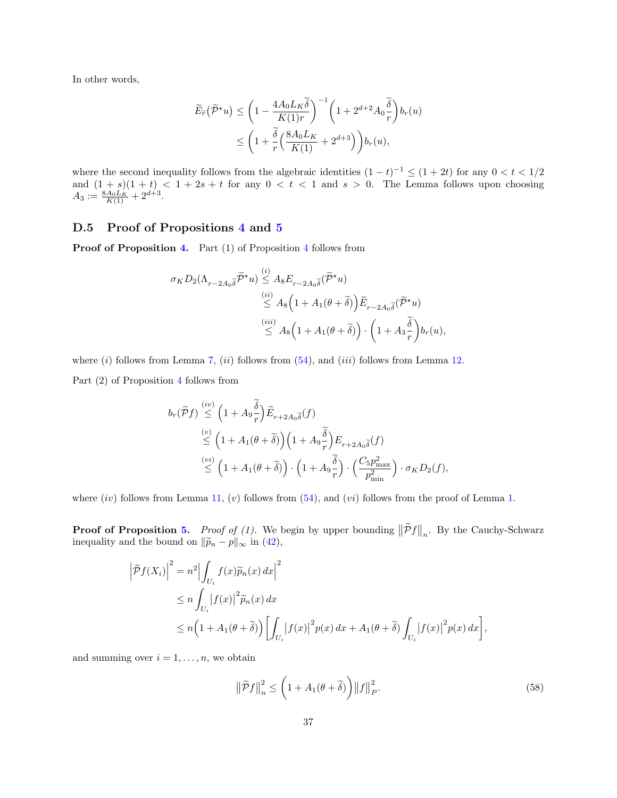In other words,

$$
\widetilde{E}_{\widetilde{r}}(\widetilde{\mathcal{P}}^{\star}u) \leq \left(1 - \frac{4A_0 L_K \widetilde{\delta}}{K(1)r}\right)^{-1} \left(1 + 2^{d+2} A_0 \frac{\widetilde{\delta}}{r}\right) b_r(u)
$$
\n
$$
\leq \left(1 + \frac{\widetilde{\delta}}{r} \left(\frac{8A_0 L_K}{K(1)} + 2^{d+3}\right)\right) b_r(u),
$$

where the second inequality follows from the algebraic identities  $(1-t)^{-1} \le (1+2t)$  for any  $0 < t < 1/2$ and  $(1 + s)(1 + t) < 1 + 2s + t$  for any  $0 < t < 1$  and  $s > 0$ . The Lemma follows upon choosing  $A_3 := \frac{8A_0L_K}{K(1)} + 2^{d+3}.$ 

#### <span id="page-36-0"></span>D.5 Proof of Propositions [4](#page-26-1) and [5](#page-27-0)

Proof of Proposition [4.](#page-26-1) Part (1) of Proposition [4](#page-26-1) follows from

$$
\begin{aligned} \sigma_K D_2(\Lambda_{r-2A_0\widetilde{\delta}}\widetilde{\mathcal{P}}^\star u)&\stackrel{(i)}{\leq}A_8E_{r-2A_0\widetilde{\delta}}(\widetilde{\mathcal{P}}^\star u)\\ &\stackrel{(ii)}{\leq}A_8\Big(1+A_1(\theta+\widetilde{\delta})\Big)\widetilde{E}_{r-2A_0\widetilde{\delta}}(\widetilde{\mathcal{P}}^\star u)\\ &\stackrel{(iii)}{\leq}A_8\Big(1+A_1(\theta+\widetilde{\delta})\Big)\cdot\bigg(1+A_3\frac{\widetilde{\delta}}{r}\bigg)b_r(u), \end{aligned}
$$

where  $(i)$  follows from Lemma [7,](#page-30-1)  $(ii)$  follows from  $(54)$ , and  $(iii)$  follows from Lemma [12.](#page-34-1)

Part  $(2)$  of Proposition [4](#page-26-1) follows from

$$
b_r(\widetilde{P}f) \stackrel{(iv)}{\leq} \left(1 + A_9 \frac{\widetilde{\delta}}{r}\right) \widetilde{E}_{r+2A_0 \widetilde{\delta}}(f)
$$
  

$$
\stackrel{(v)}{\leq} \left(1 + A_1(\theta + \widetilde{\delta})\right) \left(1 + A_9 \frac{\widetilde{\delta}}{r}\right) E_{r+2A_0 \widetilde{\delta}}(f)
$$
  

$$
\stackrel{(vi)}{\leq} \left(1 + A_1(\theta + \widetilde{\delta})\right) \cdot \left(1 + A_9 \frac{\widetilde{\delta}}{r}\right) \cdot \left(\frac{C_5 p_{\text{max}}^2}{p_{\text{min}}^2}\right) \cdot \sigma_K D_2(f),
$$

where  $(iv)$  follows from Lemma [11,](#page-34-0)  $(v)$  follows from  $(54)$ , and  $(vi)$  follows from the proof of Lemma [1.](#page-10-0)

**Proof of Proposition [5.](#page-27-0)** Proof of (1). We begin by upper bounding  $\|\tilde{\mathcal{P}}f\|_n$ . By the Cauchy-Schwarz inequality and the bound on  $\|\widetilde{p}_n - p\|_{\infty}$  in [\(42\)](#page-26-3),

$$
\left| \tilde{\mathcal{P}} f(X_i) \right|^2 = n^2 \Big| \int_{U_i} f(x) \tilde{p}_n(x) \, dx \Big|^2
$$
  
\n
$$
\leq n \int_{U_i} \Big| f(x) \Big|^2 \tilde{p}_n(x) \, dx
$$
  
\n
$$
\leq n \Big( 1 + A_1(\theta + \tilde{\delta}) \Big) \Big[ \int_{U_i} \Big| f(x) \Big|^2 p(x) \, dx + A_1(\theta + \tilde{\delta}) \int_{U_i} \Big| f(x) \Big|^2 p(x) \, dx \Big],
$$

and summing over  $i = 1, \ldots, n$ , we obtain

<span id="page-36-1"></span>
$$
\left\|\widetilde{\mathcal{P}}f\right\|_{n}^{2} \leq \left(1 + A_{1}(\theta + \widetilde{\delta})\right) \left\|f\right\|_{P}^{2}.
$$
\n(58)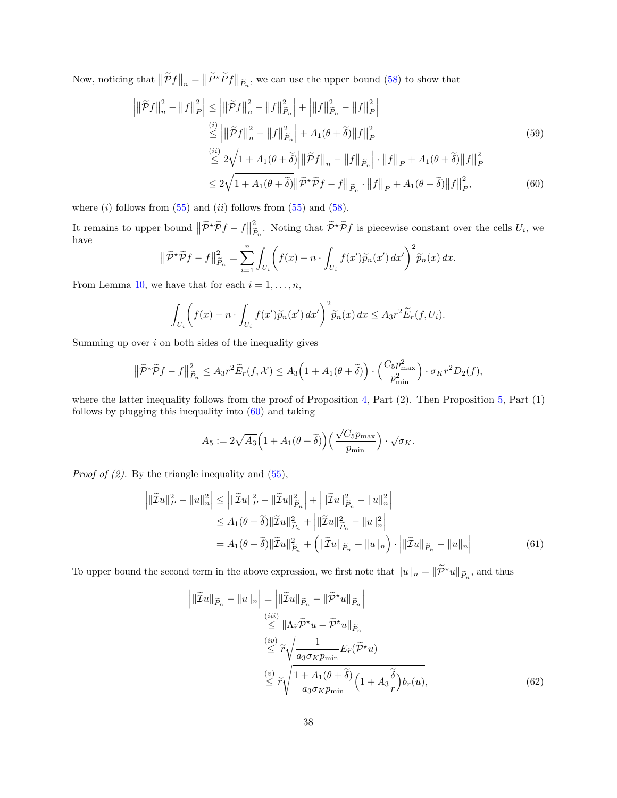Now, noticing that  $\|\tilde{\mathcal{P}}f\|_n = \|\tilde{P}^{\star}\tilde{P}f\|_{\tilde{P}_n}$ , we can use the upper bound [\(58\)](#page-36-1) to show that

$$
\left| \|\tilde{\mathcal{P}}f\|_{n}^{2} - \|f\|_{P}^{2} \right| \leq \left| \|\tilde{\mathcal{P}}f\|_{n}^{2} - \|f\|_{\tilde{P}_{n}}^{2} \right| + \left| \|f\|_{\tilde{P}_{n}}^{2} - \|f\|_{P}^{2} \right|
$$
\n
$$
\stackrel{(i)}{\leq} \left| \|\tilde{\mathcal{P}}f\|_{n}^{2} - \|f\|_{\tilde{P}_{n}}^{2} \right| + A_{1}(\theta + \tilde{\delta}) \|f\|_{P}^{2}
$$
\n
$$
\stackrel{(ii)}{\leq} 2\sqrt{1 + A_{1}(\theta + \tilde{\delta})} \left| \|\tilde{\mathcal{P}}f\|_{n} - \|f\|_{\tilde{P}_{n}} \right| \cdot \|f\|_{P} + A_{1}(\theta + \tilde{\delta}) \|f\|_{P}^{2}
$$
\n
$$
\leq 2\sqrt{1 + A_{1}(\theta + \tilde{\delta})} \left\| \tilde{\mathcal{P}}f\|_{n} - \|f\|_{\tilde{P}_{n}} \cdot \|f\|_{P} + A_{1}(\theta + \tilde{\delta}) \|f\|_{P}^{2}, \tag{60}
$$

where  $(i)$  follows from  $(55)$  and  $(ii)$  follows from  $(55)$  and  $(58)$ .

It remains to upper bound  $\|\widetilde{\mathcal{P}}^{\star}\widetilde{\mathcal{P}}f - f\|$ 2  $\sum_{i=1}^{2} P_{n_i}$ . Noting that  $\widetilde{\mathcal{P}}^{\star}\widetilde{\mathcal{P}}f$  is piecewise constant over the cells  $U_i$ , we have

<span id="page-37-0"></span>
$$
\|\widetilde{\mathcal{P}}^{\star}\widetilde{\mathcal{P}}f - f\|_{\widetilde{P}_n}^2 = \sum_{i=1}^n \int_{U_i} \left( f(x) - n \cdot \int_{U_i} f(x')\widetilde{p}_n(x') dx' \right)^2 \widetilde{p}_n(x) dx.
$$

From Lemma [10,](#page-33-1) we have that for each  $i = 1, \ldots, n$ ,

$$
\int_{U_i} \left( f(x) - n \cdot \int_{U_i} f(x') \widetilde{p}_n(x') dx' \right)^2 \widetilde{p}_n(x) dx \leq A_3 r^2 \widetilde{E}_r(f, U_i).
$$

Summing up over  $i$  on both sides of the inequality gives

$$
\|\widetilde{\mathcal{P}}^{\star}\widetilde{\mathcal{P}}f - f\|_{\widetilde{P}_n}^2 \le A_3 r^2 \widetilde{E}_r(f,\mathcal{X}) \le A_3 \Big(1 + A_1(\theta + \widetilde{\delta})\Big) \cdot \Big(\frac{C_5 p_{\text{max}}^2}{p_{\text{min}}^2}\Big) \cdot \sigma_K r^2 D_2(f),
$$

where the latter inequality follows from the proof of Proposition  $4$ , Part  $(2)$ . Then Proposition  $5$ , Part  $(1)$ follows by plugging this inequality into [\(60\)](#page-37-0) and taking

<span id="page-37-2"></span>
$$
A_5 := 2\sqrt{A_3} \Big(1 + A_1(\theta + \widetilde{\delta})\Big) \Big(\frac{\sqrt{C_5}p_{\max}}{p_{\min}}\Big) \cdot \sqrt{\sigma_K}.
$$

*Proof of (2)*. By the triangle inequality and  $(55)$ ,

$$
\left| \|\widetilde{\mathcal{I}}u\|_{P}^{2} - \|u\|_{n}^{2} \right| \leq \left| \|\widetilde{\mathcal{I}}u\|_{P}^{2} - \|\widetilde{\mathcal{I}}u\|_{\widetilde{P}_{n}}^{2} \right| + \left| \|\widetilde{\mathcal{I}}u\|_{\widetilde{P}_{n}}^{2} - \|u\|_{n}^{2} \right| \n\leq A_{1}(\theta + \widetilde{\delta})\|\widetilde{\mathcal{I}}u\|_{\widetilde{P}_{n}}^{2} + \left| \|\widetilde{\mathcal{I}}u\|_{\widetilde{P}_{n}}^{2} - \|u\|_{n}^{2} \right| \n= A_{1}(\theta + \widetilde{\delta})\|\widetilde{\mathcal{I}}u\|_{\widetilde{P}_{n}}^{2} + \left( \|\widetilde{\mathcal{I}}u\|_{\widetilde{P}_{n}} + \|u\|_{n} \right) \cdot \left| \|\widetilde{\mathcal{I}}u\|_{\widetilde{P}_{n}} - \|u\|_{n} \right|
$$
\n(61)

To upper bound the second term in the above expression, we first note that  $||u||_n = ||\tilde{\mathcal{P}}^{\star}u||_{\tilde{P}_n}$ , and thus

<span id="page-37-1"></span>
$$
\left| \|\widetilde{\mathcal{I}}u\|_{\widetilde{P}_n} - \|u\|_n \right| = \left| \|\widetilde{\mathcal{I}}u\|_{\widetilde{P}_n} - \|\widetilde{P}^{\star}u\|_{\widetilde{P}_n} \right|
$$
  
\n
$$
\overset{(iii)}{\leq} \|\Lambda_{\widetilde{r}}\widetilde{P}^{\star}u - \widetilde{P}^{\star}u\|_{\widetilde{P}_n}
$$
  
\n
$$
\overset{(iv)}{\leq} \widetilde{r}\sqrt{\frac{1}{a_3\sigma_K p_{\min}} E_{\widetilde{r}}(\widetilde{P}^{\star}u)}
$$
  
\n
$$
\overset{(v)}{\leq} \widetilde{r}\sqrt{\frac{1 + A_1(\theta + \widetilde{\delta})}{a_3\sigma_K p_{\min}}} \left(1 + A_3 \frac{\widetilde{\delta}}{r}\right) b_r(u),
$$
  
\n(62)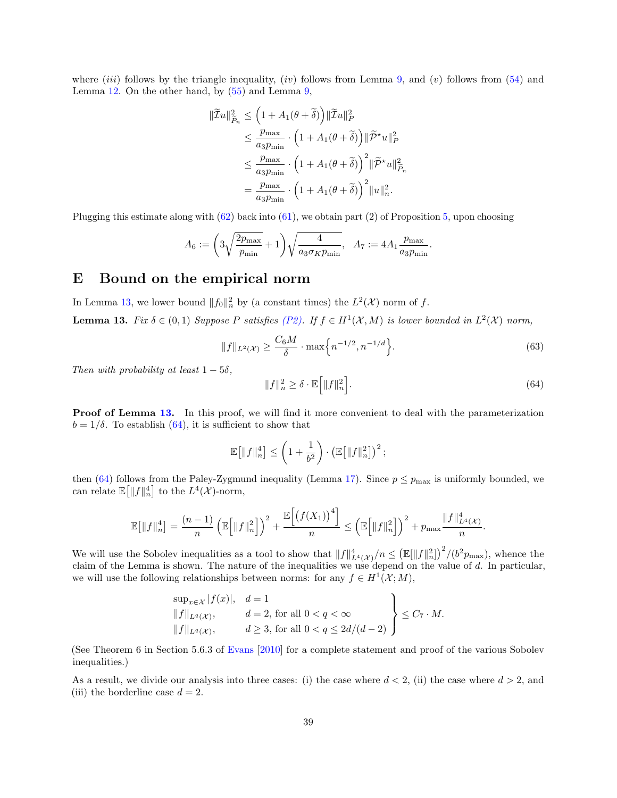where (iii) follows by the triangle inequality, (iv) follows from Lemma [9,](#page-30-2) and (v) follows from [\(54\)](#page-33-2) and Lemma  $12$ . On the other hand, by  $(55)$  and Lemma  $9$ ,

$$
\begin{split} \|\widetilde{\mathcal{I}}u\|_{\widetilde{P}_n}^2 &\leq \left(1 + A_1(\theta + \widetilde{\delta})\right) \|\widetilde{\mathcal{I}}u\|_P^2 \\ &\leq \frac{p_{\text{max}}}{a_3 p_{\text{min}}} \cdot \left(1 + A_1(\theta + \widetilde{\delta})\right) \|\widetilde{\mathcal{P}}^\star u\|_P^2 \\ &\leq \frac{p_{\text{max}}}{a_3 p_{\text{min}}} \cdot \left(1 + A_1(\theta + \widetilde{\delta})\right)^2 \|\widetilde{\mathcal{P}}^\star u\|_{\widetilde{P}_n}^2 \\ &= \frac{p_{\text{max}}}{a_3 p_{\text{min}}} \cdot \left(1 + A_1(\theta + \widetilde{\delta})\right)^2 \|u\|_n^2. \end{split}
$$

Plugging this estimate along with [\(62\)](#page-37-1) back into [\(61\)](#page-37-2), we obtain part (2) of Proposition [5,](#page-27-0) upon choosing

$$
A_6:=\bigg(3\sqrt{\frac{2p_{\max}}{p_{\min}}}+1\bigg)\sqrt{\frac{4}{a_3\sigma_K p_{\min}}},\quad A_7:=4A_1\frac{p_{\max}}{a_3 p_{\min}}.
$$

## <span id="page-38-0"></span>E Bound on the empirical norm

In Lemma [13,](#page-38-1) we lower bound  $||f_0||_n^2$  by (a constant times) the  $L^2(\mathcal{X})$  norm of f.

<span id="page-38-1"></span>**Lemma 13.** Fix  $\delta \in (0,1)$  Suppose P satisfies [\(P2\).](#page-4-2) If  $f \in H^1(\mathcal{X}, M)$  is lower bounded in  $L^2(\mathcal{X})$  norm,

<span id="page-38-3"></span>
$$
||f||_{L^{2}(\mathcal{X})} \ge \frac{C_{6}M}{\delta} \cdot \max\left\{n^{-1/2}, n^{-1/d}\right\}.
$$
\n(63)

Then with probability at least  $1 - 5\delta$ ,

<span id="page-38-2"></span>
$$
||f||_n^2 \ge \delta \cdot \mathbb{E}\Big[||f||_n^2\Big].\tag{64}
$$

**Proof of Lemma [13.](#page-38-1)** In this proof, we will find it more convenient to deal with the parameterization  $b = 1/\delta$ . To establish [\(64\)](#page-38-2), it is sufficient to show that

$$
\mathbb{E}\big[\|f\|_n^4\big] \le \left(1 + \frac{1}{b^2}\right) \cdot \left(\mathbb{E}\big[\|f\|_n^2\big]\right)^2;
$$

then [\(64\)](#page-38-2) follows from the Paley-Zygmund inequality (Lemma [17\)](#page-45-2). Since  $p \le p_{\text{max}}$  is uniformly bounded, we can relate  $\mathbb{E}\big[\|f\|_n^4\big]$  to the  $L^4(\mathcal{X})$ -norm,

$$
\mathbb{E}\big[\|f\|_n^4\big] = \frac{(n-1)}{n} \left(\mathbb{E}\big[\|f\|_n^2\big]\right)^2 + \frac{\mathbb{E}\big[\big(f(X_1)\big)^4\big]}{n} \le \left(\mathbb{E}\big[\|f\|_n^2\big]\right)^2 + p_{\max} \frac{\|f\|_{L^4(\mathcal{X})}^4}{n}.
$$

We will use the Sobolev inequalities as a tool to show that  $||f||_{L^4(\mathcal{X})}^4/n \leq (\mathbb{E}[||f||_n^2])^2/(b^2p_{\max})$ , whence the claim of the Lemma is shown. The nature of the inequalities we use depend on the value of  $d$ . In particular, we will use the following relationships between norms: for any  $f \in H^1(\mathcal{X}; M)$ ,

$$
\sup_{x \in \mathcal{X}} |f(x)|, \quad d = 1
$$
  
\n
$$
||f||_{L^q(\mathcal{X})}, \qquad d = 2, \text{ for all } 0 < q < \infty
$$
  
\n
$$
||f||_{L^q(\mathcal{X})}, \qquad d \ge 3, \text{ for all } 0 < q \le 2d/(d-2)
$$
\n
$$
\left| \int_{-\infty}^{\infty} |f(x)|^q \, dx \right|
$$

(See Theorem 6 in Section 5.6.3 of [Evans](#page-13-3) [\[2010\]](#page-13-3) for a complete statement and proof of the various Sobolev inequalities.)

As a result, we divide our analysis into three cases: (i) the case where  $d < 2$ , (ii) the case where  $d > 2$ , and (iii) the borderline case  $d = 2$ .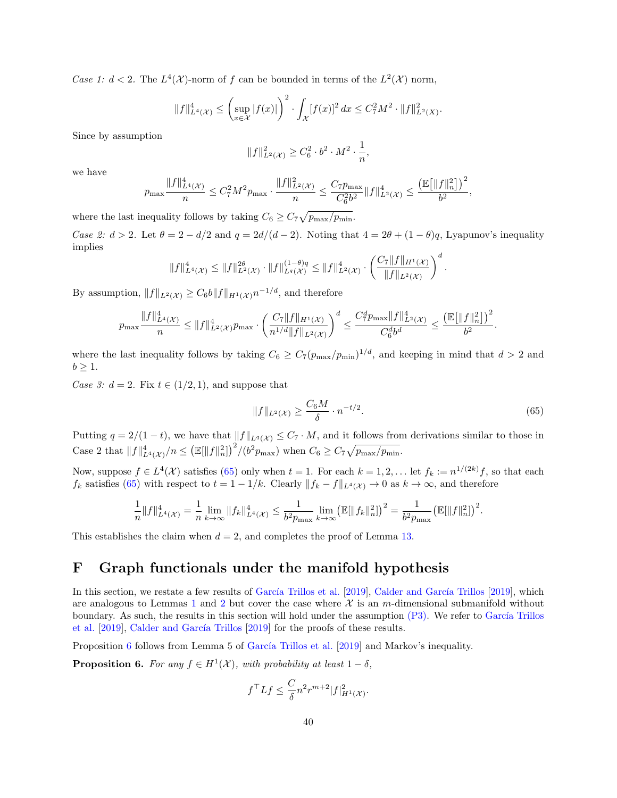Case 1:  $d < 2$ . The  $L^4(\mathcal{X})$ -norm of f can be bounded in terms of the  $L^2(\mathcal{X})$  norm,

$$
||f||_{L^{4}(\mathcal{X})}^{4} \leq \left(\sup_{x \in \mathcal{X}} |f(x)|\right)^{2} \cdot \int_{\mathcal{X}} [f(x)]^{2} dx \leq C_{7}^{2} M^{2} \cdot ||f||_{L^{2}(X)}^{2}.
$$

Since by assumption

$$
||f||_{L^{2}(\mathcal{X})}^{2} \geq C_{6}^{2} \cdot b^{2} \cdot M^{2} \cdot \frac{1}{n},
$$

we have

$$
p_{\max} \frac{\|f\|_{L^4(\mathcal{X})}^4}{n} \leq C_7^2 M^2 p_{\max} \cdot \frac{\|f\|_{L^2(\mathcal{X})}^2}{n} \leq \frac{C_7 p_{\max}}{C_6^2 b^2} \|f\|_{L^2(\mathcal{X})}^4 \leq \frac{\left(\mathbb{E}\big[\|f\|_n^2\big]\right)^2}{b^2},
$$

where the last inequality follows by taking  $C_6 \geq C_7 \sqrt{p_{\text{max}}/p_{\text{min}}}.$ 

Case 2:  $d > 2$ . Let  $\theta = 2 - d/2$  and  $q = 2d/(d-2)$ . Noting that  $4 = 2\theta + (1 - \theta)q$ , Lyapunov's inequality implies

$$
||f||_{L^{4}(\mathcal{X})}^{4} \leq ||f||_{L^{2}(\mathcal{X})}^{2\theta} \cdot ||f||_{L^{q}(\mathcal{X})}^{(1-\theta)q} \leq ||f||_{L^{2}(\mathcal{X})}^{4} \cdot \left(\frac{C_{7}||f||_{H^{1}(\mathcal{X})}}{||f||_{L^{2}(\mathcal{X})}}\right)^{d}.
$$

By assumption,  $||f||_{L^2(\mathcal{X})} \geq C_6 b ||f||_{H^1(\mathcal{X})} n^{-1/d}$ , and therefore

$$
p_{\max} \frac{\|f\|_{L^4(\mathcal{X})}^4}{n} \le \|f\|_{L^2(\mathcal{X})}^4 p_{\max} \cdot \left(\frac{C_7 \|f\|_{H^1(\mathcal{X})}}{n^{1/d} \|f\|_{L^2(\mathcal{X})}}\right)^d \le \frac{C_7^d p_{\max} \|f\|_{L^2(\mathcal{X})}^4}{C_6^db^d} \le \frac{\left(\mathbb{E}\big[\|f\|_n^2\big]\right)^2}{b^2}.
$$

where the last inequality follows by taking  $C_6 \geq C_7(p_{\text{max}}/p_{\text{min}})^{1/d}$ , and keeping in mind that  $d > 2$  and  $b \geq 1$ .

Case 3:  $d = 2$ . Fix  $t \in (1/2, 1)$ , and suppose that

<span id="page-39-1"></span>
$$
||f||_{L^{2}(\mathcal{X})} \ge \frac{C_{6}M}{\delta} \cdot n^{-t/2}.
$$
\n(65)

Putting  $q = 2/(1-t)$ , we have that  $||f||_{L^q(\mathcal{X})} \leq C_7 \cdot M$ , and it follows from derivations similar to those in Case 2 that  $||f||_{L^4(\mathcal{X})}^4/n \leq ( \mathbb{E}[||f||_n^2])^2/(b^2 p_{\text{max}})$  when  $C_6 \geq C_7 \sqrt{p_{\text{max}}/p_{\text{min}}}.$ 

Now, suppose  $f \in L^4(\mathcal{X})$  satisfies [\(65\)](#page-39-1) only when  $t = 1$ . For each  $k = 1, 2, \ldots$  let  $f_k := n^{1/(2k)}f$ , so that each  $f_k$  satisfies [\(65\)](#page-39-1) with respect to  $t = 1 - 1/k$ . Clearly  $||f_k - f||_{L^4(\mathcal{X})} \to 0$  as  $k \to \infty$ , and therefore

$$
\frac{1}{n}||f||_{L^{4}(\mathcal{X})}^{4} = \frac{1}{n} \lim_{k \to \infty} ||f_{k}||_{L^{4}(\mathcal{X})}^{4} \leq \frac{1}{b^{2}p_{\max}} \lim_{k \to \infty} (\mathbb{E}[||f_{k}||_{n}^{2}])^{2} = \frac{1}{b^{2}p_{\max}} (\mathbb{E}[||f||_{n}^{2}])^{2}.
$$

This establishes the claim when  $d = 2$ , and completes the proof of Lemma [13.](#page-38-1)

## <span id="page-39-0"></span>F Graph functionals under the manifold hypothesis

In this section, we restate a few results of García Trillos et al. [\[2019\]](#page-13-9), Calder and García Trillos [2019], which are analogous to Lemmas [1](#page-10-0) and [2](#page-10-1) but cover the case where  $\mathcal X$  is an m-dimensional submanifold without boundary. As such, the results in this section will hold under the assumption  $(P3)$ . We refer to García Trillos [et al.](#page-13-8) [\[2019\]](#page-13-9), Calder and García Trillos [2019] for the proofs of these results.

Proposition [6](#page-39-2) follows from Lemma 5 of García Trillos et al.  $[2019]$  and Markov's inequality.

<span id="page-39-2"></span>**Proposition 6.** For any  $f \in H^1(\mathcal{X})$ , with probability at least  $1 - \delta$ ,

$$
f^{\top}Lf \leq \frac{C}{\delta}n^2r^{m+2}|f|_{H^1(\mathcal{X})}^2.
$$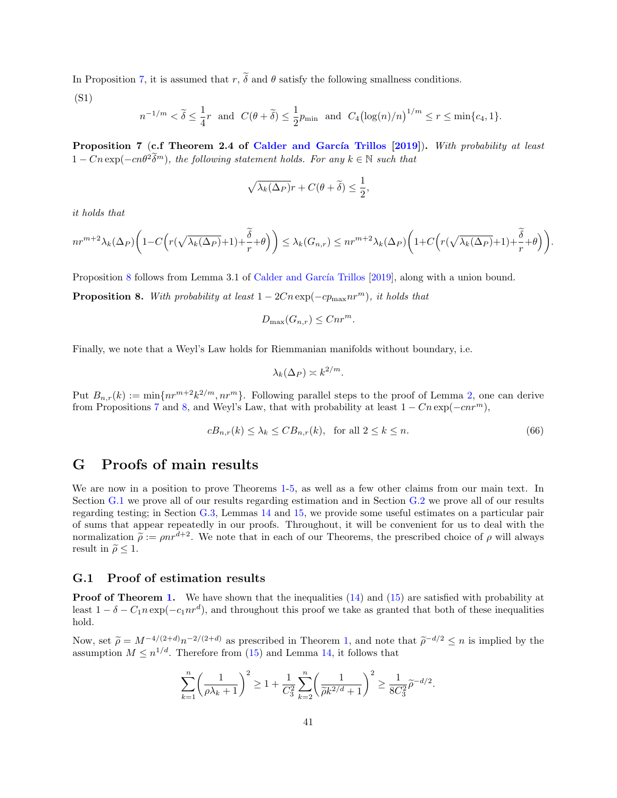In Proposition [7,](#page-40-2) it is assumed that r,  $\tilde{\delta}$  and  $\theta$  satisfy the following smallness conditions.

(S1)

$$
n^{-1/m} < \widetilde{\delta} \leq \frac{1}{4}r \ \text{ and } \ C(\theta+\widetilde{\delta}) \leq \frac{1}{2}p_{\min} \ \text{ and } \ C_4\bigl(\log(n)/n\bigr)^{1/m} \leq r \leq \min\{c_4,1\}.
$$

<span id="page-40-2"></span>Proposition 7 (c.f Theorem 2.4 of Calder and García Trillos [\[2019\]](#page-13-9)). With probability at least  $1 - Cn \exp(-cn\theta^2 \tilde{\delta}^m)$ , the following statement holds. For any  $k \in \mathbb{N}$  such that

$$
\sqrt{\lambda_k(\Delta_P)}r + C(\theta + \widetilde{\delta}) \le \frac{1}{2},
$$

it holds that

$$
nr^{m+2}\lambda_k(\Delta_P)\bigg(1-C\Big(r(\sqrt{\lambda_k(\Delta_P)}+1)+\frac{\widetilde{\delta}}{r}+\theta\Big)\bigg)\leq \lambda_k(G_{n,r})\leq nr^{m+2}\lambda_k(\Delta_P)\bigg(1+C\Big(r(\sqrt{\lambda_k(\Delta_P)}+1)+\frac{\widetilde{\delta}}{r}+\theta\Big)\bigg).
$$

Proposition [8](#page-40-3) follows from Lemma 3.1 of Calder and García Trillos [\[2019\]](#page-13-9), along with a union bound.

<span id="page-40-3"></span>**Proposition 8.** With probability at least  $1 - 2Cn \exp(-cp_{\max}nr^m)$ , it holds that

$$
D_{\max}(G_{n,r}) \leq Cnr^m.
$$

Finally, we note that a Weyl's Law holds for Riemmanian manifolds without boundary, i.e.

$$
\lambda_k(\Delta_P) \asymp k^{2/m}.
$$

Put  $B_{n,r}(k) := \min\{nr^{m+2}k^{2/m}, nr^m\}$ . Following parallel steps to the proof of Lemma [2,](#page-10-1) one can derive from Propositions [7](#page-40-2) and [8,](#page-40-3) and Weyl's Law, that with probability at least  $1 - Cn \exp(-cn r^m)$ ,

<span id="page-40-4"></span>
$$
cB_{n,r}(k) \le \lambda_k \le CB_{n,r}(k), \quad \text{for all } 2 \le k \le n. \tag{66}
$$

### <span id="page-40-1"></span>G Proofs of main results

We are now in a position to prove Theorems [1-](#page-6-0)[5,](#page-11-0) as well as a few other claims from our main text. In Section [G.1](#page-40-0) we prove all of our results regarding estimation and in Section [G.2](#page-43-0) we prove all of our results regarding testing; in Section [G.3,](#page-44-0) Lemmas [14](#page-44-1) and [15,](#page-44-2) we provide some useful estimates on a particular pair of sums that appear repeatedly in our proofs. Throughout, it will be convenient for us to deal with the normalization  $\tilde{\rho} := \rho n r^{d+2}$ . We note that in each of our Theorems, the prescribed choice of  $\rho$  will always result in  $\tilde{\rho} \leq 1$ .

#### <span id="page-40-0"></span>G.1 Proof of estimation results

**Proof of Theorem [1.](#page-6-0)** We have shown that the inequalities [\(14\)](#page-10-2) and [\(15\)](#page-10-3) are satisfied with probability at least  $1 - \delta - C_1 n \exp(-c_1 nr^d)$ , and throughout this proof we take as granted that both of these inequalities hold.

Now, set  $\tilde{\rho} = M^{-4/(2+d)} n^{-2/(2+d)}$  as prescribed in Theorem [1,](#page-6-0) and note that  $\tilde{\rho}^{-d/2} \leq n$  is implied by the essumption  $M \leq n^{1/d}$ . Therefore from (15) and Lemma 14 it follows that assumption  $M \leq n^{1/d}$ . Therefore from [\(15\)](#page-10-3) and Lemma [14,](#page-44-1) it follows that

$$
\sum_{k=1}^{n} \left(\frac{1}{\rho \lambda_k + 1}\right)^2 \ge 1 + \frac{1}{C_3^2} \sum_{k=2}^{n} \left(\frac{1}{\tilde{\rho} k^{2/d} + 1}\right)^2 \ge \frac{1}{8C_3^2} \tilde{\rho}^{-d/2}.
$$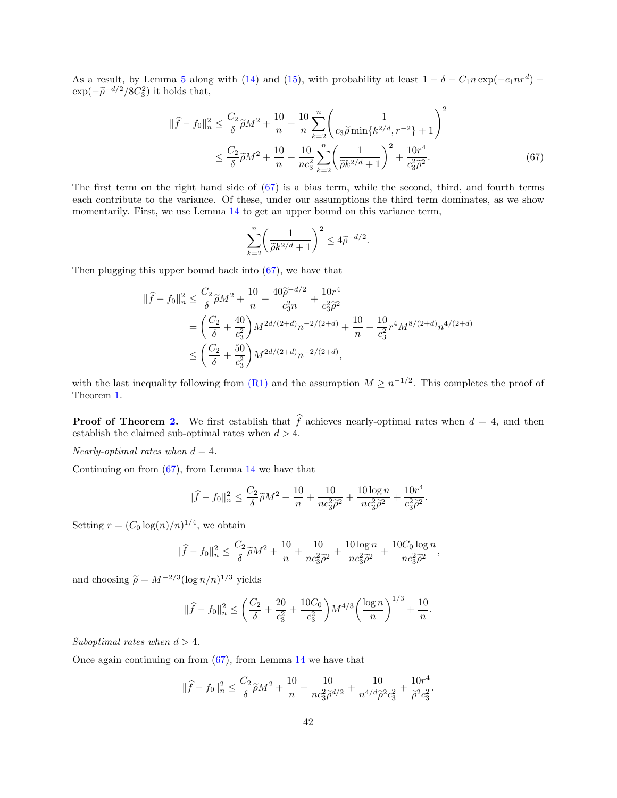As a result, by Lemma [5](#page-19-0) along with [\(14\)](#page-10-2) and [\(15\)](#page-10-3), with probability at least  $1 - \delta - C_1 n \exp(-c_1 nr^d)$  $\exp(-\tilde{\rho}^{-d/2}/8C_3^2)$  it holds that,

$$
\|\hat{f} - f_0\|_n^2 \le \frac{C_2}{\delta} \tilde{\rho} M^2 + \frac{10}{n} + \frac{10}{n} \sum_{k=2}^n \left(\frac{1}{c_3 \tilde{\rho} \min\{k^{2/d}, r^{-2}\} + 1}\right)^2
$$
  

$$
\le \frac{C_2}{\delta} \tilde{\rho} M^2 + \frac{10}{n} + \frac{10}{nc_3^2} \sum_{k=2}^n \left(\frac{1}{\tilde{\rho} k^{2/d} + 1}\right)^2 + \frac{10r^4}{c_3^2 \tilde{\rho}^2}.
$$
 (67)

The first term on the right hand side of [\(67\)](#page-41-0) is a bias term, while the second, third, and fourth terms each contribute to the variance. Of these, under our assumptions the third term dominates, as we show momentarily. First, we use Lemma [14](#page-44-1) to get an upper bound on this variance term,

<span id="page-41-0"></span>
$$
\sum_{k=2}^{n} \left( \frac{1}{\tilde{\rho} k^{2/d} + 1} \right)^2 \le 4 \tilde{\rho}^{-d/2}.
$$

Then plugging this upper bound back into  $(67)$ , we have that

$$
\begin{split} \|\widehat{f} - f_0\|_n^2 &\leq \frac{C_2}{\delta} \widetilde{\rho} M^2 + \frac{10}{n} + \frac{40 \widetilde{\rho}^{-d/2}}{c_3^2 n} + \frac{10r^4}{c_3^2 \widetilde{\rho}^2} \\ &= \left(\frac{C_2}{\delta} + \frac{40}{c_3^2}\right) M^{2d/(2+d)} n^{-2/(2+d)} + \frac{10}{n} + \frac{10}{c_3^2} r^4 M^{8/(2+d)} n^{4/(2+d)} \\ &\leq \left(\frac{C_2}{\delta} + \frac{50}{c_3^2}\right) M^{2d/(2+d)} n^{-2/(2+d)}, \end{split}
$$

with the last inequality following from  $(R1)$  and the assumption  $M \geq n^{-1/2}$ . This completes the proof of Theorem [1.](#page-6-0)

**Proof of Theorem [2.](#page-7-1)** We first establish that  $\hat{f}$  achieves nearly-optimal rates when  $d = 4$ , and then establish the claimed sub-optimal rates when  $d > 4$ .

Nearly-optimal rates when  $d = 4$ .

Continuing on from  $(67)$ , from Lemma [14](#page-44-1) we have that

$$
\|\widehat{f} - f_0\|_n^2 \le \frac{C_2}{\delta} \widetilde{\rho} M^2 + \frac{10}{n} + \frac{10}{nc_3^2 \widetilde{\rho}^2} + \frac{10 \log n}{nc_3^2 \widetilde{\rho}^2} + \frac{10r^4}{c_3^2 \widetilde{\rho}^2}.
$$

Setting  $r = (C_0 \log(n)/n)^{1/4}$ , we obtain

$$
\|\widehat{f} - f_0\|_n^2 \le \frac{C_2}{\delta} \widetilde{\rho} M^2 + \frac{10}{n} + \frac{10}{nc_3^2 \widetilde{\rho}^2} + \frac{10 \log n}{nc_3^2 \widetilde{\rho}^2} + \frac{10 C_0 \log n}{nc_3^2 \widetilde{\rho}^2},
$$

and choosing  $\tilde{\rho} = M^{-2/3} (\log n/n)^{1/3}$  yields

$$
\|\widehat{f} - f_0\|_n^2 \le \left(\frac{C_2}{\delta} + \frac{20}{c_3^2} + \frac{10C_0}{c_3^2}\right) M^{4/3} \left(\frac{\log n}{n}\right)^{1/3} + \frac{10}{n}.
$$

Suboptimal rates when  $d > 4$ .

Once again continuing on from [\(67\)](#page-41-0), from Lemma [14](#page-44-1) we have that

$$
\|\widehat{f} - f_0\|_n^2 \le \frac{C_2}{\delta} \widetilde{\rho} M^2 + \frac{10}{n} + \frac{10}{nc_3^2 \widetilde{\rho}^{d/2}} + \frac{10}{n^{4/d} \widetilde{\rho}^2 c_3^2} + \frac{10r^4}{\widetilde{\rho}^2 c_3^2}
$$

.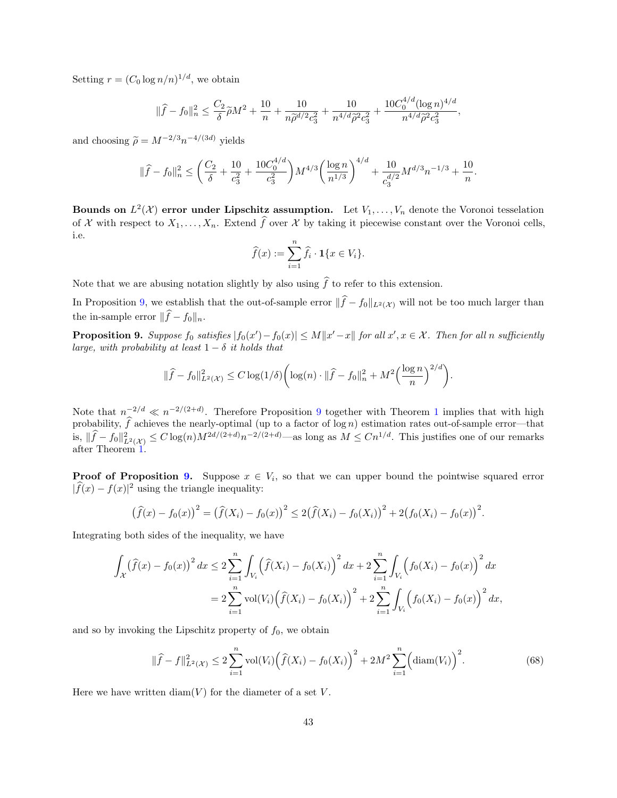Setting  $r = (C_0 \log n/n)^{1/d}$ , we obtain

$$
\|\widehat{f} - f_0\|_n^2 \le \frac{C_2}{\delta} \widetilde{\rho} M^2 + \frac{10}{n} + \frac{10}{n \widetilde{\rho}^{d/2} c_3^2} + \frac{10}{n^{4/d} \widetilde{\rho}^2 c_3^2} + \frac{10 C_0^{4/d} (\log n)^{4/d}}{n^{4/d} \widetilde{\rho}^2 c_3^2},
$$

and choosing  $\tilde{\rho} = M^{-2/3} n^{-4/(3d)}$  yields

$$
\|\widehat{f} - f_0\|_n^2 \le \left(\frac{C_2}{\delta} + \frac{10}{c_3^2} + \frac{10C_0^{4/d}}{c_3^2}\right) M^{4/3} \left(\frac{\log n}{n^{1/3}}\right)^{4/d} + \frac{10}{c_3^{d/2}} M^{d/3} n^{-1/3} + \frac{10}{n}.
$$

Bounds on  $L^2(\mathcal{X})$  error under Lipschitz assumption. Let  $V_1, \ldots, V_n$  denote the Voronoi tesselation of X with respect to  $X_1, \ldots, X_n$ . Extend  $\widehat{f}$  over X by taking it piecewise constant over the Voronoi cells, i.e.

$$
\widehat{f}(x) := \sum_{i=1}^{n} \widehat{f}_i \cdot \mathbf{1}\{x \in V_i\}.
$$

Note that we are abusing notation slightly by also using  $\hat{f}$  to refer to this extension.

In Proposition [9,](#page-42-0) we establish that the out-of-sample error  $\|\hat{f} - f_0\|_{L^2(\mathcal{X})}$  will not be too much larger than the in-sample error  $\|\widehat{f} - f_0\|_n$ .

<span id="page-42-0"></span>**Proposition 9.** Suppose  $f_0$  satisfies  $|f_0(x') - f_0(x)| \le M||x' - x||$  for all  $x', x \in \mathcal{X}$ . Then for all n sufficiently large, with probability at least  $1 - \delta$  it holds that

$$
\|\widehat{f} - f_0\|_{L^2(\mathcal{X})}^2 \le C \log(1/\delta) \bigg(\log(n) \cdot \|\widehat{f} - f_0\|_n^2 + M^2 \Big(\frac{\log n}{n}\Big)^{2/d}\bigg).
$$

Note that  $n^{-2/d} \ll n^{-2/(2+d)}$ . Therefore Proposition [9](#page-42-0) together with Theorem [1](#page-6-0) implies that with high probability,  $\hat{f}$  achieves the nearly-optimal (up to a factor of log n) estimation rates out-of-sample error—that is,  $\|\widehat{f} - f_0\|_{L^2(\mathcal{X})}^2 \leq C \log(n) M^{2d/(2+d)} n^{-2/(2+d)}$ —as long as  $M \leq C n^{1/d}$ . This justifies one of our remarks after Theorem [1.](#page-6-0)

**Proof of Proposition [9.](#page-42-0)** Suppose  $x \in V_i$ , so that we can upper bound the pointwise squared error  $|\widehat{f}(x) - f(x)|^2$  using the triangle inequality:

$$
(\widehat{f}(x) - f_0(x))^2 = (\widehat{f}(X_i) - f_0(x))^2 \le 2(\widehat{f}(X_i) - f_0(X_i))^2 + 2(f_0(X_i) - f_0(x))^2.
$$

Integrating both sides of the inequality, we have

$$
\int_{\mathcal{X}} (\widehat{f}(x) - f_0(x))^2 dx \le 2 \sum_{i=1}^n \int_{V_i} (\widehat{f}(X_i) - f_0(X_i))^2 dx + 2 \sum_{i=1}^n \int_{V_i} (f_0(X_i) - f_0(x))^2 dx
$$
  
= 
$$
2 \sum_{i=1}^n \text{vol}(V_i) (\widehat{f}(X_i) - f_0(X_i))^2 + 2 \sum_{i=1}^n \int_{V_i} (f_0(X_i) - f_0(x))^2 dx,
$$

and so by invoking the Lipschitz property of  $f_0$ , we obtain

<span id="page-42-1"></span>
$$
\|\widehat{f} - f\|_{L^2(\mathcal{X})}^2 \le 2 \sum_{i=1}^n \text{vol}(V_i) \Big(\widehat{f}(X_i) - f_0(X_i)\Big)^2 + 2M^2 \sum_{i=1}^n \Big(\text{diam}(V_i)\Big)^2. \tag{68}
$$

Here we have written  $\text{diam}(V)$  for the diameter of a set V.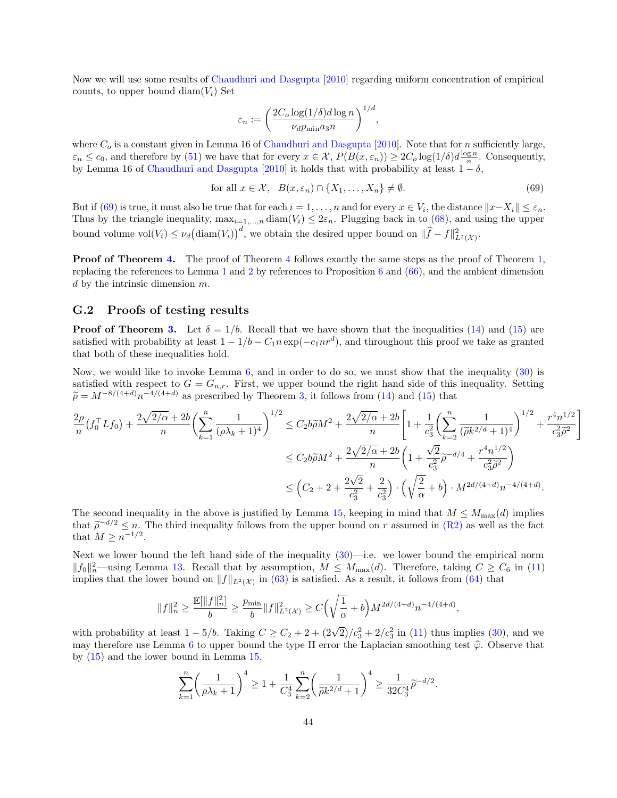Now we will use some results of [Chaudhuri and Dasgupta](#page-13-18) [\[2010\]](#page-13-18) regarding uniform concentration of empirical counts, to upper bound diam $(V_i)$  Set

$$
\varepsilon_n := \left(\frac{2C_o \log(1/\delta) d \log n}{\nu_d p_{\min} a_3 n}\right)^{1/d},
$$

where  $C<sub>o</sub>$  is a constant given in Lemma 16 of [Chaudhuri and Dasgupta](#page-13-18) [\[2010\]](#page-13-18). Note that for n sufficiently large,  $\varepsilon_n \leq c_0$ , and therefore by [\(51\)](#page-30-4) we have that for every  $x \in \mathcal{X}$ ,  $P(B(x, \varepsilon_n)) \geq 2C_o \log(1/\delta) d \frac{\log n}{n}$ . Consequently, by Lemma 16 of [Chaudhuri and Dasgupta](#page-13-18) [\[2010\]](#page-13-18) it holds that with probability at least  $1 - \delta$ ,

<span id="page-43-1"></span>for all 
$$
x \in \mathcal{X}
$$
,  $B(x, \varepsilon_n) \cap \{X_1, \dots, X_n\} \neq \emptyset$ . (69)

But if  $(69)$  is true, it must also be true that for each  $i = 1, \ldots, n$  and for every  $x \in V_i$ , the distance  $||x - X_i|| \leq \varepsilon_n$ . Thus by the triangle inequality,  $\max_{i=1,\dots,n} \text{diam}(V_i) \leq 2\varepsilon_n$ . Plugging back in to [\(68\)](#page-42-1), and using the upper bound volume  $vol(V_i) \leq \nu_d \big(\text{diam}(V_i)\big)^d$ , we obtain the desired upper bound on  $\|\widehat{f} - f\|_{L^2(\mathcal{X})}^2$ .

Proof of Theorem [4.](#page-11-5) The proof of Theorem [4](#page-11-5) follows exactly the same steps as the proof of Theorem [1,](#page-6-0) replacing the references to Lemma [1](#page-10-0) and [2](#page-10-1) by references to Proposition [6](#page-39-2) and [\(66\)](#page-40-4), and the ambient dimension d by the intrinsic dimension  $m$ .

#### <span id="page-43-0"></span>G.2 Proofs of testing results

**Proof of Theorem [3.](#page-8-1)** Let  $\delta = 1/b$ . Recall that we have shown that the inequalities [\(14\)](#page-10-2) and [\(15\)](#page-10-3) are satisfied with probability at least  $1 - 1/b - C_1 n \exp(-c_1 n r^d)$ , and throughout this proof we take as granted that both of these inequalities hold.

Now, we would like to invoke Lemma  $6$ , and in order to do so, we must show that the inequality  $(30)$  is satisfied with respect to  $G = G_{n,r}$ . First, we upper bound the right hand side of this inequality. Setting  $\widetilde{\rho} = M^{-8/(4+d)} n^{-4/(4+d)}$  as prescribed by Theorem [3,](#page-8-1) it follows from [\(14\)](#page-10-2) and [\(15\)](#page-10-3) that

$$
\frac{2\rho}{n}(f_0^{\top}Lf_0) + \frac{2\sqrt{2/\alpha} + 2b}{n} \left(\sum_{k=1}^n \frac{1}{(\rho\lambda_k + 1)^4}\right)^{1/2} \le C_2 b \widetilde{\rho} M^2 + \frac{2\sqrt{2/\alpha} + 2b}{n} \left[1 + \frac{1}{c_3^2} \left(\sum_{k=2}^n \frac{1}{(\widetilde{\rho} k^{2/d} + 1)^4}\right)^{1/2} + \frac{r^4 n^{1/2}}{c_3^2 \widetilde{\rho}^2}\right]
$$
  

$$
\le C_2 b \widetilde{\rho} M^2 + \frac{2\sqrt{2/\alpha} + 2b}{n} \left(1 + \frac{\sqrt{2}}{c_3^2} \widetilde{\rho}^{-d/4} + \frac{r^4 n^{1/2}}{c_3^2 \widetilde{\rho}^2}\right)
$$
  

$$
\le \left(C_2 + 2 + \frac{2\sqrt{2}}{c_3^2} + \frac{2}{c_3^2}\right) \cdot \left(\sqrt{\frac{2}{\alpha}} + b\right) \cdot M^{2d/(4+d)} n^{-4/(4+d)}.
$$

The second inequality in the above is justified by Lemma [15,](#page-44-2) keeping in mind that  $M \leq M_{\text{max}}(d)$  implies that  $\tilde{\rho}^{-d/2} \leq n$ . The third inequality follows from the upper bound on r assumed in [\(R2\)](#page-7-0) as well as the fact that  $M > n^{-1/2}$ that  $M \geq n^{-1/2}$ .

Next we lower bound the left hand side of the inequality  $(30)$ —i.e. we lower bound the empirical norm  $||f_0||_n^2$ —using Lemma [13.](#page-38-1) Recall that by assumption,  $M \leq M_{\text{max}}(d)$ . Therefore, taking  $C \geq C_6$  in [\(11\)](#page-8-2) implies that the lower bound on  $||f||_{L^2(\mathcal{X})}$  in [\(63\)](#page-38-3) is satisfied. As a result, it follows from [\(64\)](#page-38-2) that

$$
||f||_n^2 \ge \frac{\mathbb{E}[||f||_n^2]}{b} \ge \frac{p_{\min}}{b} ||f||_{L^2(\mathcal{X})}^2 \ge C\Big(\sqrt{\frac{1}{\alpha}} + b\Big)M^{2d/(4+d)}n^{-4/(4+d)},
$$

with probability at least  $1 - 5/b$ . Taking  $C \ge C_2 + 2 + (2\sqrt{2})/c_3^2 + 2/c_3^2$  in [\(11\)](#page-8-2) thus implies [\(30\)](#page-19-3), and we may therefore use Lemma [6](#page-19-1) to upper bound the type II error the Laplacian smoothing test  $\hat{\varphi}$ . Observe that by [\(15\)](#page-10-3) and the lower bound in Lemma [15,](#page-44-2)

$$
\sum_{k=1}^n \left(\frac{1}{\rho \lambda_k + 1}\right)^4 \ge 1 + \frac{1}{C_3^4} \sum_{k=2}^n \left(\frac{1}{\tilde{\rho} k^{2/d} + 1}\right)^4 \ge \frac{1}{32C_3^4} \tilde{\rho}^{-d/2}.
$$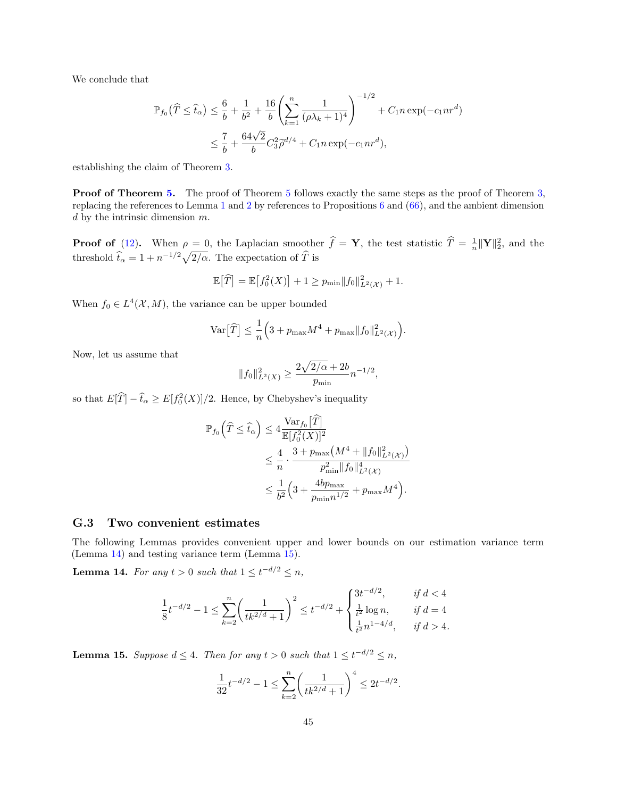We conclude that

$$
\mathbb{P}_{f_0}(\widehat{T} \le \widehat{t}_\alpha) \le \frac{6}{b} + \frac{1}{b^2} + \frac{16}{b} \left( \sum_{k=1}^n \frac{1}{(\rho \lambda_k + 1)^4} \right)^{-1/2} + C_1 n \exp(-c_1 n r^d)
$$
  

$$
\le \frac{7}{b} + \frac{64\sqrt{2}}{b} C_3^2 \widehat{\rho}^{d/4} + C_1 n \exp(-c_1 n r^d),
$$

establishing the claim of Theorem [3.](#page-8-1)

**Proof of Theorem [5.](#page-11-0)** The proof of Theorem [5](#page-11-0) follows exactly the same steps as the proof of Theorem [3,](#page-8-1) replacing the references to Lemma [1](#page-10-0) and [2](#page-10-1) by references to Propositions [6](#page-39-2) and [\(66\)](#page-40-4), and the ambient dimension  $d$  by the intrinsic dimension  $m$ .

**Proof of** [\(12\)](#page-8-3). When  $\rho = 0$ , the Laplacian smoother  $\hat{f} = \mathbf{Y}$ , the test statistic  $\hat{T} = \frac{1}{n} ||\mathbf{Y}||_2^2$ , and the threshold  $\hat{t}_{\alpha} = 1 + n^{-1/2}\sqrt{2/\alpha}$ . The expectation of  $\hat{T}$  is

$$
\mathbb{E}\big[\widehat{T}\big] = \mathbb{E}\big[f_0^2(X)\big] + 1 \ge p_{\min} \|f_0\|_{L^2(\mathcal{X})}^2 + 1.
$$

When  $f_0 \in L^4(\mathcal{X}, M)$ , the variance can be upper bounded

$$
\operatorname{Var}\big[\widehat{T}\big] \leq \frac{1}{n} \Big(3 + p_{\max} M^4 + p_{\max} \|f_0\|_{L^2(\mathcal{X})}^2\Big).
$$

Now, let us assume that

$$
||f_0||_{L^2(X)}^2 \ge \frac{2\sqrt{2/\alpha} + 2b}{p_{\min}} n^{-1/2},
$$

so that  $E[\hat{T}] - \hat{t}_{\alpha} \ge E[f_0^2(X)]/2$ . Hence, by Chebyshev's inequality

$$
\mathbb{P}_{f_0}\left(\widehat{T} \leq \widehat{t}_\alpha\right) \leq 4 \frac{\text{Var}_{f_0}\left[\widehat{T}\right]}{\mathbb{E}[f_0^2(X)]^2} \n\leq \frac{4}{n} \cdot \frac{3 + p_{\text{max}}\left(M^4 + \|f_0\|_{L^2(\mathcal{X})}^2\right)}{p_{\text{min}}^2 \|f_0\|_{L^2(\mathcal{X})}^4} \n\leq \frac{1}{b^2} \left(3 + \frac{4bp_{\text{max}}}{p_{\text{min}}n^{1/2}} + p_{\text{max}}M^4\right).
$$

#### <span id="page-44-0"></span>G.3 Two convenient estimates

The following Lemmas provides convenient upper and lower bounds on our estimation variance term (Lemma [14\)](#page-44-1) and testing variance term (Lemma [15\)](#page-44-2).

<span id="page-44-1"></span>**Lemma 14.** For any  $t > 0$  such that  $1 \le t^{-d/2} \le n$ ,

$$
\frac{1}{8}t^{-d/2}-1\leq \sum_{k=2}^n \biggl(\frac{1}{tk^{2/d}+1}\biggr)^2\leq t^{-d/2}+\begin{cases} 3t^{-d/2},&\text{if } d<4\\ \frac{1}{t^2}\log n,&\text{if } d=4\\ \frac{1}{t^2}n^{1-4/d},&\text{if } d>4. \end{cases}
$$

<span id="page-44-2"></span>**Lemma 15.** Suppose  $d \leq 4$ . Then for any  $t > 0$  such that  $1 \leq t^{-d/2} \leq n$ ,

$$
\frac{1}{32}t^{-d/2} - 1 \le \sum_{k=2}^{n} \left(\frac{1}{tk^{2/d} + 1}\right)^4 \le 2t^{-d/2}.
$$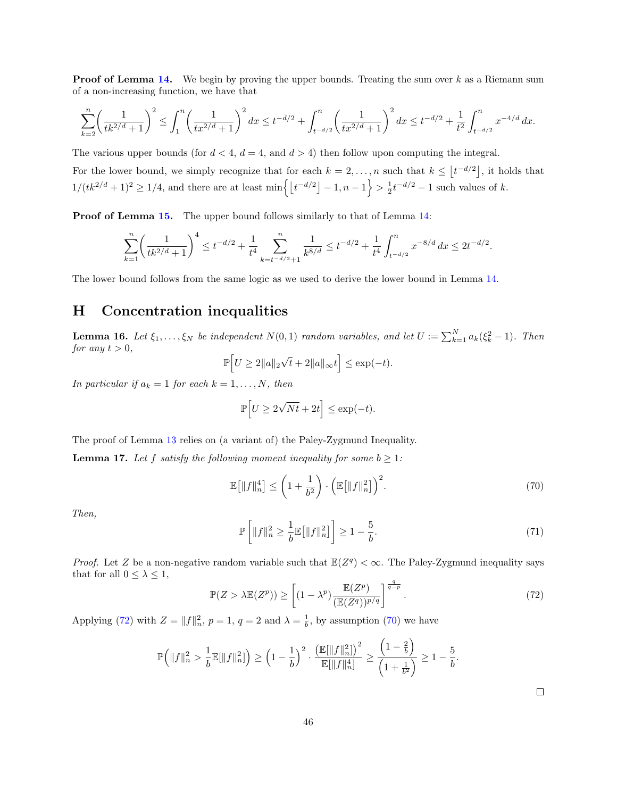**Proof of Lemma [14.](#page-44-1)** We begin by proving the upper bounds. Treating the sum over  $k$  as a Riemann sum of a non-increasing function, we have that

$$
\sum_{k=2}^{n} \left(\frac{1}{tk^{2/d}+1}\right)^2 \le \int_1^n \left(\frac{1}{tx^{2/d}+1}\right)^2 dx \le t^{-d/2} + \int_{t^{-d/2}}^n \left(\frac{1}{tx^{2/d}+1}\right)^2 dx \le t^{-d/2} + \frac{1}{t^2} \int_{t^{-d/2}}^n x^{-4/d} dx.
$$

The various upper bounds (for  $d < 4$ ,  $d = 4$ , and  $d > 4$ ) then follow upon computing the integral.

For the lower bound, we simply recognize that for each  $k = 2, \ldots, n$  such that  $k \leq |t^{-d/2}|$ , it holds that  $1/(tk^{2/d}+1)^2 \geq 1/4$ , and there are at least  $\min\left\{\left\lfloor t^{-d/2}\right\rfloor - 1, n-1\right\} > \frac{1}{2}t^{-d/2} - 1$  such values of k.

Proof of Lemma [15.](#page-44-2) The upper bound follows similarly to that of Lemma [14:](#page-44-1)

$$
\sum_{k=1}^n \biggl(\frac{1}{tk^{2/d}+1}\biggr)^4 \le t^{-d/2} + \frac{1}{t^4} \sum_{k=t^{-d/2}+1}^n \frac{1}{k^{8/d}} \le t^{-d/2} + \frac{1}{t^4} \int_{t^{-d/2}}^n x^{-8/d} \, dx \le 2t^{-d/2}.
$$

The lower bound follows from the same logic as we used to derive the lower bound in Lemma [14.](#page-44-1)

## <span id="page-45-0"></span>H Concentration inequalities

<span id="page-45-1"></span>**Lemma 16.** Let  $\xi_1,\ldots,\xi_N$  be independent  $N(0,1)$  random variables, and let  $U := \sum_{k=1}^N a_k(\xi_k^2 - 1)$ . Then for any  $t > 0$ , √

$$
\mathbb{P}\Big[U\geq 2\|a\|_2\sqrt{t}+2\|a\|_\infty t\Big]\leq \exp(-t).
$$

In particular if  $a_k = 1$  for each  $k = 1, ..., N$ , then

$$
\mathbb{P}\Big[ U \ge 2\sqrt{Nt} + 2t \Big] \le \exp(-t).
$$

The proof of Lemma [13](#page-38-1) relies on (a variant of) the Paley-Zygmund Inequality.

<span id="page-45-2"></span>**Lemma 17.** Let f satisfy the following moment inequality for some  $b \geq 1$ :

<span id="page-45-4"></span>
$$
\mathbb{E}\big[\|f\|_n^4\big] \le \left(1 + \frac{1}{b^2}\right) \cdot \left(\mathbb{E}\big[\|f\|_n^2\big]\right)^2. \tag{70}
$$

Then,

$$
\mathbb{P}\left[\|f\|_{n}^{2} \ge \frac{1}{b}\mathbb{E}\left[\|f\|_{n}^{2}\right]\right] \ge 1 - \frac{5}{b}.\tag{71}
$$

*Proof.* Let Z be a non-negative random variable such that  $\mathbb{E}(Z^q) < \infty$ . The Paley-Zygmund inequality says that for all  $0 \leq \lambda \leq 1$ ,

<span id="page-45-3"></span>
$$
\mathbb{P}(Z > \lambda \mathbb{E}(Z^p)) \ge \left[ (1 - \lambda^p) \frac{\mathbb{E}(Z^p)}{(\mathbb{E}(Z^q))^{p/q}} \right]^{\frac{q}{q-p}}.
$$
\n(72)

Applying [\(72\)](#page-45-3) with  $Z = ||f||_n^2$ ,  $p = 1$ ,  $q = 2$  and  $\lambda = \frac{1}{b}$ , by assumption [\(70\)](#page-45-4) we have

$$
\mathbb{P}\Big(\|f\|_n^2 > \frac{1}{b}\mathbb{E}[\|f\|_n^2]\Big) \ge \Big(1-\frac{1}{b}\Big)^2\cdot \frac{\big(\mathbb{E}[\|f\|_n^2]\big)^2}{\mathbb{E}[\|f\|_n^4]} \ge \frac{\Big(1-\frac{2}{b}\Big)}{\Big(1+\frac{1}{b^2}\Big)} \ge 1-\frac{5}{b}.
$$

 $\Box$